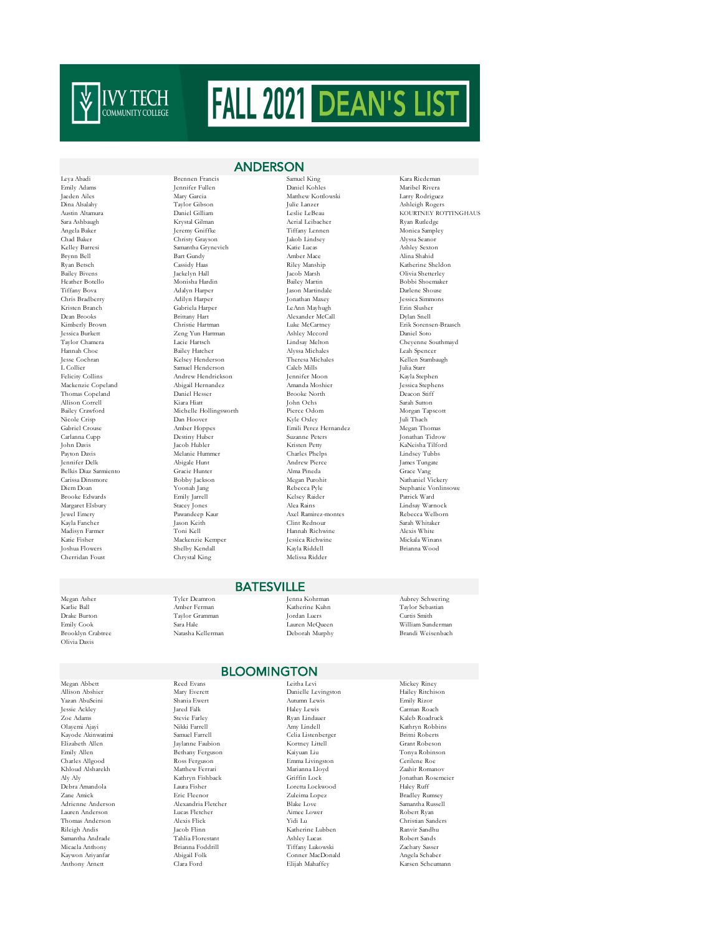

Cherridan Foust

Leya Abadi Brennen Francis Samuel King Kara Riedeman Emily Adams Jennifer Fullen Daniel Kohles Maribel Rivera Gabriela Harper LeAnn Mayhugh Erinne Harper LeAnn Mayhugh Erinne Slusher McCall Jessica Burkett Zeng Yun Hartman Ashley Mccord Daniel Soto Hannah Choe Bailey Hatcher Alyssa Michales Jesse Cochran Nelsey Henderson Spencer Alyssa Michales Jesse Cochran Andrew Hendrickson Allison Correll Kiara Hiatt John Ochs Sarah Sutton Belkis Diaz Sarmiento Gracie Hunter Alma Pineda Grace Vang Katie Fisher Mackenzie Kemper Mackenzie Kemper Jessica Richwine Mickala Winansen Mickala Winansen Mickala Winan<br>1991 - Johann Mickala Winansen Shelby Kendall Mark (Kayla Riddell

## ANDERSON

Matthew Kottlowski Dina Alsalahy Taylor Gibson Julie Lanzer Ashleigh Rogers Austin Altamura Daniel Gilliam Leslie LeBeau KOURTNEY ROTTINGHAUS Sara Ashbaugh Krystal Gilman Aerial Leibacher Ryan Rutledge Ryan Rutledge Angela Baker Jeremy Gniffke Tiffany Lennen Monica Sample Angela Baker Jeremy Gniffke Tiffany Lennen Monica Sampley Chad Baker Christy Grayson Jakob Lindsey Alyssa Seanor Kelley Barresi Samantha Grynevich Katie Lucas Ashley Sexton Brynn Bell Bart Gundy Amber Mace Alina Shahid Ryan Betsch Cassidy Haas Riley Manship Katherine Sheldon Bailey Bivens Jackelyn Hall Jacob Marsh Olivia Shetterley Heather Botello Monisha Hardin Bailey Martin Bobbi Shoemaker Tiffany Bova Adalyn Harper Jason Martindale Darlene Shouse Chris Bradberry Adilyn Harper Jonathan Maxey Jessica Simmons (Adilyn Harper Jonathan Maxey Jessica Simmons)<br>Capacita Gabriela Harper JeAnn Mayhuph (Gabriela Harper JeAnn Mayhuph (Erin Slusher Dean Brooks Brittany Hart Alexander McCall Dylan Snell Kimberly Brown Christie Hartman Luke McCartney Erik Sorensen-Braasch Jesse Cochran Kelsey Henderson Theresa Michales Kellen Stambaugh L Collier Samuel Henderson Caleb Mills Julia Starr Mackenzie Copeland Abigail Hernandez Amanda Moshier Jessica Stephens Thomas Copeland Daniel Hesser Brooke North Deacon Stiff Bailey Crawford Michelle Hollingsworth Pierce Odom Morgan Tapscott<br>Nicole Crisp – Dan Hoover – Ryle Oxley – Juli Thach Nicole Crisp Dan Hoover Kyle Oxley Juli Thach Gabriel Crouse Amber Hoppes Emili Perez Hernandez Megan Thomas Carlanna Cupp Destiny Huber Suzanne Peters Jonathan Tidrow John Davis Jacob Hubler Kristen Petty KaNeisha Tilford Payton Davis Melanie Hummer Charles Phelps Lindsey Tubbs Jennifer Delk Abigale Hunt Andrew Pierce James Tungate Carissa Dinsmore Bobby Jackson Megan Purohit Nathaniel Vickery Brooke Edwards Emily Jarrell Kelsey Raider Patrick Ward Margaret Elsbury Stacey Jones (New York 2008)<br>2009 - Alea Rains Alea Rains (New York 2009)<br>2009 - Jewel Emery Pawandeep Kaur (New Axel Ramirez-montes (Nebecca Welborn) Axel Ramirez-montes Kayla Fancher Jason Keith Clint Rednour Sarah Whitaker Madisyn Farmer Toni Kell Hannah Richwine Alexis White  $\begin{tabular}{ll} \bf Schelby Kendall & \bf Kapla Riddell & \bf Brianna Wood \\ \bf Chrystal King & \bf Melissa Ridder & \end{tabular}$ 

Theyenne Southmayd<br>Teah Spencer<br>Kellen Stambaugh Stephanie Vonlinsowe

Olivia Davis

Megan Abbett Reed Evans Leitha Levi Mickey Riney Kayode Akinwatimi Samantha Andrade<br>Micaela Anthony

# Megan Asher Tyler Deamron Jenna Kohrman Aubrey Schwering

Karlie Ball Amber Ferman Katherine Kuhn Taylor Sebastian Drake Burton Taylor Gramman Jordan Luers Curtis Smith Emily Cook Sara Hale Lauren McQueen William Sunderman

# Brandi Weisenbach

## BLOOMINGTON

**BATESVILLE** 

Allison Abshier Mary Everett Danielle Levingston Hailey Ritchison Autumn Lewis Jessie Ackley Jared Falk Haley Lewis Carman Roach New York (New York 1992)<br>2012 - Adams Stevie Farley (Stevie Farley Ryan Lindauer (New York 1982)<br>2013 - Nikki Farrell (New York 1992)<br>2013 - Amy Lindell (New York Kathryn Robbin Olayemi Ajayi Nikki Farrell Amy Lindell Kathryn Robbins Elizabeth Allen Jaylanne Faubion Kortney Littell Grant Robeson Emily Allen Bethany Ferguson Kaiyuan Liu Tonya Robinson Charles Allgood Ross Ferguson Emma Livingston Cerilene Roe Khloud Alsharekh Matthew Ferrari Marianna Lloyd Zaahir Romanov<br>Alv Alv – Kathrun Fishback – Griffin Lock – Lonathan Rosemeier Aly Aly Kathryn Fishback Griffin Lock Jonathan Rosemeier Debra Amandola Laura Fisher Loretta Lockwood Haley Ruff  $\begin{array}{lll} \text{Eric Fleenor} & \text{Zuleima Lopez} & \text{Bradley Rumsey} \\ \text{Alexanderria Fleterler} & \text{Blake Love} & \text{Samantha Russell} \\ \end{array}$ Adrienne Anderson Alexandria Fletcher Blake Love Samantha Russell Lauren Anderson Lucas Fletcher Aimee Lower Robert Ryan Thomas Anderson Alexis Flick Yidi Lu Christian Sanders  $\begin{aligned} \text{Jacob Hinn} \qquad & \text{Katherine Lubben} \qquad & \text{Ranvir Sandh} \\ \text{Tahlia Horestant} \qquad & \text{Ashley Lucas} \qquad & \text{Robert Sandsh} \end{aligned}$ Micaela Anthony Brianna Foddrill Tiffany Lukowski Zachary Sasser Kaywon Ariyanfar Abigail Folk Conner MacDonald Angela Schaber

Karsen Scheumann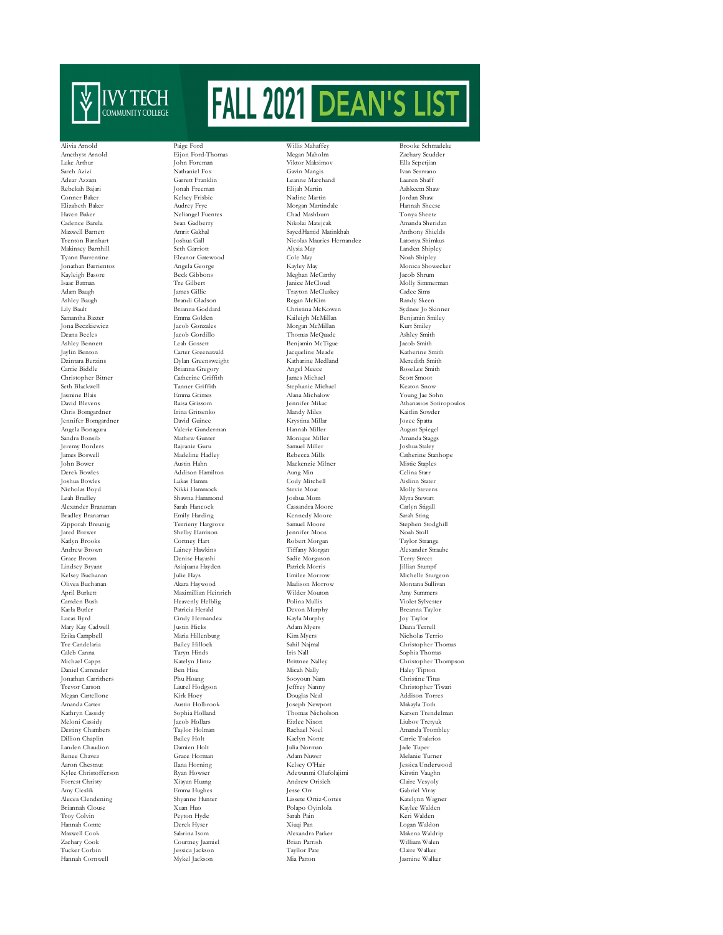

Jennifer Bomgardner David Guinee Krystina Millar Jozee Spatta Alexander Branaman Sarah Hancock Cassandra Moore Carlyn Stigall Erika Campbell Maria Hillenburg Kim Myers Nicholas National Maria Hillenburg Kim Myers National Bailey Hillock Sahil Najmal Daniel Carrender Ben Hise Micah Nally Micah Nally Jonathan Carrithers Phu Hoang Sooyoun Nam Amanda Carter Austin Holbrook Joseph Newport Makayla Toth Landen Chaudion

Alivia Arnold Paige Ford Willis Mahaffey Brooke Schmadeke<br>Amerikyst Arnold Fiion Ford Thomas Megan Maholm Zachary Scydder Neliangel Fuentes Carter Greenawald Hannah Cornwell Mykel Jackson Mia Patton Mia Patton Jackson Mia Patton Jackson Mia Patton Jackson Mia Patton Jackson Mia Patton Jackson Mia Patton Jackson Mia Patton Jackson Mia Patton Jackson Mia Patton Jackson Mia Patton

Amethyst Arnold **Eijon Ford-Thomas** Megan Maholm **Zachary Scudder** Zachary Scudder Luke Arthur John Foreman Viktor Maksimov Ella Sepetjian Sareh Azizi Nathaniel Fox Gavin Mangis Ivan Serrrano Adear Azzam Garrett Franklin Leanne Marchand Lauren Shaff Rebekah Bajari Jonah Freeman Elijah Martin Aahkeem Shaw Conner Baker Kelsey Frisbie Nadine Martin Jordan Shaw Elizabeth Baker Audrey Frye Morgan Martindale Haven Baker Audrey Frye Morgan Martindale Hannah Sheetz<br>Hannah Sheetz Neliangel Fuentes Chad Mashburn Tonya Sheetz Cadence Barela Sean Gadberry Nikolai Matejcak Amanda Sheridan Maxwell Barnett Amrit Gakhal SayedHamid Matinkhah Anthony Shields Trenton Barnhart Joshua Gall Nicolas Mauries Hernandez Latonya Shimkus Makinsey Barnhill Seth Garriott Alysia May Landen Shipley Tyann Barrentine Eleanor Gatewood Cole May Noah Shipley Jonathan Barrientos Angela George Kayley May Monica Showecker Kayleigh Basore Beck Gibbons Meghan McCarthy Jacob Shrum Isaac Batman Tre Gilbert Janice McCloud Molly Simmerman .<br>Travton McCluskey Ashley Baugh Brandi Gladson (Brandi Gladson Regan McKim Randy Skeen Randy Skeen Brandi Gladson Regan McKim Randy Skeen (Branna Goddard Christina McKowen Sydnee Jo Skinner Lily Bault Brianna Goddard Christina McKowen Sydnee Jo Skinner Samantha Baxter Emma Golden Kaileigh McMillan Benjamin Smiley Morgan McMillan Deana Beeles Jacob Gordillo Thomas McQuade Ashley Smith Ashley Bennett Leah Gossett Benjamin McTigue Jacob Smith Dzintara Berzins Dylan Greensweight Katharine Medland Meredith Smith Carrie Biddle Brianna Gregory Angel Meece RoseLee Smith Christopher Bitner Catherine Griffith James Michael Scott Smoot Seth Blackwell Tanner Griffith Stephanie Michael Keaton Snow (Keaton Snow Noung Jasmine Blais Stephanie Michael Keaton Snow Noung Ja<br/>e ${\bf Sc}$ Jasmine Blais Emma Grimes Alana Michalow Young Jae Sohn David Blevens Raisa Grissom Jennifer Mikac Athanasios Sotiropoulos Chris Bomgardner Irina Gritsenko Mandy Miles Kaitlin Sowder Sandra Bonsib Mathew Gunter Monique Miller Amanda Staggs Jeremy Borders Rajranie Guru Samuel Miller Joshua Staley James Boswell Madeline Hadley Rebecca Mills Catherine Stanhope John Bower Austin Hahn Mackenzie Milner Mistie Staples Derek Bowles Addison Hamilton Aung Min Celina Starr Joshua Bowles Lukas Hamm Cody Mitchell Aislinn Stater Nicholas Boyd Nikki Hammock Stevie Moat Molly Stevens Shawna Hammond Joshua Mom Myra Stewart<br>1987 - Sarah Hancock Cassandra Moore (Carlyn Stigall<br>1998 - Emily Harding Kennedy Moore Sarah Sting Bradley Branaman Emily Harding Kennedy Moore Sarah Sting Zipporah Breunig Terrieny Hargrove Samuel Moore Stephen Stodghill  $\begin{tabular}{ll} \bf Schelby Harrison & {\bf \color{black}Jennifer Moos} & {\bf \color{black}Noah Stoll} \\ \bf \color{black}Corthey Hart & {\bf \color{black}Robert Morgan} & {\bf \color{black}Taylor Strange} \\ \end{tabular}$ Katlyn Brooks Cortney Hart Robert Morgan Taylor Strange Andrew Brown Lainey Hawkins Tiffany Morgan Alexander Straube Grace Brown Denise Hayashi Sadie Morguson Terry Street Lindsey Bryant Asiajuana Hayden Patrick Morris Jillian Stumpf Kelsey Buchanan Julie Hays Emilee Morrow Michelle Sturgeon Olivea Buchanan Akara Haywood Madison Morrow Montana Sullivan April Burkett Maximillian Heinrich Wilder Mouton Amy Summers Camden Bush Heavenly Helblig Polina Mullis Violet Sylvester Karla Butler Patricia Herald Devon Murphy Breanna Taylor Lucas Byrd Cindy Hernandez Kayla Murphy Joy Taylor Mary Kay Cadwell Justin Hicks Adam Myers Diana Terrell Caleb Canna Taryn Hinds Iris Nall Sophia Thomas Michael Capps (September 1992)<br>
Michael Capps (Schristopher Thomas Katelyn Hintz (September 1992)<br>
Michael Nally (September 1993)<br>
Michael Nally (September 1993)<br>
Michael Nally (September 1993)<br>
Michael Nally (September 19  $\begin{array}{lllllllllll} \text{Jonathan Carribers} & \text{Phu Hoang} & \text{Sooyoun Nam} & \text{Christine Titus} \\ \text{Trevor Carson} & \text{Laurel Hodgson} & \text{Jeffrey Nanny} & \text{Christopher Ti} \\ \text{Megan Cartellone} & \text{Kirk Hoey} & \text{Douglas Neal} & \text{Addison Torre} \\ \end{array}$ Trevor Carson Laurel Hodgson Jeffrey Nanny Christopher Tiwari Megan Cartellone Kirk Hoey Douglas Neal Addison Torres Kathryn Cassidy Sophia Holland Thomas Nicholson Karsen Trendelman Meloni Cassidy Jacob Hollars Eizlee Nixon Liubov Tretyuk Destiny Chambers Taylor Holman Rachael Noel Amanda Trombley Dillion Chaplin Bailey Holt Kaelyn Nonte Carrie Tsakrios Renee Chavez Grace Horman Adam Nuwer Melanie Turner Aaron Chestnut Ilana Horning Kelsey O'Hair Jessica Underwood Kylee Christofferson Ryan Howser Adewunmi Olufolajimi - Porrest Christy - Riagan Howser Adewunmi Olufolajimi - Porrest Christy - Riagan Howser - Riagan Howser - Riagan Howser - Andrew Orisich - Porrest Christy - Riagan How Forrest Christy Xiayan Huang Andrew Orisich Claire Vesyoly Amy Cieslik Emma Hughes Jesse Orr Gabriel Viray Alecea Clendening Shyanne Hunter Lissete Ortiz-Cortes Katelynn Wagner Briannah Clouse Xuan Huo Polapo Oyinlola Kaylee Walden Troy Colvin Peyton Hyde Sarah Pain Keri Walden Hannah Comte Derek Hyser Xiuqi Pan Logan Waldon Maxwell Cook Sabrina Isom Alexandra Parker Makena Waldrip Zachary Cook Courtney Jaamiel Brian Parrish William Walen Tucker Corbin Jessica Jackson Tayllor Pate Claire Walker

August Spiegel Christopher Thoma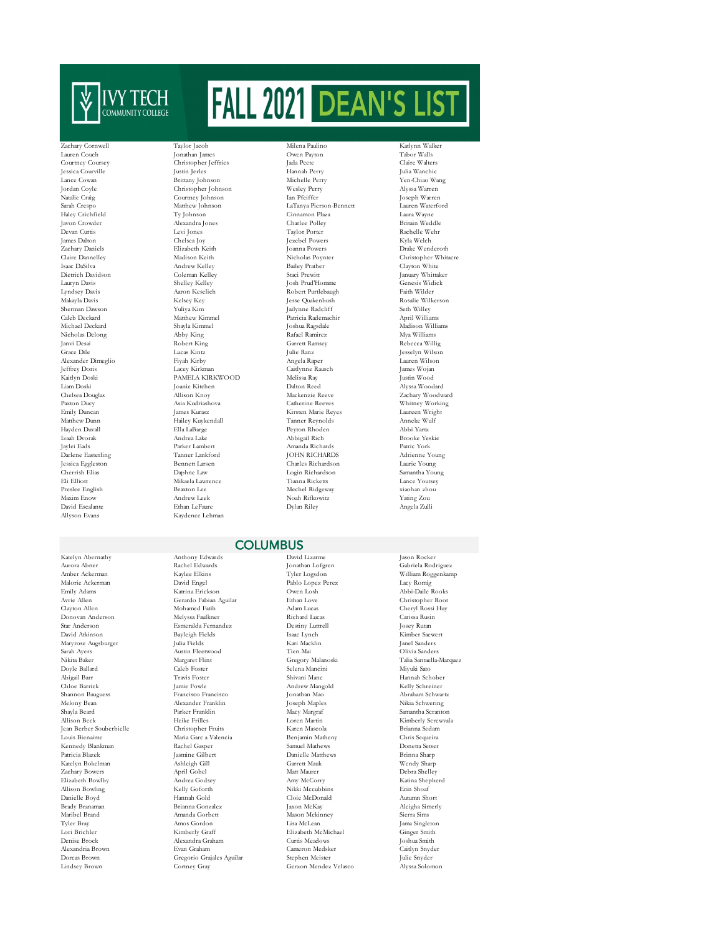

Allyson Evans Kaydence Lehman

Kennedy Blankman Rachel Gasper<br>
Patricia Blazek Jasmine Gilbert

Zachary Cornwell Taylor Jacob Milena Paulino Katlynn Walker Lauren Couch Jonathan James Owen Payton Tabor Walls Courtney Coursey Christopher Jeffries Jada Peete Claire Walters Jessica Courville Justin Jerles Hannah Perry Julia Wanchic Lance Cowan Brittany Johnson Michelle Perry Jordan Coyle (Natalie Craig Courtney Johnson Machelle Perry Natalie Craig Courtney Johnson Ian Pfeiffer Jordan Coyle Christopher Johnson Wesley Perry Alyssa Warren Natalie Craig Courtney Johnson Ian Pfeiffer Joseph Warren Sarah Crespo Matthew Johnson LaTanya Pierson-Bennett Lauren Waterford Haley Crichfield Ty Johnson (Ty Johnson Cinnamon Plaza Laura Wayne Laura Wayne )<br>- The Haley Charles Polley (Charles Polley Ritian Weddle Javon Crowder Alexandra Jones Charlee Polley Britain Weddle Devan Curtis Levi Jones Taylor Porter Rachelle Wehr James Dalton Chelsea Joy Jezebel Powers Kyla Welch Zachary Daniels Elizabeth Keith Joanna Powers Drake Wenderoth Claire Dannelley Madison Keith Nicholas Poynter Christopher Whitacre<br>
1920 - Tannew Kelley Madrew Kelley Bailey Prather Clayton White Isaac DaSilva Andrew Kelley Bailey Prather Clayton White Dietrich Davidson Coleman Kelley Staci Prewitt January Whittaker Lauryn Davis Shelley Kelley Josh Prud'Homme Genesis Widick Lyndsey Davis Aaron Keselich Robert Purtlebaugh Faith Wilder Makayla Davis Kelsey Key Jesse Quakenbush Rosalie Wilkerson Sherman Dawson Yuliya Kim Jailynne Radcliff Seth Willey Seth Willey (2016)<br>Caleb Deckard Matthew Kimmel Patricia Rademachir April Williams Caleb Deckard Matthew Kimmel Patricia Rademachir April Williams Nicholas Delong Abby King Rafael Ramirez Mya Williams Janvi Desai Robert King Garrett Ramsey Rebecca Willig Alexander Dimeglio Fiyah Kirby Angela Raper Lauren Wilson Jeffrey Doris Lacey Kirkman Caitlynne Rausch James Wojan Kaitlyn Doski PAMELA KIRKWOOD Melissa Ray Justin Wood Liam Doski Joanie Kitchen Dalton Reed Alyssa Woodard Chelsea Douglas Allison Knoy Mackenzie Reeve Zachary Woodward Paxton Ducy Asia Kudriashova Catherine Reeves Whitney Working Emily Duncan James Kurasz Kirsten Marie Reyes Laureen Wright Matthew Dunn Hailey Kuykendall Tanner Reynolds Anneke Wulf Hayden Duvall Ella LaBarge Peyton Rhoden Abbi Yartz Izaah Dvorak Andrea Lake Abbigail Rich Brooke Yeskie Jaylei Eads Parker Lambert Amanda Richards Patric York Darlene Easterling Tanner Lankford JOHN RICHARDS Adrienne Young Jessica Eggleston Bennett Larsen Charles Richardson Laurie Young Eli Elliott Mikaela Lawrence Tianna Ricketts Lance Youtsey Preslee English Braxton Lee Mechel Ridgeway xiaohan zhou Maxim Enow Andrew Leek Noah Rifkowitz Yating Zou

Katelyn Abernathy Anthony Edwards David Lizarme Jason Rocker Aurora Abner Rachel Edwards Jonathan Lofgren Gabriela Rodriguez Amber Ackerman Kaylee Elkins Tyler Logsdon William Roggenkamp Malorie Ackerman David Engel Pablo Lopez Perez Lacy Romig Emily Adams Katrina Erickson Owen Losh Abbi-Daile Rooks Avrie Allen Gerardo Fabian Aguilar Ethan Love Christopher Root Mohamed Fatih Mohamed Fatih Adam Lucas (Cheryl Rossi Huy<br/> Mehryl Rossi Huy<br> Mehrsa Rusin Richard Lucas (Carissa Rusin Donovan Anderson Melyssa Faulkner Richard Lucas Carissa Rusin Star Anderson Esmeralda Fernandez Destiny Luttrell Josey Rutan David Atkinson Bayleigh Fields Isaac Lynch Kimber Saewert Maryrose Augsburger Julia Fields Kari Macklin Janel Sanders Sarah Ayers Austin Fleetwood Tien Mai Olivia Sanders Doyle Ballard Caleb Foster Selena Mancini Miyuki Sato Abigail Barr Travis Foster Shivani Mane Hannah Schober Chloe Barrick Jamie Fowle Andrew Mangold Kelly Schreiner **Francisco Francisco** Melony Bean Alexander Franklin Joseph Maples<br>Melony Bean Alexander Franklin Joseph Maples<br>Shavla Beard Samantha Scranto Shayla Beard Parker Franklin Macy Margraf Samantha Scranton Allison Beck Heike Frilles (Den Martin Loren Martin Kimberly Screwvala)<br>1991 - Jean Berber Souberbielle (Christopher Fruits (Den Mascola (Regional Brianna Sedam) Jean Berber Souberbielle Christopher Fruits Karen Mascola Brianna Sedam Maria Garc a Valencia **Benjamin Matheny Chris Sequeira**<br>Rachel Gasper **Chris Sequeira**<br>Donetta Setser Patricia Blazek Jasmine Gilbert Danielle Matthews Brinna Sharp Katelyn Bokelman Ashleigh Gill Garrett Mauk Wendy Sharp Zachary Bowers April Gobel Matt Maurer Debra Shelley Elizabeth Bowlby Andrea Godsey Amy McCorry Katina Shepherd Allison Bowling Kelly Goforth Nikki Mccubbins Erin Shoaf Danielle Boyd Hannah Gold Cloie McDonald Autumn Short Maribel Brand Amanda Gorbett Mason Mckinney Sierra Sims Tyler Bray Amos Gordon Lisa McLean Jama Singleton Lori Brichler Kimberly Graff Elizabeth McMichael Ginger Smith Alexandra Graham Alexandria Brown Evan Graham Cameron Medsker Caitlyn Snyder Dorcas Brown Gregorio Grajales Aguilar Stephen Meister Julie Snyder Julie Snyder<br>1990 - Grand Grandes Aguilar Stephen Meister Julie Snyder<br>1991 - Gerzon Mendez Velasco Alyssa Solomon

# Joshua Ragsdale Login Richardson David Escalante Ethan LeFaure Dylan Riley Angela Zulli

## **COLUMBUS**

Gregory Malanoski Gerzon Mendez Velasco Aleigha Simerly

Jesselyn Wilson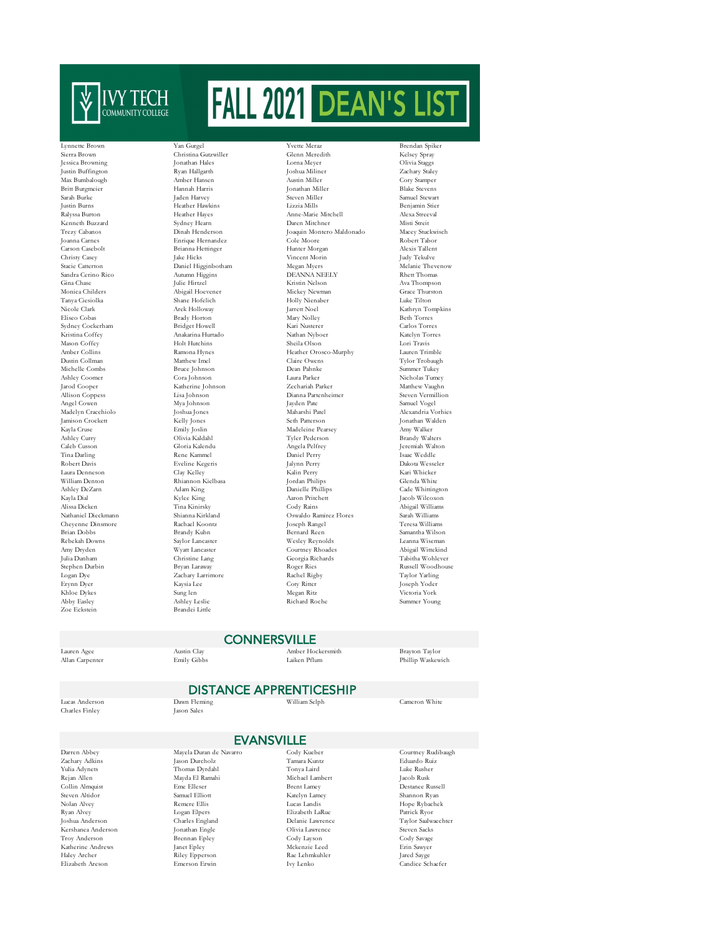

Justin Buffington Ryan Hallgarth Joshua Miliner Zachary Staley Sydney Cockerham Cheyenne Dinsmore Rachael Koontz Joseph Rangel Joseph Rangel Teresa Rachael Koontz Joseph Rangel Teresa Williams Bernard Reen Bernard Reen Rachael Koontz Abby Easley Ashley Leslie Richard Roche<br>
Toe Eckstein Readei Little

Reandei Little

Lynnette Brown Yan Gurgel Yvette Meraz Brendan Spiker Sierra Brown Christina Gutzwiller Glenn Meredith Kelsey Spray Jessica Browning Jonathan Hales Lorna Meyer Olivia Staggs Britt Burgmeier Hannah Harris Jonathan Miller Blake Stevens Sarah Burke Jaden Harvey Steven Miller Samuel Stewart Justin Burns Heather Hawkins Lizzia Mills Benjamin Stier Anne-Marie Mitchell Kenneth Buzzard Sydney Hearn Daren Mitchner Misti Streit Trezy Cabanos Dinah Henderson Joaquin Montero Maldonado Macey Stuckwisch Joanna Carnes Enrique Hernandez Cole Moore Robert Tabor Carson Casebolt Brianna Hettinger Hunter Morgan Alexis Tallent Christy Casey Jake Hicks Vincent Morin Judy Tekulve Stacie Catterton Daniel Higginbotham Megan Myers Melanie Thevenow Medanie Thevenow Daniel Higginbotham Megan Myers Melanie Thevenow Sandra Cerino Rico Autumn Higgins DEANNA NEELY Rhett Thomas Sandra Cerino Rico Autumn Higgins DEANNA NEELY Rhett Thomas Gina Chase Julie Hirtzel Kristin Nelson Ava Thompson Monica Childers Abigail Hoevener Mickey Newman Grace Thurston Tanya Ciesiolka Shane Hofelich Holly Nienaber Luke Tilton Nicole Clark Arek Holloway Jarrett Noel Kathryn Tompkins Eliseur Beth Torres<br>
Elise Bridget Howell Mary Nolley Rari Nusterer Carlos Torres<br>
Carlos Torres Kristina Coffey Anakarina Hurtado Nathan Nyboer Katelyn Torres Mason Coffey Holt Hutchins Sheila Olson Lori Travis Heather Orosco-Murphy Dustin Collman Matthew Imel Claire Owens Tylor Trobaugh Michelle Combs Bruce Johnson Dean Pahnke Summer Tukey Ashley Coomer Cora Johnson Laura Parker Nicholas Tumey Jarod Cooper Katherine Johnson Zechariah Parker Matthew Vaughn Lisa Johnson Dianna Partenheimer<br>Mya Johnson Dianna Partenheimer Angel Cowen Mya Johnson Jayden Pate Samuel Vogel Madelyn Cracchiolo Joshua Jones Maharshi Patel Alexandria Vorhies Jamison Crockett Kelly Jones Seth Patterson Jonathan Walden Kayla Cruse Emily Joslin Madeleine Pearsey Amy Walker Ashley Curry Olivia Kaldahl Tyler Pederson Brandy Walters Caleb Cusson Gloria Kalendu Angela Pelfrey Jeremiah Walton Tina Darling Rene Kammel Daniel Perry Isaac Weddle Robert Davis Eveline Kegeris Jalynn Perry Dakota Wesseler Laura Denneson Clay Kelley Kalin Perry Kari Whicker William Denton Rhiannon Kielbasa Jordan Philips Glenda White Ashley DeZarn Adam King Danielle Phillips Cade Whittington Kayla Dial Kylee King Aaron Pritchett Jacob Wilcoxon Alissa Dicken Tina Kinirsky Cody Rains Abigail Williams Nathaniel Dieckmann Shianna Kirkland Oswaldo Ramirez Flores Sarah Williams<br>Rachael Koontz – Joseph Rangel – Teresa Williams<br>Teresa Williams Rebekah Downs Saylor Lancaster Wesley Reynolds Leanna Wiseman Amy Dryden Wyatt Lancaster Courtney Rhoades Abigail Wittekind Julia Dunham Christine Lang Georgia Richards Tabitha Wohlever Stephen Durbin Bryan Laraway Roger Ries Russell Woodhouse Logan Dye Zachary Larrimore Rachel Rigby Taylor Yarling Erynn Dyer Kaysia Lee Coty Ritter Joseph Yoder Khloe Dykes Sung len Megan Ritz Victoria York

Cory Stamper Samantha Wilson

## **CONNERSVILLE**

Lauren Agee Austin Clay Amber Hockersmith Brayton Taylor

## DISTANCE APPRENTICESHIP

Lucas Anderson Dawn Fleming William Selph Cameron White

Troy Anderson

Allan Carpenter

Charles Finley

Logan Elpers

## **EVANSVILLE**

Zachary Adkins Jason Durcholz Tamara Kuntz Eduardo Ruiz Yulia Adynets Thomas Dyrdahl Tonya Laird Luke Rusher Rejan Allen Mayda El Ramahi Michael Lambert Jacob Rusk Collin Almquist Eme Elleser Brent Lamey Destanee Russell Steven Altidor Samuel Elliott Katelyn Lamey Shannon Ryan Nolan Alvey Remere Ellis Lucas Landis Hope Rybachek Kershanea Anderson Jonathan Engle Olivia Lawrence Steven Sacks Katherine Andrews Janet Epley Mckenzie Leed Erin Sawyer Haley Archer Riley Epperson Rae Lehmkuhler Jared Sayge

Darren Abbey Mayela Duran de Navarro Cody Kueber Courtney Rudibaugh Joshua Anderson Charles England Delanie Lawrence Taylor Saalwaechter Jared Sayge<br>Candice Schaefer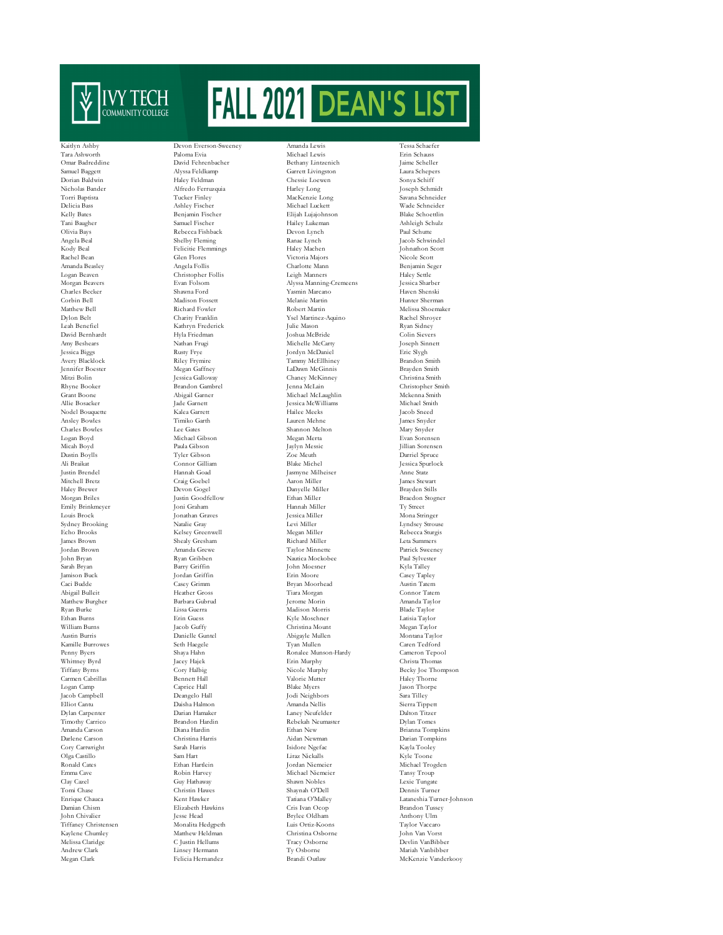

Echo Brooks Kelsey Greenwell<br>
James Brown Shealy Gresham Whittney Byrd Jacey Hajek Erin Murphy Christany Byrns Cory Halbig Nicole Murphy Christ  $\fbox{Jacob Campbell} \begin{tabular}{l} Dcangelo Hall \\ Elliot Cantu \\ Dlasha Halmon \\ \end{tabular} \begin{tabular}{l} \multicolumn{3}{l}{{\textbf{I}}}{\textbf{I}}{ \textbf{I}}{ \textbf{I}}{ \textbf{I}}{ \textbf{I}}{ \textbf{I}}{ \textbf{I}}{ \textbf{I}}{ \textbf{I}}{ \textbf{I}}{ \textbf{I}}{ \textbf{I}}{ \textbf{I}}{ \textbf{I}}{ \textbf{I}}{ \textbf{I}}{ \textbf{I}}{ \textbf{I}}{ \textbf{I}}{ \textbf{I}}{ \textbf{I}}{ \textbf{I}}{ \$ Cory Cartwright

Kaitlyn Ashby Devon Everson-Sweeney Amanda Lewis Tessa Schaefer Tara Ashworth Paloma Evia Michael Lewis Erin Schauss Kathryn Frederick Lee Gates Shannon Melton Shannon Melton Michael Gibson Shannon Melton Merca Linsey Hermann

Omar Badreddine David Fehrenbacher Bethany Lintzenich Jaime Scheller Samuel Baggett Alyssa Feldkamp Garrett Livingston Laura Schepers Dorian Baldwin Haley Feldman Chessie Loewen Sonya Schiff Nicholas Bander Alfredo Ferruzquia Harley Long Joseph Schmidt Torri Baptista Tucker Finley MacKenzie Long Savana Schneider Delicia Bass Ashley Fischer Michael Luckett Wade Schneider Elijah Lujajohnson Tani Baugher Samuel Fischer Hailey Lukeman Ashleigh Schulz Olivia Bays Rebecca Fishback Devon Lynch Paul Schutte Ranae Lynch Jacob Schwindel<br>Haley Machen Johnathon Scott Kody Beal Felicitie Flemmings Haley Machen Johnathon Scott Rachel Bean Glen Flores Victoria Majors Nicole Scott Amanda Beasley Angela Follis Charlotte Mann Benjamin Seger Logan Beaven Christopher Follis Leigh Manners Haley Settle Morgan Beavers Evan Folsom Alyssa Manning-Cremeens Jessica Sharber Charles Becker Shawna Ford Yasmin Marcano Haven Shenski Corbin Bell Madison Fossett Melanie Martin Hunter Sherman Matthew Bell Richard Fowler Robert Martin Melissa Shoemaker Dylon Belt Charity Franklin Ysel Martinez-Aquino Rachel Shroyer David Bernhardt Hyla Friedman Joshua McBride Colin Sievers Amy Beshears Nathan Frugi Michelle McCarty Joseph Sinnett .<br>Jordyn McDaniel Avery Blacklock Riley Frymire Tammy McEllhiney Brandon Smith Jennifer Boester Megan Gaffney LaDawn McGinnis Brayden Smith Mitzi Bolin Jessica Galloway Chaney McKinney Christina Smith Rhyne Booker Brandon Gambrel Jenna McLain Christopher Smith Michael McLaughlin<br>Iessica McWilliams Allie Bosacker Jade Garnett Jessica McWilliams Michael Smith Nodel Bouquette Kalea Garrett Hailee Meeks Jacob Sneed Ansley Bowles Timiko Garth Lauren Mehne James Snyder Logan Boyd Michael Gibson Megan Merta Evan Sorensen Micah Boyd Paula Gibson Jaylyn Messic Jillian Sorensen Dustin Boylls Tyler Gibson Zoe Meuth Darriel Spruce Ali Braikat Connor Gilliam Blake Michel Jessica Spurlock Jasmyne Milheiser Mitchell Bretz Craig Goebel Aaron Miller James Stewart Haley Brewer Devon Gogel Danyelle Miller Brayden Stills Emily Brinkmeyer Joni Graham Hannah Miller Ty Street Louis Brock Jonathan Graves Jessica Miller Mona Stringer Sydney Brooking Matalie Gray Matalie Gray Miller (Experimental Lyndsey Strouse)<br>
Rebecca Strouse (Echo Brooks Kelsey Greenwell (Echo Megan Miller (Echo Rebecca Sturgis James Brown Shealy Gresham Richard Miller Leta Summers Jordan Brown Amanda Grewe Taylor Minnette Patrick Sweeney John Bryan Ryan Gribben Nautica Mockobee Paul Sylvester Sarah Bryan Barry Griffin John Moesner Kyla Talley Jamison Buck Jordan Griffin Erin Moore Casey Tapley Caci Budde Casey Grimm Bryan Moorhead Austin Tatem Abigail Bulleit Heather Gross Tiara Morgan Connor Tatem Matthew Burgher Barbara Gubrud Jerome Morin Amanda Taylor Amanda Taylor Barbara Gubrud Jerome Morin Amanda Taylor Ryan Burke Lissa Guerra Madison Morris Blade Taylor Ethan Burns Erin Guess Kyle Moschner Latisia Taylor William Burns Jacob Guffy Christina Mount Megan Taylor Austin Burris Danielle Guntel Abigayle Mullen Montana Taylor Kamille Burrowes Seth Haegele Tyan Mullen Caren Tedford Penny Byers Shaya Hahn Ronalee Munson-Hardy Cameron Tepool Tiffany Byrns Cory Halbig Nicole Murphy Becky Joe Thompson Bennett Hall Valorie Mutter Haley Thorne Logan Camp Caprice Hall Blake Myers Jason Thorpe Elliot Cantu Daisha Halmon Amanda Nellis Sierra Tippett Laney Neufelder Timothy Carrico Brandon Hardin Rebekah Neumaster Dylan Tomes Amanda Carson Diana Hardin Ethan New Brianna Tompkins Darlene Carson Christina Harris Aidan Newman Darian Tompkins Olga Castillo Sam Hart Liraz Nickalls Kyle Toone Ronald Cates Ethan Hartlein Jordan Niemeier Michael Trogden Emma Cave Robin Harvey Michael Niemeier Tansy Troup Clay Cazel Guy Hathaway Shawn Nobles Lexie Tungate Tomi Chase Christin Hawes Shaynah O'Dell Dennis Turner Enrique Chauca Kent Hawker Tatiana O'Malley Lataneshia Turner-Johnson Damian Chism Elizabeth Hawkins Cris Ivan Ocop Brandon Tussey John Chivalier Jesse Head Brylee Oldham Anthony Ulm Tiffaney Christensen Monalita Hedgpeth Luis Ortiz-Koons Taylor Vaccaro Kaylene Chumley Matthew Heldman Christina Osborne John Van Vorst Melissa Claridge C Justin Hellums Tracy Osborne Devlin VanBibber Megan Clark Felicia Hernandez Brandi Outlaw McKenzie Vanderkooy

 $Braedon Stogner$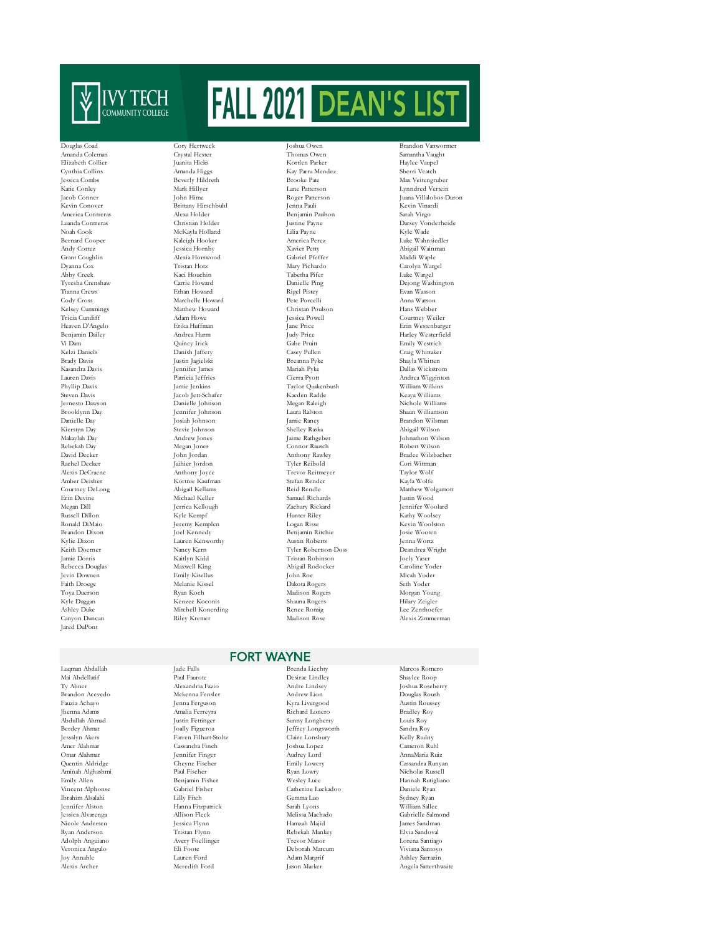

America Contreras Alexa Holder<br>Benjamin Paulson Sarah Virgon Sarah Virgin Paulson Sarah Virgin Paulson Sarah Virgon Sarah Virgon Sarah Virgon<br>Sarah Virgon Sarah Virgon Sarah Virgon Sarah Virgon Sarah Virgon Sarah Virgon Sa Jared DuPont

Aminah Alghashmi<br>Emily Allen

Adolph Anguiano

Cynthia Collins Amanda Higgs (Kay Parra Mendez Sherri Veature of Sherri Veature of Sherri Veature of Sherri Ve<br>
Reverly Hildreth (Brooke Pate Brittany Hirschbuhl Jenna Pauli Jenna Pauli Alexa Holder Benjamin Paulson Noah Cook McKayla Holland Lilia Payne Kyle Wade Kelsey Cummings Matthew Howard Christan Poulson Hans Webber Anthony Joyce

Douglas Coad Cory Hertweck Joshua Owen Brandon Vanwo Amanda Coleman Crystal Hester Thomas Owen Samantha Vaught Elizabeth Collier Juanita Hicks Kortlen Parker Haylee Vaupel Katie Conley Mark Hillyer Lane Patterson Lynndred Vertein America Contreras Alexa Holder Benjamin Paulson Sarah Virgo (Anada Contreras Alexa Holder Justine Payne Darsey Vonderheide<br>1991 - Noah Cook (Anada Justine Payne Darsey Vonderheide Noah Cook (Anada Julia Payne Kyle Wade America Perez Luke Wahnsiedler<br>Bernard Hooker Abigail Wainman Andy Cortez **Abigail Wainman Mexica Hornby** Avier Petty Abigail Wainman Alexia Horswood<br>
Abigail Wainman Alexia Horswood Gabriel Pfeffer Maddi Wanle Grant Coughlin Alexia Horswood Gabriel Pfeffer Maddi Waple Dyanna Cox Tristan Hotz Mary Pichardo Carolyn Wargel Abby Creek Luke Wargel (Aci Houchin Tabetha Pifer Luke Wargel Luke Wargel<br>Abby Creek Creeshaw Carrie Howard Danielle Pino Dejono Wasl Tyresha Crenshaw Carrie Howard Danielle Ping Dejong Washington Tianna Crews Ethan Howard Rigel Pistey Evan Wasson Cody Cross Marchelle Howard Pete Porcelli Anna Watson Tricia Cundiff Adam Howe Jessica Powell Courtney Weiler Benjamin Dailey Andrea Hurm Judy Price Harley Westerfield Vi Dam Quincy Irick Gabe Pruitt Emily Westrich Brady Davis Justin Jagielski Breanna Pyke Shayla Whitten Kasandra Davis Jennifer James Mariah Pyke Dallas Wickstrom Lauren Davis Patricia Jeffries Cierra Pyott Andrea Wigginton Phyllip Davis Jamie Jenkins Taylor Quakenbush William Wilkins )<br>Steven Davis Jacob Jett-Schafer (Kaeden Radde Keaya Williams (Keaya Williams )<br>Nichole Williams (Kean Raleigh (Kealing ) Jernesto Dawson Danielle Johnson Megan Raleigh Nichole Williams Brooklynn Day Jennifer Johnson Laura Ralston Shaun Williamson Danielle Day Josiah Johnson Jamie Raney Brandon Wilsman Kierstyn Day Stevie Johnson Shelley Raska Abigail Wilson Makaylah Day Andrew Jones Jaime Rathgeber Johnathon Wilson Rebekah Day Megan Jones Connor Rausch Robert Wilson<br>David Decker John Jordan Anthony Rawley Bradee Wilzbae David Decker John Jordan Anthony Rawley Bradee Wilzbacher Rachel Decker Jaihier Jordon Tyler Reibold Cori Wittman Cori Wittman (2014)<br>Alexis DeCraene Anthony Joyce Trevor Reitmeyer Taylor Wolf Amber Deisher Kortnie Kaufman Stefan Render Kayla Wolfe Courtney DeLong Abigail Kellams Reid Rendle Matthew Wolgamott Erin Devine Michael Keller Samuel Richards Justin Wood Megan Dill Jerrica Kellough Zachary Rickard Jennifer Woolard Russell Dillon Kyle Kempf Hunter Riley Kathy Woolsey Ronald DiMaio Jeremy Kemplen Logan Risse Kevin Woolston Benjamin Ritchie Kylie Dixon Lauren Kenworthy Austin Roberts Jenna Wortz Keith Doerner Nancy Kern Tyler Robertson-Doss Deandrea Weith Interventional State of Texas (2012)<br>1991 - Jamie Doernes Nancy Kaitlyn Kidd (2013)<br>1991 - Tristan Robinson (2019) - Tristan Robinson (2019) - Tristan Robinson Jamie Dorris Kaitlyn Kidd Tristan Robinson Joely Yaser - National Rebecca Douglas Maxwell King Maxwell King Abigail Rodocker Caroline Yote<br>1996 - Caroline Yotel Caroline Caroline Yotel (Particulus Regional Repeated Abigail Rodor)<br>1996 - Micah Yotel Caroline Caroline Caroline ( Jevin Downen Emily Kisellus John Roe Micah Yoder Faith Droege Melanie Kissel Dakota Rogers Seth Yoder Toya Duerson Ryan Koch Madison Rogers Morgan Young Kyle Duggan Kenzee Koconis Shauna Rogers Hilary Zeigler Ashley Duke Mitchell Konerding Renee Romig Lee Zenthoefer Canyon Duncan Riley Kremer Madison Rose Alexis Zimmerman

Max Veitengruber Jacob Conner John Hime Roger Patterson Juana Villalobos-Duron Heaven D'Angelo Erika Huffman Jane Price Erin Westenbarger Kelzi Daniels Danish Jaffery Casey Pullen Craig Whittaker

## FORT WAYNE

Luqman Abdallah Jade Falls Brenda Liechty Marcos Romero Hanna Fitzpatrick

Mai Abdellatif Paul Faurote Desirae Lindley Shaylee Roop Ty Abner Alexandria Fazio Andre Lindsey Joshua Roseberry Brandon Acevedo Mckenna Fensler Andrew Lion Douglas Roush Fauzia Achayo Jenna Ferguson Kyra Livergood Austin Roussey Jhenna Adams Amalia Ferreyra Richard Lonero Bradley Roy Abdullah Ahmad Justin Fettinger Sunny Longberry Louis Roy Berdey Ahmat Joally Figueroa Jeffrey Longsworth Sandra Roy Jessalyn Akers Farren Filhart-Stoltz Claire Lonsbury Kelly Rudny Amer Alahmar Cassandra Finch Joshua Lopez Cameron Ruhl Omar Alahmar Jennifer Finger Audrey Lord AnnaMaria Ruiz Quentin Aldridge Cheyne Fischer Emily Lowery Cassandra Runyan Emiamin Fisher Mesley Luce Hannah Rutigliano<br>Cabriel Fisher Catherine Luckadoo Daniele Ryan Vincent Alphonse Gabriel Fisher Catherine Luckadoo Daniele Ryan Ibrahim Alsalahi Lilly Fitch Gemma Luo Sydney Ryan Jessica Alvarenga Allison Fleck Melissa Machado Gabrielle Salmond Nicole Andersen Jessica Flynn Hamzah Majid James Sandman y Kebekah Mankey (Rebekah Mankey Elvia Sandoval Research)<br>Avery Foellinger (Rever Mancro Rantiago (Rever Mancro Research) Veronica Angulo Eli Foote Deborah Marcum Viviana Santoyo - Adam Margrif (Ashley Sarrazin)<br>Joy Annable (Alexis Archer Ashley Sarrazin)<br>Alexis Archer (Annable Annable Ashley Sarrazin)

Angela Satterthwaite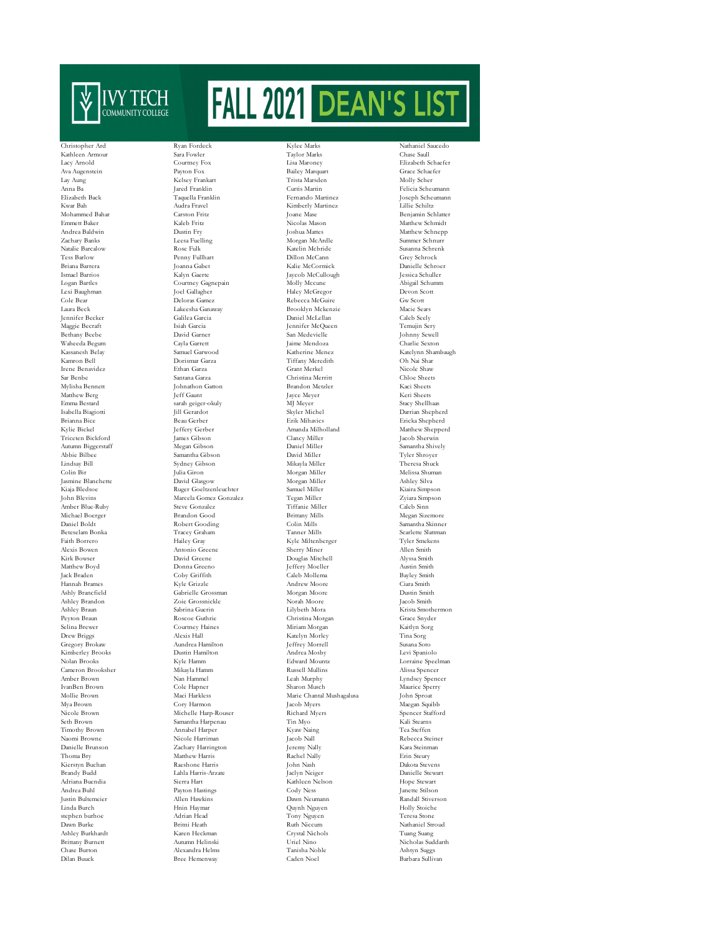

Gregory Brokaw Cameron Brooksher stephen burhoe

Christopher Ard Ryan Fordeck Kylee Marks Nathaniel Saucedo Kathleen Armour Sara Fowler Taylor Marks Chase Saull Lacy Arnold Courtney Fox Lisa Maroney Elizabeth Schaefer Ava Augenstein Payton Fox Bailey Marquart Grace Schaefer Lay Aung Kelsey Frankart Trista Marsden Molly Scher Anna Ba Jared Franklin Curtis Martin Felicia Scheumann Elizabeth Back Taquella Franklin Fernando Martinez Joseph Scheumann Kwar Bah Audra Fravel Kimberly Martinez (Kimberly Martinez Lillie Audra Fravel Schwar Bah Audra Fravel Schwar<br>Schwar Garston Fritz (Schwar Schwar Schwar Schwar Schwar Schwar Schwar Schwar Schwar Schwar Schwar Schwar Schw Emmett Baker Kaleb Fritz Nicolas Mason Matthew Schmidt Andrea Baldwin Dustin Fry Joshua Mattes Matthew Schnepp Zachary Banks Leesa Fuelling Morgan McArdle Summer Schnurr Natalie Barcalow Rose Fulk (Register of the Katelin Mcbride Susanna Schre<br>Tess Barlow Rose Full McCann (Register Schrenk Register Schrenk Register Schrenk Register Schrenk Register Schrenk Tess Barlow Penny Fullhart Dillon McCann Grey Schrock Briana Barrera Joanna Gabet Kalie McCormick Danielle Schroer Ismael Barrios Kalyn Gaerte Jaycob McCullough Jessica Schuller Logan Bartles Courtney Gagnepain Molly Mccune Abigail Schumm Cole Bear Deloras Gamez Rebecca McGuire Gw Scott Jennifer Becker Galilea Garcia Daniel McLellan Caleb Seely Bethany Beebe David Garner San Medevielle Johnny Sewell Waheeda Begum Cayla Garrett Jaime Mendoza Charlie Sexton Kamron Bell Dorismar Garza Tiffany Meredith Oh Nai Shar Irene Benavidez Ethan Garza Grant Merkel Nicole Shaw Sar Benbe Santana Garza Christina Merritt Chloe Sheets Matthew Berg Jeff Gaunt Jayce Mey<br>Firm Bestard Sarah orient-okuly MI Meyer Emma Bestard sarah geiger-okuly MJ Meyer Stacy Shellhaas Isabella Biagiotti Jill Gerardot Skyler Michel Darrian Shepherd Brianna Bice Beau Gerber Erik Mihavics Ericka Shepherd Triceten Bickford James Gibson Clancy Miller Jacob Sherwin Autumn Biggerstaff Megan Gibson Daniel Miller Samantha Shively Abbie Bilbee Samantha Gibson David Miller Tyler Shroyer Lindsay Bill Sydney Gibson Mikayla Miller Theresa Shuck Colin Bir Julia Giron Morgan Miller Melissa Shuman Jasmine Blanchette David Glasgow Morgan Miller Ashley Silva Kiaja Bledsoe Ruger Goeltzenleuchter Samuel Miller Kiaira Simpson Amber Blue-Ruby Steve Gonzalez Tiffanie Miller Caleb Sinn Michael Boerger Brandon Good Brittany Mills Megan Sizemore<br>
Michael Boerger Brandon Good Brittany Mills<br>
Michael Boldt Robert Gooding Colin Mills Samantha Skinne  $\begin{tabular}{ll} Daniel Boltz\\ Beterelam Bonka\\ & \multicolumn{3}{l}{{\bf Table 1}}\\ & \multicolumn{3}{l}{{\bf Table 2}}\\ & \multicolumn{3}{l}{{\bf Tree 3}}\\ & \multicolumn{3}{l}{{\bf Tree 4}}\\ & \multicolumn{3}{l}{{\bf Tree 5}}\\ & \multicolumn{3}{l}{{\bf Tree 6}}\\ & \multicolumn{3}{l}{{\bf Tree 7}}\\ \end{tabular} \begin{tabular}{ll} \multicolumn{3}{l}{{\bf Table 3}}\\ & \multicolumn{3}{l}{{\bf Step 4}}\\ \multicolumn{3}{l}{{\bf Step 5}}\\ \multicolumn{3}{l}$ Faith Borrero Hailey Gray Kyle Miltenberger Tyler Smekens Alexis Bowen Antonio Greene Sherry Miner Allen Smith Kirk Bowser David Greene Douglas Mitchell Alyssa Smith Matthew Boyd Donna Greeno Jeffery Moeller Austin Smith Jack Braden Coby Griffith Caleb Mollema Bayley Smith Hannah Brames Kyle Grizzle Andrew Moore Ciara Smith Ashly Brancfield Gabrielle Grossman Morgan Moore Dustin Smith Ashley Brandon Zoie Grossnickle Norah Moore Jacob Smith Ashley Brandon Zoie Grossnickle Norah Moore Jacob Smith Ashley Braun Sabrina Guerin Lilybeth Mora Krista Smothermon Peyton Braun Roscoe Guthrie Christina Morgan Grace Snyder Selina Brewer Courtney Haines Miriam Morgan Kaitlyn Sorg Kimberley Brooks Dustin Hamilton Andrea Mosby Levi Spaniolo Amber Brown Nan Hammel Leah Murphy Lyndsey Spencer IvanBen Brown Cole Hapner Sharon Musch Maurice Sperry Mollie Brown Maci Harkless Marie Chantal Mushagalusa<br>Mya Brown Cory Harmon Jacob Myers Mya Brown Cory Harmon Jacob Myers Maegan Squibb Michelle Harp-Rouser Seth Brown Samantha Harpenau Tin Myo Kali Stearns Timothy Brown Annabel Harper Kyaw Naing Tea Steffen Naomi Browne Nicole Harriman Jacob Nall Rebecca Steiner Zachary Harrington Thoma Bry Matthew Harris Rachel Nally Erin Steury Kierstyn Buchan Raeshone Harris John Nash Dakota Stevens Brandy Budd Lahla Harris-Arzate Jaclyn Neiger Danielle Stewart Adriana Buendia Sierra Hart Kathleen Nelson Hope Stewart Andrea Buhl Payton Hastings Cody Ness Janette Stilson Justin Bultemeier Allen Hawkins Dawn Neumann Randall Stiverson Linda Burch Hnin Haymar Quynh Nguyen Holly Stoiche Dawn Burke Britni Heath Ruth Niccum Nathaniel Stroud Ashley Burkhardt Karen Heckman Crystal Nichols Tuang Suang Brittany Burnett Autumn Helinski Uriel Nino Nicholas Sud<br>Chase Burton Nicholas Sud<br>Ashtyn Suggs - Nicholas Suddarthe Nicholas Suddarthe Nino Nicholas Suddarthe Nino Nicholas Suddarthe Nino Nicholas Suddarthe Nino Nicholas Alexandra Helms

Joane Mase Benjamin Schlatter<br>Nicolas Mason Benjamin Schlatter Haley McGregor Laura Beck Lakeesha Ganaway Brooklyn Mckenzie Macie Sears Jennifer McQueen Johnathon Gatton Brandon Metzler Kaci Sheets<br>1997 - Jayce Meyer Keri Sheets Keri Sheets Amanda Milholland Matthew Shepperd<br>Clancy Miller Matthew Shepperd<br>Matthew Shepperd John Blevins Marcela Gomez Gonzalez Tegan Miller Zyiara Simpson Drew Briggs Alexis Hall Katelyn Morley Tina Sorg  $\begin{tabular}{llllllll} \textbf{Dustin Hamilton} & \textbf{Andrea Mosby} & \textbf{Levi Spanish} \\ \textbf{Kyle Hamm} & \textbf{Edward Mountz} & \textbf{Lorraine Speechman} \\ \textbf{Mikayla Hamm} & \textbf{Ramum} & \textbf{Russell Mullins} & \textbf{Alissa Spencer} \\ \end{tabular}$ Dilan Buuck Bree Hemenway Caden Noel Barbara Sullivan

Katelynn Shambaugh Scarlette Slattman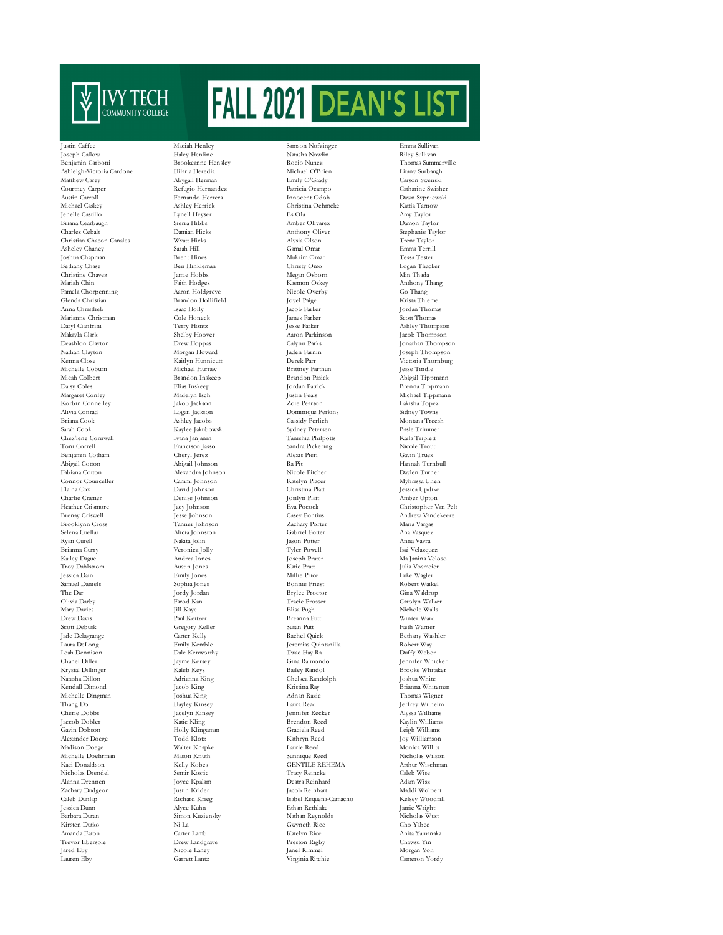

Benjamin Carboni Brookeanne Hensley Rocio Nunez Thomas Summerville Ashleigh-Victoria Cardone Hilaria Heredia Michael O'Brien Litany Surbaugh Matthew Carey Abygail Herman Emily O'Grady Carson Swenski Austin Carroll Fernando Herrera Innocent Odoh Dawn Sypniewski Jenelle Castillo Lynell Heyser Es Ola Amy Taylor Briana Cearbaugh Sierra Hibbs Amber Olivarez Damon Taylor Christian Chacon Canales Wyatt Hicks Alysia Olson Asheley Chaney Sarah Hill Gamal Omar Asheley Chaney Sarah Hill Gamal Omar Emma Terrill Berhany Chase Ben Hinkleman Ben Hinkleman Christy Omo Logan Thacker Christine Chavez Ben Hinkleman Christy Omo Logan Thacker Christine Chavez Jamie Hobbs Christine Chavez Jamie Hobbs Megan Osborn Mariah Chin<br>Mariah Chin Thaith Hodges Kaemon Oskey Pamela Chorpenning Glenda Christian Brandon Hollifield Joyel Paige Krista Thieme Anna Christlieb Isaac Holly Jacob Parker Jordan Thomas Marianne Christman Cole Honeck James Parker Scott Thomas Makayla Clark Shelby Hoover Aaron Parkinson Jacob Thompson Deashlon Clayton Drew Hoppas Calynn Parks Jonathan Thompson Kenna Close Kaitlyn Hunnicutt Derek Parr Victoria Thornburg Michelle Coburn 1996 - Michael Hurraw 1996 - Hurray Brittney Parthun 1996 - Hurraw 1996 - Hurray Brittney Parthun Jesse Tindle<br>1997 - Hurray Brandon Inskeep Brandon Pasick Abigail Tipp Micah Colbert Brandon Inskeep Brandon Pasick Abigail Tippmann (Abigail Tippmann Brandon Pasick Abigail Tippmann (Abigail Tippmann Brandon Pasick Abigail Tippmann (Abigail Tippmann (Abigail Tippmann Brenna Tippmann (Abigail Daisy Coles Elias Inskeep Jordan Patrick Brenna Tippmann Alivia Conrad Logan Jackson Dominique Perkins Sidney Towns Briana Cook Ashley Jacobs Cassidy Perlich Montana Treesh<br>Sarah Cook Kavlee Jakubowski Sydney Petersen Basle Trimmer Chez'lene Cornwall Ivana Janjanin Tanishia Philpotts Kaila Triplett Benjamin Cotham Cheryl Jerez Alexis Pieri Gavin Truex Abigail Cotton Abigail Johnson Ra Pit Gavin Truex Abigail Johnson Ra Pit Abigail Cotton Abigail Johnson Ra Pit Hannah Turnbull Connor Counceller Cammi Johnson Katelyn Placer Myhrissa Uhen Elaina Cox David Johnson Christina Platt Jessica Updike Brooklynn Cross Tanner Johnson Zachary Porter Maria Vargas Kailey Dague Andrea Jones Joseph Prater Ma Janina Veloso Troy Dahlstrom Austin Jones Katie Pratt Julia Vosmeier The Dar Jordy Jordan Brylee Proctor Gina Waldrop (1989)<br>
Olivia Darby Garolyn Walke Proced Carolyn Walke Proced Carolyn Walke Proced Carolyn Walke Olivia Darby Farod Kan Tracie Prosser Carolyn Walker Scott Debusk Gregory Keller Susan Putt Susan Putt Faith Warner Faith Warner (Susan Putt Faith Warner Pute Susan Putt Faith Warner Pute Susan Putt Faith Warner (Susan Putt Faith Warner Pute Susan Wash Jade Delagrange Carter Kelly Rachel Quick Bethany Washler Chanel Diller Jayme Kersey Gina Raimondo Jennifer Whicker Natasha Dillon Adrianna King Chelsea Randolph Joshua White Kendall Dimond Jacob King Kristina Ray Brianna Whiteman Michelle Dingman Joshua King Adnan Razic Adnan Razic Thang Do<br>
Hayley Kinsey Adnan Razi Thang Do Hayley Kinsey Laura Read Jeffrey Wilhelm Gavin Dobson Holly Klingaman Graciela Reed Leigh Williams Alexander Doege Todd Klotz Kathryn Reed Joy Williamson Madison Doege Michelle Doehrman Mason Knuth Nicholas Wilson (Sunnique Reed Nicholas Wilson Nicholas Wilson (SENTILE REHEMA Nicholas Wilson Arthur Wischman Nicholas Drendel Semir Kostic Tracy Reincke Caleb Wise Alanna Drennen Joyce Kpalam Deatra Reinhard Adam Wisz Caleb Dunlap Richard Krieg Isabel Requena-Camacho Kelsey Woodfill Jessica Dunn Alyce Kuhn Ethan Rethlake Jamie Wright Trevor Ebersole Drew Landgrave Preston Rigby Chawsu Yin

Justin Caffee Maciah Henley Samson Nofzinger Emma Sullivan Joseph Callow Haley Henline Natasha Nowlin Riley Sullivan Sarah Cook Kaylee Jakubowski Sydney Petersen Basle Trimmer Toni Correll Francisco Jasso Sandra Pickering Cheryl Jerez Alexis Pieri Alexandra Johnson Denise Johnson Alicia Johnston Gabriel Pott<br>Nakita Jolin Jason Potter

Refugio Hernandez Patricia Ocampo Catharine Swisher Michael Caskey Ashley Herrick Christina Oehmcke Kattia Tarnow Charles Cebalt Damian Hicks Anthony Oliver Stephanie Taylor Joshua Chapman Brent Hines Mukrim Omar Tessa Tester Mariah Hodges (Mariah Mariah Mariah Mariah Mariah Mariah Mariah Mariah Mariah Mariah Mariah Mariah Mariah Mari<br>Anton Holdgreve (Mariah Mariah Nicole Overby (Go Thang Korbin Connelley Jakob Jackson Zoie Pearson Lakisha Topez Heather Crismore Jacy Johnson Eva Pocock Christopher Van Pelt Brenay Criswell Jesse Johnson Casey Pontius Andrew Vandekeere Ryan Curell Nakita Jolin Jason Potter Anna Vavra Brianna Curry Veronica Jolly Tyler Powell Isai Velazquez Jessica Dain Emily Jones Millie Price Luke Wagler Samuel Daniels Sophia Jones Bonnie Priest Robert Waikel Mary Davies Jill Kaye Elisa Pugh Nichole Walls Drew Davis Paul Keitzer Breanna Putt Winter Ward Jeremias Quintanilla Leah Dennison Dale Kenworthy Twae Hay Ra Duffy Weber Jennifer Recker Myssa Williams<br>Brendon Reed Kavlin Williams Jaecob Dobler Katie Kling Brendon Reed Kaylin Williams Extended Arthur Wischenker<br>
Tracy Reincke Caleb Wise<br>
Caleb Wise Zachary Dudgeon Justin Krider Jacob Reinhart Maddi Wolpert Barbara Duran Simon Kuziensky Nathan Reynolds Nicholas Wust Kirsten Dutko Ni La Gwyneth Rice Cho Yabee Amanda Eaton Carter Lamb Katelyn Rice Anita Yamanaka Jared Eby Nicole Laney Janel Rimmel Morgan Yoh Lauren Eby Garrett Lantz Virginia Ritchie Cameron Yordy

Ashley Thompson y<br>Joseph Thompson Michael Tippmann Krooke Whitaker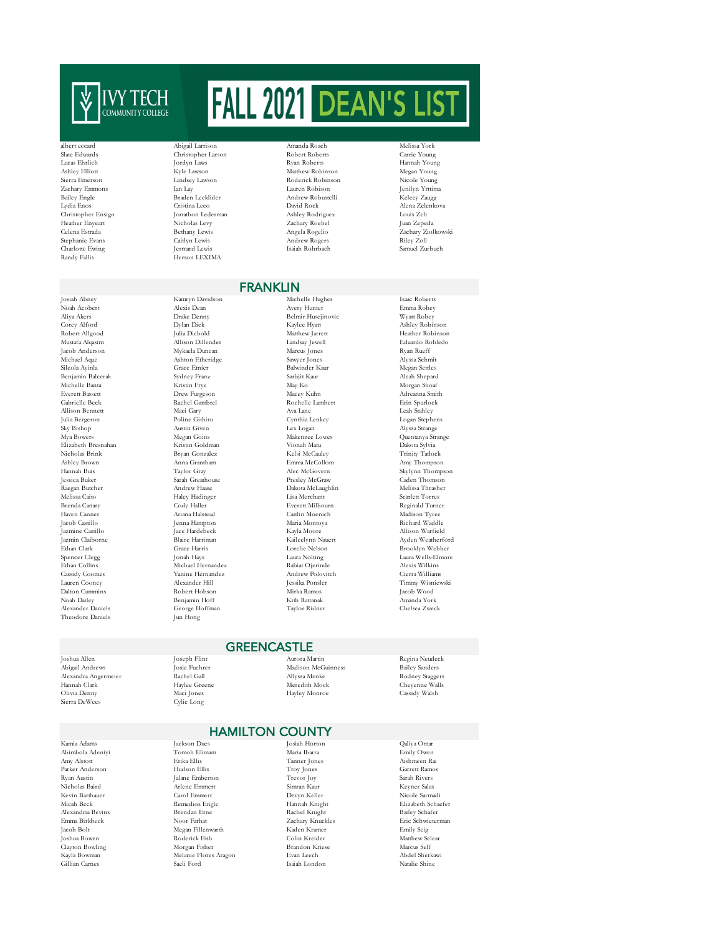

Sierra Emerson Lindsey Lawson Rachary Emmons Nan Lay Robinson Nicole Young<br>Bailey Engle Braden Lecklid Christopher Ensign Jonathon Leder<br>Heather Enveart<br>Nicholas Levy Charlotte Ewing<br>Randy Fallis

Josiah Abney Kamryn Davidson Michelle Hughes Isaac Roberts Mustafa Alqasim Benjamin Balcerak Theodore Daniels

albert eccard Abigail Larrison Amanda Roach Melissa York Slate Edwards Christopher Larson Robert Roberts Carrie Young Lucas Ehrlich Jordyn Laws Ryan Roberts Hannah Young Ashley Elliott Megan Young Kyle Lawson Matthew Robinson Megan Young<br>Sierra Emerson Megan Young Lawson Moderick Robinson Nicole Young  $\begin{array}{lll} \text{Jan Lay} & \text{Lauer} \text{Robison} & \text{Jenilyn Yrtimm} \\ \text{Braden Leckilder} & \text{Andrew Robustelli} & \text{Keley Zaugg} \end{array}$ Bailey Engle Braden Lecklider Andrew Robustelli (Bailey Engle<br>
Lydia Enos Cristina Leco David Rock Lydia Enos Cristina Leco David Rock Alena Zelenkova Heather Enyeart Nicholas Levy Zachary Roebel Juan Zepeda Celena Estrada Bethany Lewis Angela Rogelio Zachary Ziolkowski Stephanie Evans Caitlyn Lewis Andrew Rogers Riley Zoll .<br>Herson LEXIMA

Noah Acobert Alexis Dean Avery Hunter Emma Robey Aliya Akers Drake Denny Belmir Husejinovic Wyatt Robey Corey Alford Dylan Dick Kaylee Hyatt Ashley Robinson Jacob Anderson Mykaela Duncan Marcus Jones Ryan Rueff Michael Aque Ashton Etheridge Sawyer Jones Alyssa Schmit Michelle Banta Kristin Frye May Ko Morgan Shoaf Everett Bassett Drew Furgeson Macey Kuhn Adreanna Smith Gabrielle Beck Rachel Gambrel Rochelle Lambert Erin Spurlock<br>Allison Bennett Maci Gary Rochelle Lambert Rochelle Lambert Erin Spurlock<br>Leah Stahley Rochelle Lambert Rochelle Lambert Erin Spurlock Allison Bennett Maci Gary Ava Lane Leah Stahley Julia Bergeron Poline Githiru Cynthia Lenkey Logan Stephens Sky Bishop Austin Given Lex Logan Alyssa Strange Mya Bowers Megan Goins Makenzee Lowes Quentanya Strange Elizabeth Bresnahan Kristin Goldman Vionah Matu Dakota Sylvia Nicholas Brink Bryan Gonzalez Kelsi McCauley Trinity Tatlock Ashley Brown Anna Grantham Emma McCollom Amy Thompson Hannah Buis Taylor Gray Alec McGovern Skylynn Thompson Jessica Buker Sarah Greathouse Presley McGraw Caden Thomson Melissa Caito Haley Hadinger Lisa Merchant Scarlett Torres Brenda Canary Cody Haller Everett Milbourn Reginald Turner Haven Canner Ariana Halstead Caitlin Moenich Madison Tyree Jazmine Castillo Jace Hardebeck Kayla Moore Allison Warfield Jazmin Claiborne Blaire Harriman Kaileelynn Nauert Ayden Weatherford Ethan Clark Grace Harris Lorelie Nelson Brooklyn Webber Spencer Clegg Jonah Hays Laura Nolting Laura Wells-Elmore Ethan Collins Michael Hernandez Rabiat Ojerinde Alexis Wilkins Cassidy Coomes Yanine Hernandez Andrew Polovitch Cierra Williams Lauren Cooney Alexander Hill Jessika Ponsler Timmy Wisniewski Dalton Cummins Robert Hobson Mirka Ramos Jacob Wood Noah Dailey Benjamin Hoff Kith Rattanak Amanda York Alexander Daniels George Hoffman Taylor Ridner Chelsea Zweck

Robert Allgood Julia Diebold Matthew Jarrett Heather Robinson

FRANKLIN

 $\begin{tabular}{lllllllllll} \textbf{Grace Etnier} & \textbf{Balwinder Kaur} & \textbf{Megan Settles} \\ \textbf{Sydney Franz} & \textbf{Sarbjit Kaur} & \textbf{Alean Shepard} \end{tabular}$ Dakota McLaughlin Jacob Castillo Jenna Hampton Maria Montoya Richard Waddle

Alexandra Angermeier Hannah Clark Haylee Greene Meredith Mock Cheyenne Walls (Cheyenne Walls Meredith Mock Cheyenne Walls (Cheyenne Walls Meredith Mock Cheyenne Walls (Cheyenne Walls Meredith Mock Cheyenne Walls (Cheyenne Meredith Mock Cheyenn Sierra DeWees

Joshua Bowen Roderick Fish Roderick Fish Clayton Bowling (North Article) Gillian Carnes

## Joshua Allen Joseph Flint Aurora Martin Regina Neudeck **GREENCASTLE**

) Andrews Madison McGuinness Bailey Sanders Bailey Sanders Bailey Sanders Bailey Sanders Rechel Gall (1989) Allyssa Menke (1989) Allyssa Menke (1989) Allyssa Menke (1989) Allyssa Menke (1989) Allyssa Menke (1989) Allyssa M Hayley Monroe

Rachel Knight

## **HAMILTON COUNTY**<br>Losiah Horton

Abimbola Adeniyi Tomoh Elimam Maria Ibarra Emily Owen<br>Amy Alstott Erika Ellis Tanner Jones Aishmeen Re<br>Abimbola Adeniyi Erika Ellis Tanner Jones Aishmeen R Amy Alstott Erika Ellis Tanner Jones Aishmeen Rai Parker Anderson Hudson Ellis Troy Jones Garrett Ramos Ryan Austin Jalane Emberton Trevor Joy Sarah Rivers Nicholas Baird Arlene Emmert Simran Kaur Keyner Salas Kevin Barthauer Carol Emmert Devyn Keller Nicole Sarmadi Micah Beck Remedios Engle Hannah Knight Elizabeth Schaefer Alexandria Bevins Brendan Erne Rachel Knight Bailey Schafer Emma Birkbeck Noor Farhat Zachary Knuckles Eric Schwieterman Jacob Bolt Megan Fillenwarth Kaden Kramer Emily Seig Clayton Bowling Morgan Fisher Brandon Kriese Marcus Self

Kamia Adams Jackson Dues Josiah Horton Qaliya Omar Kayla Bowman Melanie Flores Aragon Evan Leech Abdel Sherkawi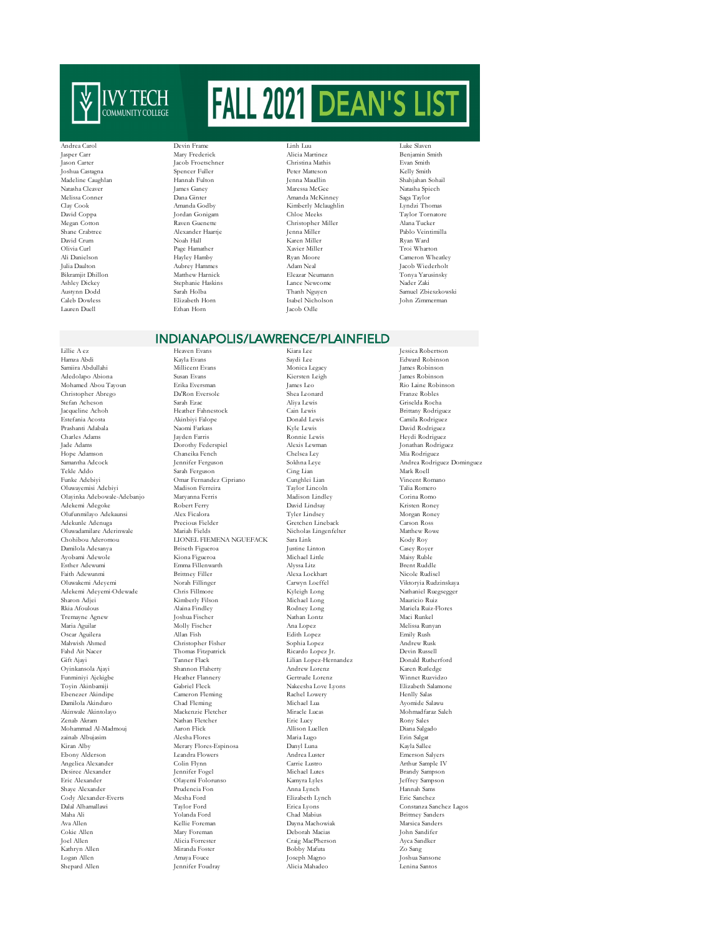

Madeline Caughlan Hannah Fult<br>Natasha Cleaver James Ganey Lauren Duell Ethan Horn Jacob Odle

Andrea Carol Devin Frame Linh Luu Luke Slaven Jasper Carr Mary Frederick Alicia Martinez Benjamin Smith Jason Carter Jacob Froetschner Christina Mathis Evan Smith

Joshua Castagna Castagna Castagna Castagna Castagna Castagna Castagna Castagna Castagna Castagna Castagna Castagna<br>Peter Peter Peter Peter Matteson (Peter Matteson Castagna Castagna Castagna Castagna Castagna Castagna Cast Natasha Cleaver James Ganey Maressa McGee Natasha Spiech Melissa Conner Dana Ginter Amanda McKinney Saga Taylor Clay Cook Amanda Godby Kimberly Mclaughlin David Coppa Jordan Gonigam Chloe Meeks Megan Cotton Controller Raven Guenette (Schristopher Miller Alana Tucker Alana Tucker Raven Guenette Christopher Miller Alana Tucker (Shane Crabtree Alexander Haartje (Shane Crabtree Alexander Haartje ) (Shane Crabtree ) ( Shane Crabtree Alexander Haartje Jenna Miller Pablo Veintimilla David Crum Noah Hall Karen Miller Ryan Ward Olivia Curl Page Hamather Xavier Miller Troi Wharton Ali Danielson Hayley Hamby Ryan Moore Cameron Wheatley Julia Daulton Aubrey Hammes Adam Neal Jacob Wiederholt<br>Bikramjit Dhillon Aubrey Hammes Adam Neal Jacob Wiederholt<br>Bikramjit Dhillon Matthew Harnick Eleazar Neumann Tonya Yarusinsky y Bikramjit Dhillon Matthew Harnick Harnick Eleazar Neumann (Tonya Yarusinsky Tonya Yarusinsky Nader Zaki (Tonya Yarusinsky Stephanie Haskins) Jance Newcome Caleb Dowless Elizabeth Horn Isabel Nicholson John Zimmerman

Taylor Tornatore Ashley Dickey Stephanie Haskins Lance Newcome Nader Zaki<br>Austynn Dodd Sarah Holba – Namel Zbieszkowski Austynn Dodd Sarah Holba Thanh Nguyen Samuel Zbieszkowski

## INDIANAPOLIS/LAWRENCE/PLAINFIELD

Adedolapo Abiona Oluwayemisi Adebiyi Olufunmilayo Adekaunsi Adekemi Adeyemi-Odewade Chris Fillmore<br>Sharon Adiei Kimberly Filson

Lillie A ez Heaven Evans Kiara Lee Jessica Robertson Hamza Abdi Kayla Evans Saydi Lee Edward Robinson Samiira Abdullahi Millicent Evans Monica Legacy James Robinson Mohamed Abou Tayoun Erika Eversman James Leo Rio Laine Robinson Christopher Abrego Da'Ron Eversole Shea Leonard Stefan Acheson Sarah Ezac Aliya Lewis Stefan Acheson Sarah Ezac Aliya Lewis Griselda Rocha Jacqueline Achoh Heather Fahnestock Cain Lewis Brittany Rodriguez Estefania Acosta Akinbiyi Falope Donald Lewis Camila Rodriguez Prashanti Adabala Naomi Farkass Kyle Lewis David Rodriguez Charles Adams Jayden Farris Ronnie Lewis Heydi Rodriguez Jade Adams Dorothy Federspiel Alexis Lewman Jonathan Rodriguez Hope Adamson Chaneika Fench Chelsea Ley Mia Rodriguez Samantha Adcock Jennifer Ferguson Sokhna Leye Andrea Rodriguez Dominguez Tekle Addo Sarah Ferguson Cing Lian Mark Roell Funke Adebiyi Omar Fernandez Cipriano Cunghlei Lian Vincent Romano Olayinka Adebowale-Adebanjo Maryanna Ferris Madison Lindley Corina Romo Adekemi Adegoke Robert Ferry David Lindsay Kristen Roney Adekunle Adenuga Precious Fielder Gretchen Lineback Carson Ross Oluwadamilare Aderinwale Mariah Fields Nicholas Lingenfelter Matthew Rowe CHONEL FIEMENA NGUEFACK Sara Link<br>Briseth Figueroa Justine Linton Damilola Adesanya Briseth Figueroa Justine Linton Casey Royer Ayobami Adewole Kiona Figueroa Michael Little Maisy Ruble Esther Adewumi Emma Fillenwarth Alyssa Litz Brent Ruddle Faith Adewunmi Brittney Filler Alexa Lockhart Nicole Rudisel Oluwakemi Adeyemi Norah Fillinger Carwyn Loeffel Viktoryia Rudzinskaya Sharon Adjei Kimberly Filson Michael Long Mauricio Ruiz Rkia Afoulous Alaina Findley Rodney Long Mariela Ruiz-Flores Tremayne Agnew Joshua Fischer Nathan Lontz Maci Runkel Maria Aguilar Molly Fischer Ana Lopez Melissa Runyan Oscar Aguilera Allan Fish Edith Lopez Emily Rush Mahwish Ahmed Christopher Fisher Sophia Lopez Andrew Rusk Ahmed Christopher Fisher Sophia Lopez Andrew Rusk Andrew Rusk (2019) Fahd Ait Nacer **Fahr Air Nacer 1988** Thomas Fitzpatrick Ricardo Lopez Jr. Devin Russell Devin Russell Gift Ajayi 21 Tanner Flack Lilian Lopez-Hernandez Donald Rutherford Oyinkansola Ajayi Shannon Flaherty Andrew Lorenz Karen Rutledge Funminiyi Ajekigbe Heather Flannery Gertrude Lorenz Winnet Ruzvidzo Toyin Akinbamiji Gabriel Fleck Nakeesha Love Lyons Elizabeth Salamone Ebenezer Akindipe Cameron Fleming Rachel Lowery Henlly Salas Damilola Akinduro Chad Fleming Michael Lua Ayomide Salawu Akinwale Akintolayo Mackenzie Fletcher Miracle Lucas Mohmadfaraz Saleh Zenab Akram Nathan Fletcher Eric Lucy Rony Sales Mohammad Al-Madmouj Aaron Flick Allison Luellen Diana Salgado zainab Albujasim Alesha Flores Maria Lugo Erin Salgat Kiran Alby Merary Flores-Espinosa Danyl Luna Kayla Sallee Ebony Alderson Leandra Flowers Andrea Luster Emerson Salyers Angelica Alexander Colin Flynn Carrie Lustro Arthur Sample IV Eric Alexander Olayemi Folorunso Kamyra Lyles Jeffrey Sampson Shaye Alexander Prudencia Fon Anna Lynch Hannah Sams Cody Alexander-Everts Mesha Ford Elizabeth Lynch Eric Sanchez Maha Ali Yolanda Ford Chad Mabius Brittney Sanders Ava Allen Kellie Foreman Dayna Machowiak Marsica Sanders Cokie Allen Mary Foreman Deborah Macias John Sandifer Kathryn Allen Miranda Foster Bobby Mafuta Zo Sang Logan Allen Amaya Fouce Joseph Magno Joshua Sansone Jennifer Foudray

Lilian Lopez-Hernandez Craig MacPherson

Desiree Alexander Jennifer Fogel Michael Lutes Brandy Sampson Constanza Sanchez Lagos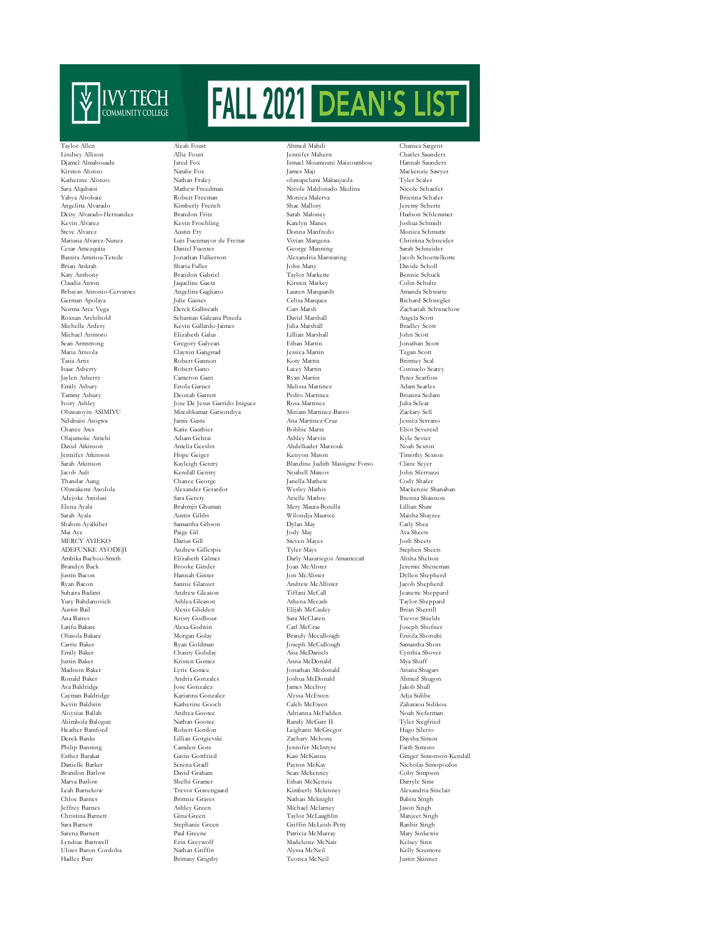

 $\begin{tabular}{lcccc} Karheine Alonzo & & & & & & & & & & & & & & & & \\ Sara Alqubaisi & & & & & & & & & & & & \\ Sara Alqubaisi & & & & & & & & & & & \\ Yahya Alrobaie & & & & & & & & & & \\ Yahya Alrobaie & & & & & & & & & & \\ \end{tabular}$ Deisy Alvarado-Hernandez Brhayan Antonio-Cervantes Angelina Gagliano Lauren Marquard German Apolava Julie Gaines Celisa Marquard Oluwatoyin ASIMIYU Miteshkumar Garsondiya<br>Ndubuisi Asogwa Jamie Gasta Derek Banks Lillian Gorgievski Zamen<br> Camden Goss Camden Goss Christina Barnett Ulises Baron Cordoba

Taylor Allen Aleah Foust Ahmed Mahdi Chaniea Sargent Kevin Gallardo-Jaimes Clayton Gangstad Deonah Garrett Amelia Geeslin Abdelkader Marzouk Hope Geiger Kenyon Mason Trevor Gravengaard

Lindsey Allison Allie Foust Jennifer Mahern Charles Saunders Djamel Almabouada Jared Fox Ismael Moumouni Maizoumbou Hannah Saunders Kirsten Alonso Natalie Fox James Maji Mackenzie Sawyer Nathew Freedman Nicole Maldonado Medina Nicole Schaefer<br>Robert Freeman Nonica Malerva Nicole Schafer Yahya Alrobaie Robert Freeman Monica Malerva Brienna Schafer Angelitta Alvarado Kimberly French Shae Mallory Jeremy Schertz Kevin Alvarez Kevin Froehling Katelyn Manes Joshua Schmidt Steve Alvarez Musica Schmutte<br>1990 - Australian Alvarez-Nunez - Luis Fuenmayor de Freitas - Vivian Mangena - Christina Schneider<br>1991 - Luis Fuenmayor de Freitas - Vivian Mangena - Christina Schneider Mariana Alvarez-Nunez Luis Fuenmayor de Freitas Vivian Mangena Christina Schneider Cesar Amezquita Daniel Fuentes George Manning Sarah Schneider Bassira Aminou-Tetede Jonathan Fulkerson Alexandria Manwaring Jacob Schoettelkotte Brian Ankrah Sharia Fuller John Many Davide Scholl Katy Anthony Brandon Gabriel Taylor Markette Bennie Schuck Claudia Anton Jaqueline Gaeta Kirsten Markey Colin Schultz German Apolaya Julie Gaines Celisa Marquez Richard Schwegler Norma Arce Vega Derek Galbreath Curt Marsh Zachariah Schwuchow Roxxan Archibold Sebastian Galeana Pineda David Marshall Angela Scott Michael Arimoro Elizabeth Galus Lillian Marshall John Scott Sean Armstrong Gregory Galyean Ethan Martin Jonathan Scott Tasia Artis Robert Gannon Koty Martin Brittney Seal Isaac Asberry Robert Gano Lacey Martin Consuelo Searcy Jaylen Asberry Cameron Gant Ryan Martin Peter Searfoss Emily Asbury Enola Garner Melissa Martinez Adam Searles Ivory Ashley Jose De Jesus Garrido Iniguez Rosa Martinez Julia Selear Ndubuisi Asogwa Jamie Gasta Jamie Gasta Ana Martinez-Cruz Jessica Serrano<br>Chance Ates – Katie Gauthier – Bobbie Martz – Eliot Severeid Chance Ates Katie Gauthier Bobbie Martz Eliot Severeid Olajumoke Atitebi Adiam Gebrai Ashley Marvin Kyle Sevier Jennifer Atkinson Hope Geiger Kenyon Mason Timothy Sexton Sarah Atkinson Kayleigh Gentry Blandine Judith Massigne Fotso Claire Seyer Jacob Ault Kendall Gentry Noabell Mateos John Sferruzzi Thandar Aung Chance George Janella Mathew Cody Shafer Oluwakemi Awolola Alexander Gerardot Wesley Mathis Mackenzie Shanahan Adejoke Awolusi Sara Gerety Arielle Mathre Brenna Shannon Elena Ayala Brahmjit Ghuman Mery Maura-Bonilla Lillian Shaw Sarah Ayala Austin Gibbs Wilondja Maurice Maisha Shayree Shalom Ayalkibet Samantha Gibson Dylan May Carly Shea Mai Aye Paige Gil Jody May Ava Sheets MERCY AYIEKO Darius Gill Steven Mayes Josh Sheets ADEFUNKE AYODEJI Andrew Gillespie Tyler Mays Stephen Sheets<br>Ambika Bachoo-Smith Hizabeth Gilmer Darly Mazariegos Amantecatl Alisha Shelton Ambika Bachoo-Smith Elizabeth Gilmer Darly Mazariegos Amantecatl Alisha Shelton Brandyn Back Brooke Ginder Joan McAlister Jeremie Sheneman Justin Bacon Hannah Ginter Jon McAlister Dyllen Shepherd Ryan Bacon Sannie Glanzer Andrew McAllister Jacob Shepherd<br>
Ryan Bacon Sannie Glanzer Andrew McAllister Jacob Shepherd<br>
2016 Shepherd Header Andrew Gleason Tiffani McCall Suhaira Badawi Andrew Gleason Tiffani McCall Jeanette Sheppard Yury Bahdanovich Ashlea Gleason Athena Mccash Taylor Shepp<br>Austin Boil Alexis Glidden Hijah McCaulov Britan Sheppard Austin Bail Alexis Glidden Elijah McCauley Brian Sherrill Ana Baires Kristy Godbout Sara McClaren Trevor Shields Latifu Bakare Alexa Godwin Carl McCrae Joseph Shofner Olusola Bakare Morgan Golay Brandy Mccullough Eniola Shonubi Joseph McCullough Emily Baker Chasity Goliday Asia McDaniels Cynthia Shover Justin Baker Kristen Gomez Anna McDonald Mya Shuff Jonathan Mcdonald Ronald Baker Andria Gonzales Joshua McDonald Ahmed Shugon Ava Baldridge Jose Gonzalez James Mcelroy Jakob Shull Cayman Baldridge Karianna Gonzalez Alyssa McEwen Adja Sidibe Kevin Baldwin Katherine Gooch Caleb McEwen Zaharaou Sidikou Adrianna McFadden Abimbola Balogun Nathan Gootee Randy McGarr II Tyler Siegfried Heather Bamford Robert Gordon Leighann McGregor Hugo Silerio Philip Banden Goss Jennifer McIntyre Faith Simons<br>Philip Banning Campions (Game Gineer Simons) Esther Barakat Gavin Gottfried Kasi McKanna Ginger Simonson-Kendall Danielle Barker Serena Gradl Payton McKay Nicholas Simopoulos Brandon Barlow David Graham Sean Mckenney Coby Simpson Coby Simpson Shelbi Gramer Shelbi Gramer (Ethan McKenzie Darryle Simpson) Marva Barlow Shelbi Gramer Ethan McKenzie Darryle Sims Chloe Barnes Brittnie Graves Nathan Mcknight Babita Singh Jeffrey Barnes Ashley Green Michael Mclarney Jason Singh Sara Barnett Stephanie Green Griffin McLeish-Petty Ranbir Singh Sarena Barnett Paul Greene Patricia McMurray Mary Sinkewiz Lyndsae Barnwell Erin Greywolf Madeleine McNair Kelsey Sinn Hadley Barr Brittany Grigsby Teonca McNeil Justin Skinner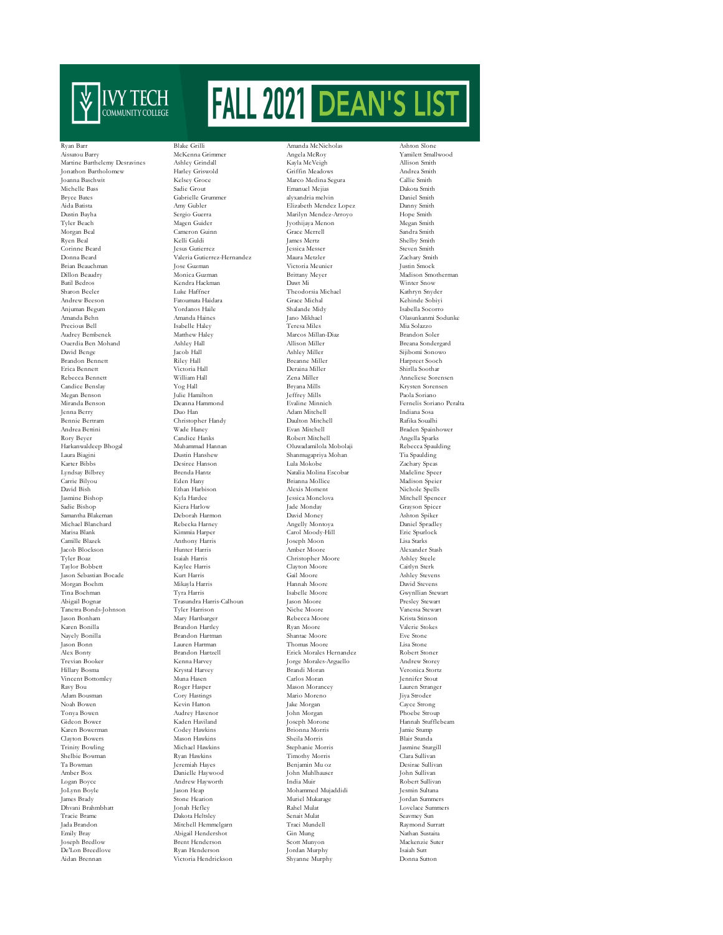

Jasmine Bishop Tanetra Bonds-Johnson Clayton Bowers Mason Hawkins Trinity Bowling Michael Hawkins De'Lon Breedlove

Ryan Barr Blake Grilli Amanda McNicholas Ashton Slo Aissatou Barry McKenna Grimmer Angela McRoy Yamilett Smallwood Martine Barthelemy Desravines Ashley Grindall Kayla McVeigh Allison Smith Jonathon Bartholomew Harley Griswold Griffin Meadows Andrea Smith Michelle Bass Sadie Grout Emanuel Mejias Dakota Smith Bryce Bates Gabrielle Grummer alyxandria melvin Daniel Smith Aida Batista Amy Gubler Elizabeth Mendez Lopez Danny Smith Tyler Beach Magen Guider Jyothijaya Menon Megan Smith Morgan Beal Cameron Guinn Grace Merrell Sandra Smith Ryen Beal Kelli Guldi James Mertz Shelby Smith Corinne Beard Jesus Gutierrez Jessica Messer Steven Smith Donna Beard Valeria Gutierrez-Hernandez Maura Metzler Zachary Smith Brian Beauchman Jose Guzman Victoria Meunier Justin Smock Dillon Beaudry Monica Guzman Brittany Meyer Madison Smotherman Batil Bedros Kendra Hackman Dawt Mi Winter Snow Sharon Beeler Luke Haffner Theodorsia Michael Kathryn Snyder Andrew Beeson Fatoumata Haidara Grace Michal Kehinde Sobiyi Anjuman Begum Yordanos Haile Shalande Midy Isabella Socorro Amanda Behn Amanda Haines Jano Mikhael Olasunkanmi Sodunke Precious Bell Isabelle Haley Teresa Miles Mia Solazzo Audrey Bembenek Matthew Haley Marcos Millan-Diaz Brandon Soler Ouerdia Ben Mohand Ashley Hall Allison Miller (Allison Miller Breaka)<br>David Benge Jacob Hall Ashley Miller Ashley Miller Brandon Bennett Riley Hall Breanne Miller Harpreet Sooch Erica Bennett Victoria Hall Deraina Miller Shirlla Soothar Rebecca Bennett William Hall Zena Miller Anneliese Sorensen Candice Benslay Yog Hall Bryana Mills Krysten Sorensen Julie Hamilton Miranda Benson Deanna Hammond Evaline Minnich Fernelis Soriano Peralta Jenna Berry Duo Han Adam Mitchell Indiana Sosa Bennie Bertram Christopher Handy Daulton Mitch<br>Andrea Bettini Nade Haney Nade Haney Byan Mitchell Rafika Soualhine Rafika Soualhine Rafika Soualhine Rafika S Rory Beyer Candice Hanks Robert Mitchell Angella Sparks Harkanwaldeep Bhogal Muhammad Hannan Oluwadamilola Mobolaji Rebecca Spaulding Laura Biagini Dustin Hanshew Shanmugapriya Mohan Tia Spaulding Karter Bibbs Desiree Hanson Lula Mokobe Zachary Speas Carrie Bilyou Eden Hany Brianna Mollice Madison Speier Sadie Bishop Kiera Harlow Jade Monday Grayson Spicer Samantha Blakeman Deborah Harmon David Money Ashton Spiker Michael Blanchard Rebecka Harney Angelly Montoya Daniel Spradley Camille Blazek Anthony Harris Joseph Moon Lisa Starks Jacob Blockson Hunter Harris Amber Moore Alexander Stash Tyler Boaz Isaiah Harris Christopher Moore Ashley Steele Jason Sebastian Bocade Kurt Harris Gail Moore Ashley Stevens Morgan Boehm Mikayla Harris Hannah Moore David Stevens Tina Boehman Tyra Harris Isabelle Moore Gwynllian Stewart Jason Bonham Mary Hartbarger Rebecca Moore Krista Stinson Karen Bonilla Brandon Hartley Ryan Moore Valerie Stokes Nayely Bonilla Brandon Hartman Shantae Moore Eve Stone Jason Bonn Lauren Hartman Thomas Moore Lisa Stone Alex Bonty Brandon Hartzell Erick Morales Hernandez Robert Stoner Trevian Booker Kenna Harvey Jorge Morales-Arguello Andrew Storey Vincent Bottomley Muna Hasen Carlos Moran Jennifer Stout Ravy Bou Roger Hasper Mason Morancey Lauren Stranger Adam Bousman Cory Hastings Mario Moreno Jiya Stroder Noah Bowen Kevin Hatton Jake Morgan Cayce Strong Tonya Bowen Audrey Havenor John Morgan Phoebe Stroup Gideon Bower Kaden Haviland Joseph Morone Hannah Stufflebeam Karen Bowerman Codey Hawkins Brionna Morris Jamie Stump Shelbie Bowman Ryan Hawkins Timothy Morris Clara Sullivan Ta Bowman Jeremiah Hayes Benjamin Mu oz Desirae Sullivan Amber Box Danielle Haywood John Muhlhauser John Sullivan Logan Boyce Andrew Hayworth India Muir Robert Sullivan James Brady Stone Hearion Muriel Mukarage Jordan Summers Dhvani Brahmbhatt Jonah Hefley Rahel Mulat Lovelace Summers Tracie Brame Dakota Heltsley Senait Mulat Seavmey Sun Jada Brandon Mitchell Hemmelgarn Traci Mundell Raymond Surratt Joseph Bredlow Brent Henderson Scott Munyon Mackenzie Suter Aidan Brennan Victoria Hendrickson Shyanne Murphy Donna Sutton

Marco Medina Segura Marilyn Mendez-Arroyo Natalia Molina Escobar<br>Brianna Mollice David Bish Ethan Harbison Alexis Moment Nichole Spells Carol Moody-Hill Taylor Bobbett Caylor Moore<br>Taylor Bobbett Caitlyn Sterk<br>Taylor Cail Moore Caitlyn Steven Trasundra Harris-Calhoun Jason Moore Presley Stewart<br>Abigal Diche Moore Presley Stewart<br>Moore Nancesa Stewart Trinity Bowling Morris Jasmine Sturgill Mohammed Mujaddidi<br>Muriel Mukarage Abigail Hendershot Gin Mung Nathan Sustaita<br>1991 - Scott Munyon Nackenzie Suter

Sijibomi Sonowo Braden Spainhower Veronica Stortz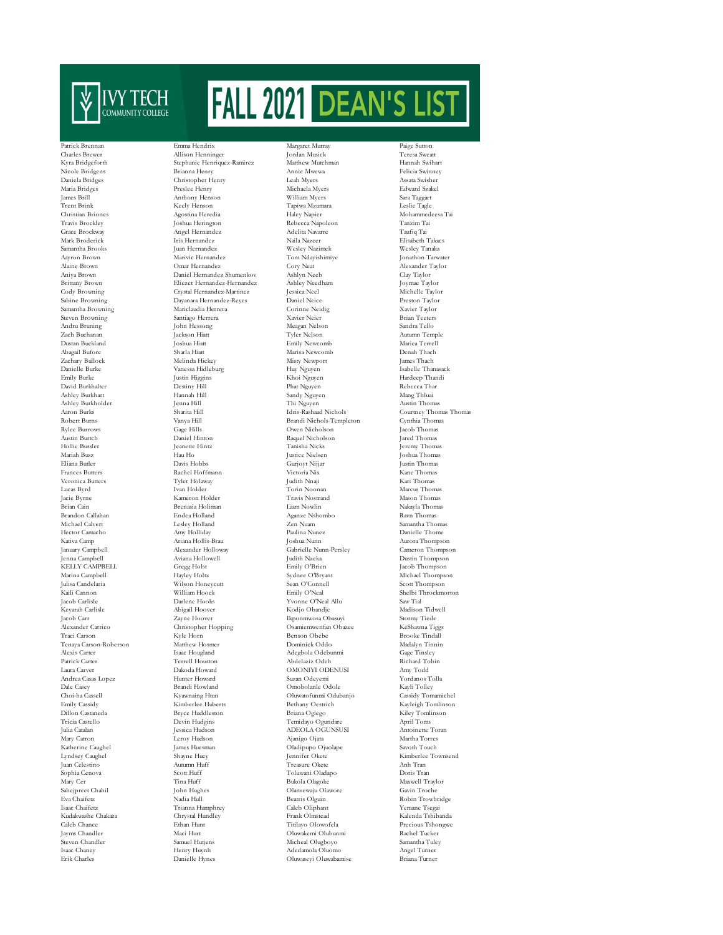

Ashley Burkhart<br>Ashley Burkholder Tenaya Carson-Roberson Mary Catron Leroy Hudson<br>Katherine Caughel James Huesman Kudakwashe Chakaza

Patrick Brennan Emma Hendrix Margaret Murray Paige Sutton Charles Brewer Allison Henninger Jordan Musick Teresa Sweatt Kyra Bridgeforth Stephanie Henriquez-Ramirez Matthew Mutchman Hannah Swihart Nicole Bridgens Felicia Swinney<br>1999 - Bridgens Brianna Henry Annie Mwewa Felicia Swinney<br>1999 - Daniela Bridges Assata Swisher Christopher Henry Maria Bridges Preslee Henry Michaela Myers Edward Szakel James Brill Anthony Henson William Myers Sara Taggart Trent Brink Keely Henson Tapiwa Mzumara Leslie Tagle Christian Briones Agostina Heredia Haley Napier Mohammedeesa Tai Travis Brockley Joshua Herington Rebecca Napoleon Tanzim Tai Grace Brockway Angel Hernandez Adelita Navarre Taufiq Tai Mark Broderick Iris Hernandez Naila Nazeer Elisabeth Takacs Samantha Brooks Juan Hernandez Wesley Nazimek Wesley Tanaka Aayron Brown Marivic Hernandez Tom Ndayishimiye Jonathon Tarwater Alaine Brown Omar Hernandez Cory Neat Alexander Taylor Aniya Brown Daniel Hernandez Shumenkov Ashlyn Neeb Clay Taylor Brittany Brown Eliezer Hernandez-Hernandez Ashley Needham Joymae Taylor Crystal Hernandez-Martinez Sabine Browning Dayanara Hernandez-Reyes Daniel Neice Preston Taylor Steven Browning Santiago Herrera Navier Neier Brian Teeters<br>
Steven Bruning Sandra Tello<br>
Sandra Tello II (Meagan Nelson Sandra Tello Zach Buchanan Jackson Hiatt Tyler Nelson Autumn Temple Dustan Buckland Joshua Hiatt Emily Newcomb Mariea Terrell Zachary Bullock Melinda Hickey Misty Newport James Thach name van de stemme van de van de van de van de van de van de van de van de van de van de van de van de van de<br>Danielle Burke Vanessa Hidleburg Huy Nguyen Huy Nguyen Isabelle Thanasack<br>Emily Burke Huy Nguyen Hardeep Thandi David Burkhalter Destiny Hill Phat Nguyen Rebecca Thar Ashley Burkholder Jenna Hill Thi Nguyen Austin Thomas Aaron Burks Sharita Hill Idris-Rashaad Nichols Courtney Thomas Thomas Robert Burns Vanya Hill Brandi Nichols-Templeton Cynthia Thomas Rylee Burrows Gage Hills Owen Nicholson Jacob Thomas Austin Burtch Daniel Hinton Raquel Nicholson Jared Thomas Hollie Bussler Jeanette Hintz Tanisha Nicks Jeremy Thomas Mariah Busz Hau Ho Justice Nielsen Joshua Thomas Eliana Butler Davis Hobbs Gurjoyt Nijjar Justin Thomas Frances Butters Rachel Hoffmann Victoria Nix Kane Thomas Veronica Butters Tyler Holaway Judith Nnaji Kari Thomas Lucas Byrd Ivan Holder Torin Noonan Marcus Thomas Kameron Holder Brian Cain Brenasia Holiman Liam Nowlin Nakayla Thomas Brandon Callahan Endea Holland Aganze Nshombo Ravn Thomas Michael Calvert Lesley Holland Zen Nuam Samantha Thomas Hector Camacho Amy Holliday Paulina Nunez Danielle Thome January Campbell Alexander Holloway Gabrielle Nunn-Persley Cameron Thompson KELLY CAMPBELL Gregg Holst Emily O'Brien Jacob Thompson Marina Campbell Hayley Holtz Sydnee O'Bryant Michael Thompson Julisa Candelaria Wilson Honeycutt Sean O'Connell Scott Thompson Kaili Cannon William Hoock Emily O'Neal Shelbi Throckmorton Jacob Carlisle Darlene Hooks Yvonne O'Neal Allu Saw Tial Keyarah Carlisle Abigail Hoover Kodjo Obandje Madison Tidwell Jacob Carr Zayne Hoover Ikponmwosa Obasuyi Stormy Tiede Alexander Carrico Christopher Hopping Osamiemwenfan Obazee KeShawna Tiggs Alexis Carter Isaac Hougland Adegbola Odebunmi Gage Tinsley Patrick Carter Terrell Houston Abdelaziz Odeh Richard Tobin Andrea Casas Lopez Hunter Howard Suzan Odeyemi Yordanos Tolla Dale Casey Brandi Howland Omobolanle Odole Kayli Tolley Choi-ha Cassell Kyawnaing Htun Oluwatofunmi Odubanjo Cassidy Tomamichel Emily Cassidy Kimberlee Huberts Bethany Oestrich Kayleigh Tomlinson Bryce Huddleston Tricia Castello Devin Hudgins Temidayo Ogundare April Toms Julia Catalan Jessica Hudson ADEOLA OGUNSUSI Antoinette Toran Lyndsey Caughel Shayne Huey Jennifer Okete Kimberlee Townsend Juan Celestino Autumn Huff Treasure Okete Anh Tran Sophia Cenova Scott Huff Toluwani Oladapo Doris Tran Mary Cer Tina Huff Bukola Olagoke Maxwell Traylor Sahejpreet Chahil John Hughes Olanrewaju Olawore Gavin Troche Eva Chaifetz Nadia Hull Beatris Olguin Robin Trowbridge Caleb Chance Ethan Hunt Titilayo Olowofela Precious Tshongwe Jayms Chandler Maci Hurt Oluwakemi Olubunmi Rachel Tucker yana aman-<br>Steven Chandler Samuel Hutjens Micheal Olugboyo Samantha Tule<br>1996 - Isaac Chaney Muyah Henry Huynh Micheal Olugboyo Adedamola Oluomo Erik Charles Danielle Hynes Oluwaseyi Oluwabamise Briana Turner

Samantha Browning Mariclaudia Herrera Corinne Neidig Xavier Taylor Meagan Nelson Marisa Newcomb Kativa Camp Ariana Hollis-Brau Joshua Nunn Aurora Thompson Jenna Campbell Aviana Hollowell Judith Nzeka Dustin Thompson Traci Carson Obebe Brooke Tindall<br>Matthew Hosmer Dominick Oddo – Madalyn Tinnin<br>Madalyn Tinnin OMONIYI ODENUSI James Huesman Oladipupo Ojuolape Savoth Touch Isaac Chaifetz Trianna Humphrey Caleb Oliphant Yemane Tsegai Adedamola Oluomo

Hardeep Thandi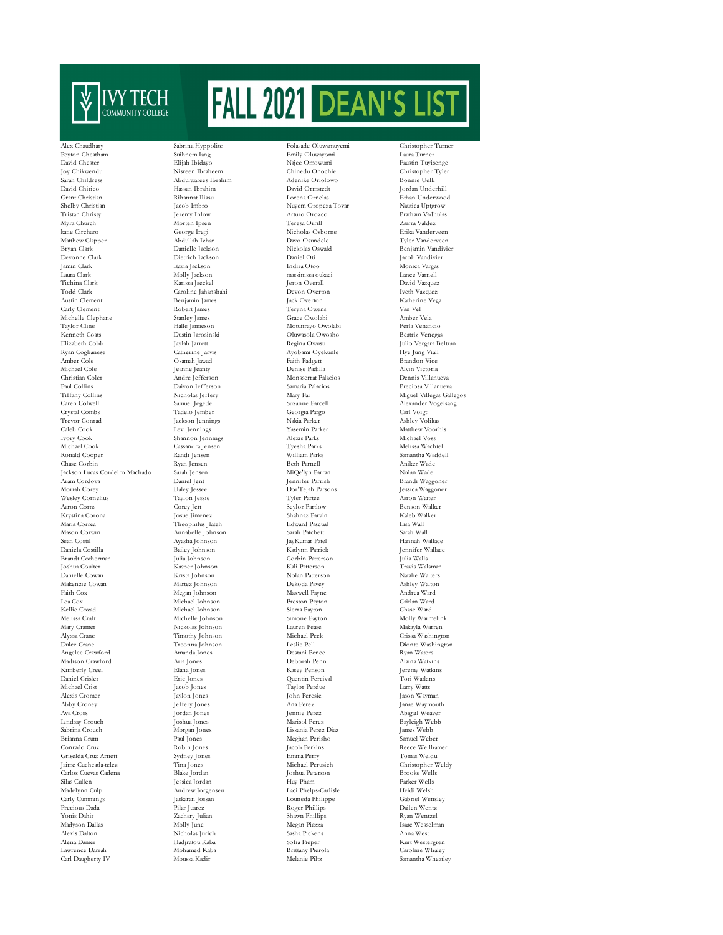

David Chester Elijah Ibidayo Najee Omowumi Faustin Tuyisenge Joy Chikwendu Nisreen Ibraheem Chinedu Onochie Christopher Tyler David Chirico Hassan Ibrahim David Ormstedt Jordan Underhill Grant Christian Communication (Christian Rihannat Iliasu Lorena Ornelas Christian Ethan Underwood Richard Richard Richard Intervolution (Christian Pacob Imbro Nuyem Oropeza Tovar Nautica Uptgrow (Christian Pacob Imbro Nuye Shelby Christian Jacob Imbro Nuyem Oropeza Tovar Tristan Christy Jeremy Inlow Arturo Orozco Myra Church Morten Ipsen Teresa Orrill Zairra Valdez katie Circharo George Iregi Nicholas Osborne Erika Vanderveen matte ortmans<br>Matthew Clapper Abdullah Izhar Dayo Osundele Tyler Vanderveen<br>Bryan Clark Danielle Jackson Nickolas Oswald Benjamin Vandivi Bryan Clark Danielle Jackson Nickolas Oswald Benjamin Vandivier Devonne Clark Dietrich Jackson Daniel Oti Jacob Vandivier Jamin Clark Itavia Jackson Indira Otoo Monica Vargas Laura Clark Molly Jackson massinissa oukaci Lance Varnell Tichina Clark Karissa Jaeckel Jeron Overall David Vazquez Austin Clement Benjamin James Jack Overton Katherine Vega Carly Clement Robert James Teryna Owens Van Vel Michelle Clephane Stanley James Grace Owolabi Amber Vela Kenneth Coats Dustin Jarosinski Oluwasola Owosho Beatriz Venegas Elizabeth Cobb Jaylah Jarrett Regina Owusu - Have Julio Vergara Beltran<br>
1991 - Ryan Coglianese Catherine Jarvis Ayobami Oyekunle Hye Jung Viall Amber Cole Osamah Jawad Faith Padgett Brandon Vice ست سی سی سی سی سی سی میرست کرد. سی سی میرست است که است که در این مسافر است که برای است.<br>Denis Padilla Andre Jefferson و Andre Jefferson و Andre Jefferson و Andre Jefferson و Andre Jefferson و Andre Jefferson و Andre Jeffe Christian Coler Andre Jefferson Monsserrat Palacios Dennis Villanueva Paul Collins Daivon Jefferson Samaria Palacios Preciosa Villanueva Caren Colwell Samuel Jegede Suzanne Parcell Alexander Vogelsang Crystal Combs Tadelo Jember Georgia Pargo Carl Voigt Trevor Conrad Jackson Jennings Nakia Parker Ashley Volikas Caleb Cook Levi Jennings Yasemin Parker Matthew Voorhis Ivory Cook Shannon Jennings Alexis Parks Michael Voss Michael Cook Cassandra Jensen Tyesha Parks Melissa Wachtel Ronald Cooper Randi Jensen William Parks Samantha Waddell Chase Corbin Ryan Jensen Beth Parnell Aniker Wade Jackson Lucas Cordeiro Machado Sarah Jensen MiQe'lyn Parran Nolan Wade Aram Cordova Daniel Jent Jennifer Parrish Brandi Waggoner Moriah Corey Haley Jessee Dor'Tejah Parsons Jessica Waggoner Wesley Cornelius Taylon Jessie Tyler Partee Aaron Waiter Aaron Corns Corey Jett Seylor Partlow Benson Walker Krystina Corona Josue Jimenez Shahnaz Parvin Kaleb Walker Maria Correa Theophilus Jlateh Edward Pascual Lisa Wall Sean Costil Ayasha Johnson JayKumar Patel Hannah Wallace Hannah Wallace Ayasha Johnson JayKumar Patel Hannah Wallace<br>19 Daniela Costilla Ayasha Bailey Johnson Katlynn Patrick Jennifer Wallace Daniela Costilla Bailey Johnson Katlynn Patrick Jennifer Wallace Brandt Cotherman Julia Johnson Corbin Patterson Julia Walls<br>
Joshua Couler – Masser Johnson – Corbin Patterson Julia Walls<br>
Joshua Couler – Masser Johnson – Kali Patterson – Travis Walsman<br>
Travis Walsman Joshua Coulter Kasper Johnson Kali Patterson Travis Walsman Danielle Cowan Krista Johnson Nolan Patterson Natalie Walters Makenzie Cowan Martez Johnson Dekoda Pavey Ashley Walton Faith Cox Megan Johnson Maxwell Payne Andrea Ward Lea Cox Michael Johnson Preston Payton Caitlan Ward Kellie Cozad Michael Johnson Sierra Payton Chase Ward Melissa Craft Michelle Johnson Simone Payton Molly Warmelink Mary Cramer Nickolas Johnson Lauren Pease Makayla Warren Alyssa Crane Timothy Johnson Michael Peck Crissa Washington Angelee Crawford Amanda Jones Destani Pence Ryan Waters Madison Crawford Aria Jones Deborah Penn Alaina Watkins (Alaina Watkins Penn Alaina Watkins )<br>2 Kimberly Creel Blana Jones (Alaina Matkins ) Kimberly Creel Daniel Crisler Eric Jones Quentin Percival Tori Watkins Michael Crist Jacob Jones Taylor Perdue Larry Watts Alexis Cromer Jaylon Jones John Peresie Jason Wayman Abby Croney Jeffery Jones Ana Perez Janae Waymouth Lindsay Crouch Joshua Jones Marisol Perez Bayleigh Webb Sabrina Crouch Morgan Jones Lissania Perez Diaz James Webb Brianna Crum Paul Jones Meghan Perisho Nobin Jones Meghan Perisho Sacob Perkins Natural Meghan Perisho Sacob Perkins Natural Meghan Perisho Sacob Perkins Natural Meghan Perisho Sacob Perkins Natural Meghan Perisho Sacob Pe Griselda Cruz Arnett Sydney Jones Emma Perry Tomas Weldu Jaime Cuchcatla-telez Tina Jones Michael Perusich Christopher Weldy Carlos Cuevas Cadena Blake Jordan Joshua Peterson Brooke Wells Silas Cullen Jessica Jordan Huy Pham Parker Wells Carly Cummings Jaskaran Jossan Louneda Philippe Gabriel Wensley Precious Dada Pilar Juarez Roger Phillips Dailen Wentz Madyson Dallas Molly June Megan Piazza Isaac Wesselman Alexis Dalton Nicholas Jurich Sasha Pickens Anna West Alena Damer Hadjratou Kaba Sofia Pieper Kurt Westergren Lawrence Darrah

Alex Chaudhary Sabrina Hyppolite Folasade Oluwamuyemi Christopher Turner Peyton Cheatham Suihnem Iang Emily Oluwayomi Laura Turner Abdulwarees Ibrahim Caroline Jahanshahi Annabelle Johnson Andrew Jorgensen

Motunrayo Owolabi Ayobami Oyekunle

Shawn Phillips

Carl Daugherty IV Moussa Kadir Melanie Piltz Samantha Wheatley

Pratham Vadhulas<br>Zairra Valdez Tiffany Par (Miguel Villegas Gallegos)<br>Tiffany Alexander Vogelsang<br>Alexander Vogelsang Dionte Washington Abigail Weaver<br>Bayleigh Webb Reece Weilhame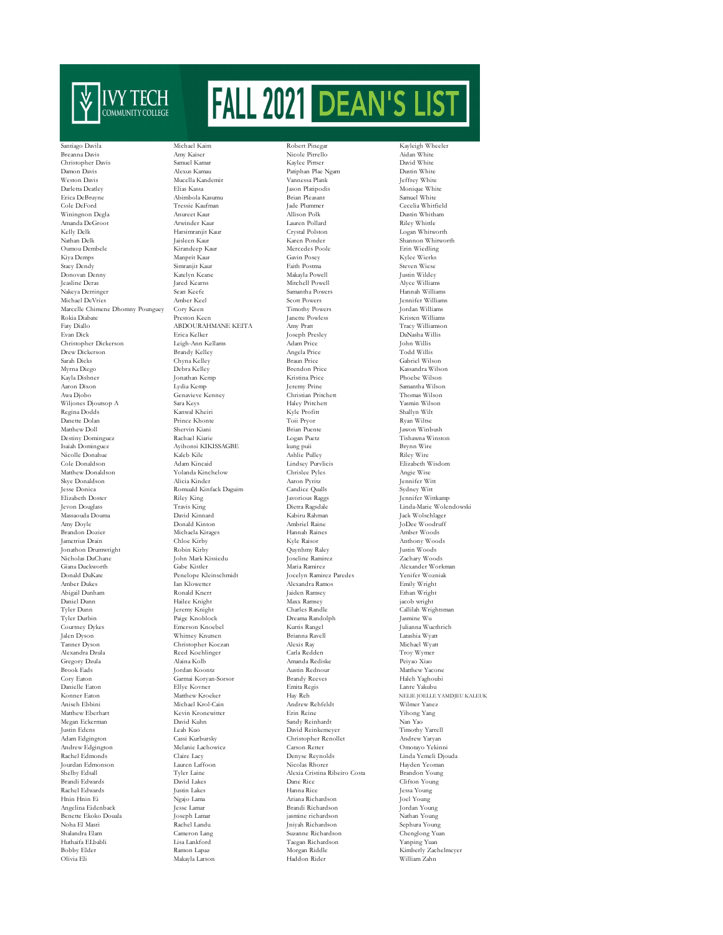

Breanna Davis Amy Kaiser Nicole Pirrello Aidan White Christopher Davis Samuel Kamar Kaylee Pittser David White Damon Davis Alexus Kamau Patiphan Plae Ngam Dustin White Darletta Deatley Elias Kassa Jason Platipodis Monique White Erica DeBruyne (Abimbola Kasumu Brian Pleasant Brian Pleasant Samuel Abimbola Kasumu Brian Pleasant (Samuel Samuel Samuel Samuel Samuel Samuel Samuel Samuel Samuel Samuel Samuel Samuel Samuel Samuel Samuel Samuel Samuel Sa Winingnon Degla Amanda DeGroot Arwinder Kaur Lauren Pollard Riley Whittle Kelly Delk Harsimranjit Kaur Crystal Polston Logan Whitworth Oumou Dembele Kirandeep Kaur Mercedes Poole Erin Wiedling Kiya Demps Manprit Kaur Gavin Posey Kylee Wierks Stacy Dendy Simranjit Kaur Faith Postma Steven Wiese Donovan Denny Katelyn Keane Makayla Powell Justin Wildey Jeasline Deras Jared Kearns Mitchell Powell Alyce Williams Nakeya Derringer Sean Keefe Samantha Powers Hannah Williams Michael DeVries Amber Keel Scott Powers Jennifer Williams Marcelle Chimene Dhomny Pounguey Cory Keen Timothy Powers Jordan Williams Rokia Diabate Preston Keen Janette Powless (Kristen Williams / ABDOURAHMANE KEITA Amy Pratt (Kristen Williams / Tracy Williams / ABDOURAHMANE KEITA Amy Pratt (Kristen Williams / Tracy Williams / Tracy Williams / ABDOURAHMA Evan Dick Erica Kelker Joseph Presley DaNasha Willis Christopher Dickerson Leigh-Ann Kellams Adam Price John Willis Drew Dickerson Sarah Dicks Chyna Kelley Braun Price Gabriel Wilson Myrna Diego Debra Kelley Brendon Price Kassandra Wilson Kayla Dishner Jonathan Kemp Kristina Price Phoebe Wilson Aaron Dixon Lydia Kemp Jeremy Prine Samantha Wilson Wiljones Djoutsop A Sara Keys Haley Pritchett Yasmin Wilson Regina Dodds Kanwal Kheiri Kyle Profitt Shallyn Wilt Danette Dolan Prince Khonte Toii Pryor Ryan Wiltse Matthew Doll Shervin Kiani Brian Puente Jawon Winbush Destiny Dominguez Rachael Kiarie Logan Puetz Tishawna Winston Nicolle Donahue Kaleb Kile Ashlie Pulley Riley Wire Cole Donaldson Adam Kincaid Lindsey Purvlicis Elizabeth Wisdom Matthew Donaldson Yolanda Kinchelow Chrislee Pyles Angie Wise Skye Donaldson Alicia Kinder Aaron Pyritz Jennifer Witt Jesse Donica Romuald Kinfack Daguim Candice Qualls Sydney Witt Jevon Douglass Travis King Dietra Ragsdal<br>Massaouda Douma David Kinnard Kabiru Rahman Amy Doyle Donald Kinton Ambriel Raine Amy Doyle Donald Kinton Ambriel Raine JoDee Woodruff Jametrius Drain Chloe Kirby Kyle Raisor Anthony Woods Jonathon Drumwright Robin Kirby Quynhmy Raley Justin Woods Nicholas DuChane John Mark Kissiedu Joseline Ramirez (Joseline Ramirez Zachary Gabe Kistler Maria Ramirez Zachary Woods (Joseline Ramirez Zachary Gabe Kistler Maria Ramirez Zachary Maria Ramirez Zachary Gabe Kistler (Josel Giana Duckworth Gabe Kistler Maria Ramirez Alexander Workman Donald DuKate Penelope Kleinschmidt Jocelyn Ramirez Paredes Yenifer Wozniak Abigail Dunham Ronald Knerr Jaiden Ramsey Ethan Wright Daniel Dunn Maxx Ramsey Hailee Knight Maxx Ramsey Maxx Ramsey Jeremy Knight Maxx Ramsey (1989) Tyler Durbin Paige Knoblock Dreama Randolph Jasmine Wu Courtney Dykes Emerson Knoebel Kurtis Rangel Julianna Wuethrich Jalen Dyson Whitney Knutsen Brianna Ravell Latashia Wyatt Alexandra Dzula Reed Koehlinger Carla Redden Troy Wymer Gregory Dzula Alaina Kolb Amanda Rediske Peiyao Xiao Cory Eaton Garmai Koryan-Sorsor Brandy Reeves Haleh Yaghoubi Danielle Eaton Ellye Kovner Emita Regis Lanre Yakubu Konner Eaton Matthew Kroeker Hay Reh NELIE JOELLE YAMDJEU KALEUK Aniseh Ebbini Michael Krol-Cain Andrew Rehfeldt Wilmer Yanez Megan Eckerman David Kuhn Sandy Reinhardt Nan Yao Justin Edens Leah Kuo David Reinkemeyer Timothy Yarrell Adam Edgington Cassi Kurbursky Christopher Renollet Andrew Yaryan Rachel Edmonds Claire Lacy Denyse Reynolds Linda Yemeli Djouda Jourdan Edmonson Lauren Laffoon Nicolas Rhorer Hayden Yeoman Shelby Edsall Tyler Laine Alexia Cristina Ribeiro Costa Brandon Young Brandi Edwards David Lakes Dane Rice Clifton Young Rachel Edwards Justin Lakes Hanna Rice Jessa Young Hnin Hnin Ei Ngajo Lama Ariana Richardson Joel Young Angelina Eidenback Jesse Lamar Brandi Richardson Jordan Young Benette Ekoko Douala Noha El Masri Rachel Landu Jniyah Richardson Sephura Young Shalandra Elam Cameron Lang Suzanne Richardson Chenglong Yuan Huthaifa ELbabli Lisa Lankford Taegan Richardson Yanping Yuan Olivia Eli Makayla Larson Haddon Rider William Zahn

Santiago Davila Michael Kaim Robert Pinegar Kayleigh Wheeler Tressie Kaufman – Jade Plummer – Cecelia Whitfield Anureet Kaur – Milison Polk – Dustin Whitham ABDOUR AHMANE KEITA Genavieve Kenney Isaiah Dominguez Ayihonsi KIKISSAGBE kung puii Brynn Wire Riley King Javorious Raggs Jennifer Wittkamp<br>
Travis King Dietra Ragsdale Inda-Marie Wole<br/>i $\,$  David Kinnard Kabiru Rahman Jack Wolschlager David Kinnard Michaela Kirages<br>Chloe Kirby 1 - Amber Dukes Ian Klowetter Alexandra Ramos - Emily Wright<br>2 - Alexandra Ramos - Emily Wright<br>2 - Ronald Knerr - Jaiden Ramsey - Ethan Wright Tyler United States Randle (Charles Randle Callilah Wrightsman Callilah Wrightsman Callilah Wrightsman Callilah Wrightsman (Callilah Wrightsman Charles Randle Charles Randle Charles Randle Charles Randle Charles Randle Cha Christopher Koczan Kevin Kronewitter Erin Reine<br>David Kuhn Sandy Reinhardt Melanie Lachowicz Carson Retter<br>Claire Lacy Denvse Revnolds

Naten Ponder Shannon Whitworth<br>Mercedes Poole (Erin Wiedling Austin Rednour

Jeffrey White<br>Monique White<br>Samuel White Linda-Marie Wolendowski<br>Jack Wolschlager Kimberly Zachelmeyer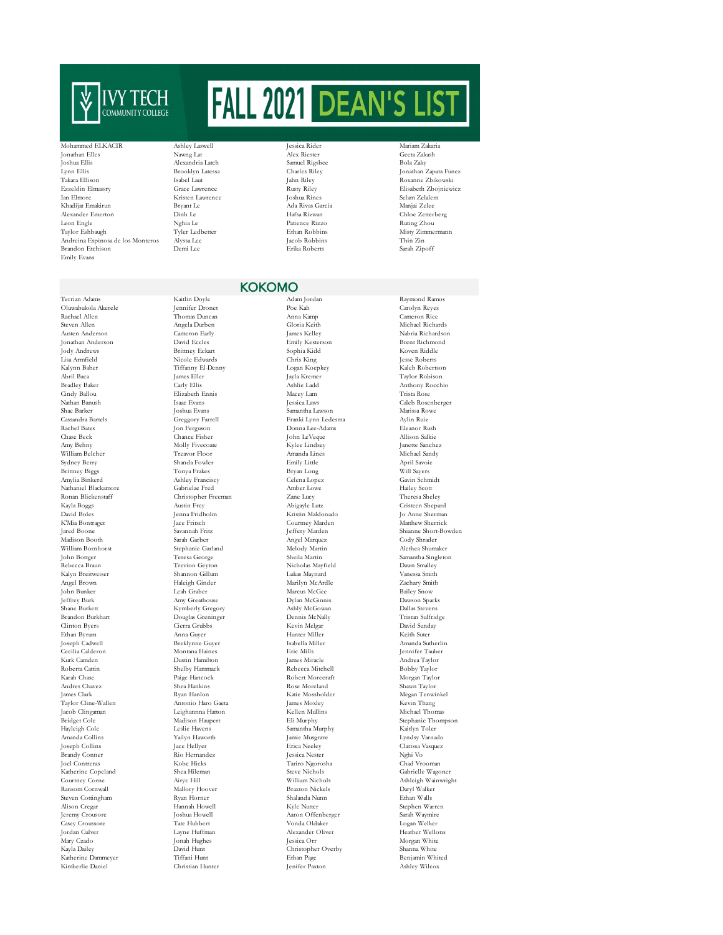

## Mohammed ELKACIR Ashley Laswell Jessica Rider Mariam Zakaria

Joshua Ellis Alexandria Latch Samuel Rigsbee Bola Zaky Lynn Ellis Brooklyn Latessa Charles Riley Jonathan Zapata Funez Ezzeldin Elmassry Grace Lawrence Rusty Riley Elisabeth Zbojniewicz Khadijat Emakirun Bryant Le Ada Rivas Garcia Manjai Zelee Alexander Emerton Leon Engle Nghia Le Patience Rizzo Ruting Zhou Taylor Eshbaugh Tyler Ledbetter Fishan Robbins Misty Zimmermann<br>
Taylor Eshbaugh Tyler Ledbetter Ethan Robbins Misty Zimmermann<br>
Misty Zimmermann<br>
Misty Zimmermann<br>
Misty Zimmermann Andreina Espinosa de los Monteros Alyssa Lee Jacob Robbins Thin Zin Brandon Etchison Emily Evans

Jonathan Elles Nawng Lat Alex Riester Geeta Zakash Ian Elmore Kristen Lawrence Joshua Rines Selam Zelalem

## KOKOMO

Oluwabukola Akerele<br>Rachael Allen Rachael Allen Thomas Duncan Anna Kamp Cameron Rice Steven Allen Michael Richards (Steven Allen Michael Richards Austen Anderson Cameron Early (Schwards Austen Angela Durben Michael Richards (Steven Angela Durben Michael Richards Austen Anderson Cameron Early (Steven Angela Jonathan Anderson Jody Andrews Brittney Eckart Sophia Kidd Koven Riddle Lisa Armfield Nicole Edwards Chris King Jesse Roberts Kalynn Baber Tiffanny El-Denny Logan Koepkey Kaleb Robertson Bradley Baker Carly Ellis Ashlie Ladd Anthony Rocchio Cindy Ballou Elizabeth Ennis Macey Lam Trista Rose Nathan Banush Isaac Evans Jessica Laws Caleb Rosenberger Shae Barker Joshua Evans Samantha Lawson Marissa Rowe Cassandra Bartels Greggory Farrell Franki Lynn Ledesma Aylin Ruiz Rachel Bates Jon Ferguson John I Donna Lee-Adams Eleanor Rush<br>Chase Beck Chance Fisher John LeVeque Allison Salkie Chase Beck Chance Fisher John LeVeque Allison Salkie Allison Salkie Chance Fisher John LeVeque Allison Salkie Amy Behny Molly Fivecoate Kylee Lindsey Janette Sanchez William Belcher Treavor Floor Amanda Lines Michael Sandy Sydney Berry Shanda Fowler Emily Little April Savoie Brittney Biggs Tonya Frakes Bryan Long Will Sayers Nathaniel Blackamore Ronan Blickenstaff Christopher Freeman Zane Lucy Theresa Sheley Kayla Boggs Austin Frey Abigayle Lutz Cristeen Shepard David Boles و Jenna Fridholm و Kristin Maldonado المستخدمة المستخدمة المستخدمة المستخدمة المستخدمة المستخدمة ا<br>Iace Fritsch و Courtney Marden K'Mia Bontrager Jace Fritsch Courtney Marden Matthew Sherrick Jared Boone Savannah Fritz Jeffery Marden Shianne Short-Bowden Madison Booth Sarah Garber Angel Marquez Cody Shrader William Bornhorst Stephanie Garland Melody Martin Alethea Shumaker Rebecca Braun Trevion Geyton Nicholas Mayfield Dawn Smalley Kalyn Breitweiser Shannon Gillum Lukas Maynard Vanessa Smith Angel Brown Haleigh Ginder Marilyn McArdle Zachary Smith John Bunker Leah Graber Marcus McGee Bailey Snow Jeffrey Burk Amy Greathouse Dylan McGinnis Dawson Sparks Shane Burkett Kymberly Gregory Ashly McGowan Dallas Stevens Brandon Burkhart Douglas Greninger Dennis McNally Tristan Sulfridge Clinton Byers Cierra Grubbs Kevin Melgar David Sunday Ethan Byrum Anna Guyer Hunter Miller Keith Suter Joseph Cadwell Breklynne Guyer Isabella Miller Amanda Sutherlin Cecilia Calderon Montana Haines Eric Mills Jennifer Tauber Kurk Camden Dustin Hamilton James Miracle Andrea Taylor Roberta Cattin Shelby Hammack Rebecca Mitchell Bobby Taylor Karah Chase Paige Hancock Robert Morecraft Morgan Taylor Andres Chavez Shea Hankins Rose Moreland Shawn Taylor Taylor Cline-Wallen Antonio Haro Gaeta James Moxley Kevin Thang Jacob Clingaman Leighannna Hatton Kellen Mullins Michael Thomas Bridget Cole Madison Haupert Eli Murphy Stephanie Thompson Hayleigh Cole Leslie Havens Samantha Murphy Kaitlyn Toler Amanda Collins Yailyn Haworth Jamie Musgrave Lyndsy Varnado Brandy Conner Rio Hernandez Besica Nester Nghi Vo<br>Brandy Conner Rio Hernandez Heris (Pariro Ngorosha Chad Vroos Katherine Copeland Shea Hileman Steve Nichols<br>Courtney Corne Steve Nichols (Support Nichols Nichols Nichols Nichols Nichols Courtney Corne Airyc Hill William Nichols Ashleigh Wainwright Ransom Cornwall Mallory Hoover Braxton Nickels Daryl Walker Steven Cottingham Ryan Horner Rhalanda Nunn Ethan Brasil (Shalanda Nunn Ethan Mannah Howell Ryle Nutter Rhalanda Nu Jeremy Crousore Joshua Howell Aaron Offenberger Sarah Waymire Casey Croussore Tate Hubbert Vonda Oldaker Logan Welker Jordan Culver Layne Huffman Alexander Oliver Heather Wellons Kayla Dailey David Hunt Christopher Overby Shanna White Katherine Dammeyer Tiffani Hunt Ethan Page Benjamin Whited Kimberlie Daniel

Terrian Adams Kaitlin Doyle Adam Jordan Raymond Ramos Austen Anderson Cameron Early James Kelley Nabria Richardson Amylia Binkerd Ashley Franciscy Celena Lopez Gavin Schmidt Sheila Martin Bottger Sheila Martin Singleton<br>Nicholas Mavfield Sheila Dawn Smalley  $\begin{tabular}{ll} \bf Kate Mosholder & \tt Megan Tenwinkel \\ \bf James Mockey & \tt Kevin Thang \\ \end{tabular}$ Joseph Collins Jace Hellyer Erica Neeley Clarissa Vasquez Joel Contreras Kobe Hicks Tariro Ngorosha Chad Vrooman

Taylor Robison Stephen Warren Morgan White

.<br>Roxanne Zbikowski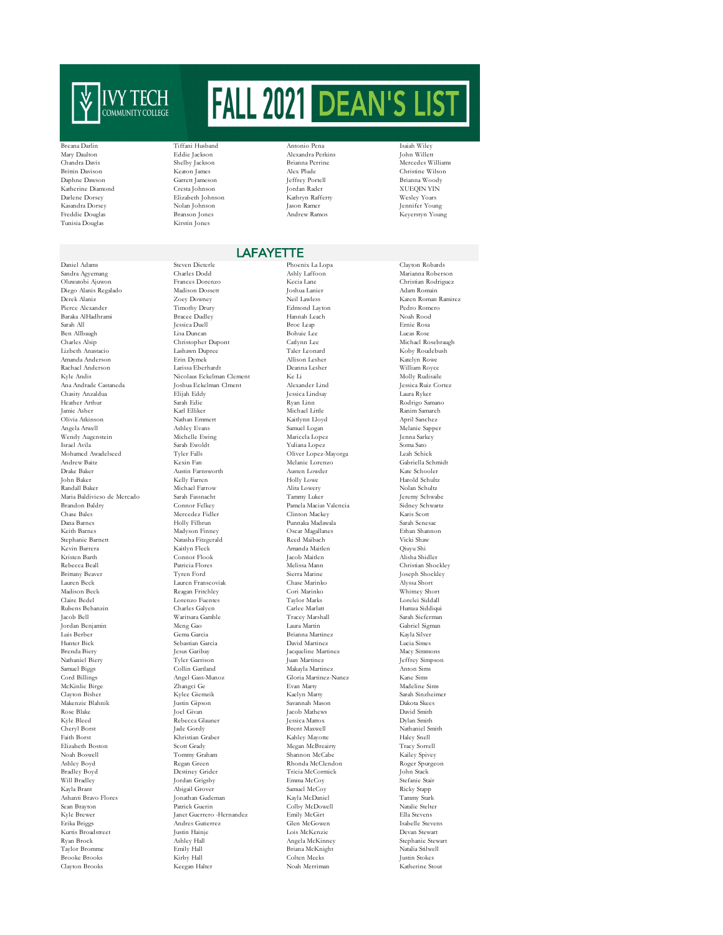

Tunisia Douglas Kirstin Jones

Sandra Agyemang Oluwatobi Ajuwon Frances Dorenzo Kecia Lane Christian Rodriguez Diego Alanis Regalado Madison Dossett Joshua Lanier Adam Romain Derek Alaniz Zoey Downey Neil Lawless Karen Roman Ramirez Baraka AlHadhrami Bracee Dudley Hannah Leach Noah Rood Sarah All Jessica Duell Broc Leap Ernie Rosa Ben Allbaugh Lisa Duncan Bohuie Lee Lucas Rose Charles Alsip Christopher Dupont Catlynn Lee Michael Rosebraugh Lizbeth Anastacio Lashawn Dupree Taler Leonard Koby Roudebush Amanda Anderson Erin Dymek Allison Lesher Katelyn Rowe Rachael Anderson Larissa Eberhardt Deanna Lesher William Royce Ana Andrade Castaneda Joshua Eckelman Clment Alexander Lind Jessica Ruiz Cortez Chasity Anzaldua Elijah Eddy Jessica Lindsay Laura Ryker Heather Arthur Sarah Edie Ryan Linn Rodrigo Samano Jamie Asher Karl Elliker Michael Little Ranim Samareh Olivia Atkinson Nathan Emmert Kaitlynn Lloyd April Sanchez Angela Atwell Ashley Evans Samuel Logan Melanie Sapper Wendy Augenstein Michelle Ewing Maricela Lopez Jenna Sarkey Israel Avila Sarah Ewoldt Sarah Ewoldt Yuliana Lopez Soma Sato<br>Israel Avila Sarah Ewoldt Sarah Ewoldt Yuliana Lopez<br>Mohamed Awadelseed Teler Falls (Viver Lopez-Mavorga Leah Schick Andrew Baitz Kexin Fan Melanie Lorenzo Gabriella Schmidt Drake Baker Austin Farnsworth Austen Lowder Kate Schooler John Baker Kelly Farren Holly Lowe Harold Schultz Randall Baker Michael Farrow Alita Lowery Nolan Schultz Maria Baldivieso de Mercado Sarah Fassnacht Tammy Luker Jeremy Schwabe Brandon Baldry Connor Felkey Pamela Macias Valencia Sidney Schwartz<br>Chase Bales Mercedez Fidler Clinton Mackey Schwartz (Sidney Schwartz)<br>Chase Bales Mercedez Fidler Clinton Mackey Karis Scott Dana Barnes Holly Filbrun Punnaka Madawala Sarah Senesac Keith Barnes Madyson Finney Oscar Magallanes Ethan Shannon Stephanie Barnett – Matasha Fitzgerald – Reed Maibach – Vicki Shaw<br>Stephanie Barnett – Natasha Fitzgerald – Reed Maibach – Vicki Shaw<br>Kevin Barrera – Kaitlyn Fleck – Amanda Maitlen – Qiuyu Shi Kevin Barrera Kaitlyn Fleck Amanda Maitlen Qiuyu Shi Rebecca Beall Patricia Flores Melissa Mann Christian Shockley Brittany Beaver Tyren Ford Sierra Marine Joseph Shockley Lauren Beck Lauren Franscoviak Chase Marinko (Chase Marinko Alexandre Reagan Fritchley Cori Marinko Claire Bedel Lorenzo Fuentes Taylor Marks Lorelei Siddall Rubens Behanzin Charles Galyen Carlee Marlatt Humza Siddiqui Jordan Benjamin Meng Gao Laura Martin Gabriel Sigman Luis Berber Gema Garcia Brianna Martinez Kayla Silver Hunter Bick Sebastian Garcia David Martinez Lucia Simes Brenda Biery Jesus Garibay Jesus Garibay Jesus Garibay Jacqueline Martinez Macy Simmons<br>
Jacqueline Martinez Macy Simmons<br>
Nathaniel Biery Simmons (Perfrey Simmons) Samuel Biggs Collin Gartland Makayla Martinez Anton Sims Cord Billings Angel Gass-Munoz Gloria Martinez-Nunez Kane Sims McKinlie Birge Zhangci Ge Evan Marty Madeline Sims Clayton Bisher Kylee Giemzik Kaelyn Marty Sarah Sinzheimer Makenzie Blahnik Justin Gipson Savannah Mason Dakota Skees Rose Blake Joel Givan Jacob Mathews David Smith Kyle Bleed Rebecca Glauner Jessica Mattox Dylan Smith<br>Cheryl Borst Jade Gordy Brent Maxwell Nathaniel Sn Eneryl Borst Maxwell (1995) (State Gordy Brent Maxwell Nathaniel Smith Nathaniel Smith (1996) (State Brent Maxwell Nathaniel Smith (1996) (State Brent Maxwell Nathaniel Smith (1996) (State Brent Maxwell Nathaniel Smith (19 Faith Borst Khristian Graber Kahley Mayotte Haley Snell Elizabeth Boston Scott Grady Megan McBreairty Tracy Sorrell Noah Boswell Tommy Graham Shannon McCabe Kailey Spivey Ashley Boyd Regan Green Rhonda McClendon Roger Spurgeon Bradley Boyd Destiney Grider Tricia McCormick John Stack Will Bradley Jordan Grigsby Emma McCoy Stefanie Stair Ashanti Bravo Flores Jonathan Gudeman Kayla McDaniel Tammy Stark Kyle Brewer Janet Guerrero -Hernandez Emily McGirt Ella Stevens Erika Briggs Andres Gutierrez Glen McGowen Isabelle Stevens Kurtis Broadstreet Justin Hainje Lois McKenzie Devan Stewart Taylor Bromme Emily Hall Briana McKnight Natalia Stilwell Brooke Brooks Kirby Hall Colten Meeks Justin Stokes

Breana Darlin Tiffani Husband Antonio Pena Isaiah Wiley Mary Daulton Eddie Jackson Alexandra Perkins John Willett Chandra Davis Shelby Jackson Brianna Perrine Mercedes Williams Brittin Davison Keaton James Alex Plude Christine Wilson Garrett Jameson Katherine Diamond Cresta Johnson Jordan Rader XUEQIN YIN Darlene Dorsey Elizabeth Johnson Kathryn Rafferty Wesley Yoars Kasandra Dorsey Nolan Johnson Jason Ramer Jennifer Young

Daniel Adams Steven Dieterle Phoenix La Lopa Clayton Robards Nicolaus Eckelman Clement Ke Li<br>Ioshua Eckelman Clment Alexander Lind Mercedez Fidler Connor Flook Jacob Maitlen Alisha Shidler<br>Patricia Flores Melissa Mann Christian Shockley Jacob Bell Waritsara Gamble Tracey Marshall Sarah Sieferman Kayla Brant Abigail Grover Samuel McCoy Ricky Stapp Keegan Halter

## **LAFAYETTE**

Edmond Layton Oliver Lopez-Mayorga Colby McDowell Angela McKinney

Whitney Short<br>Lorelei Siddall Jeffrey Simpson

Keyerstyn Young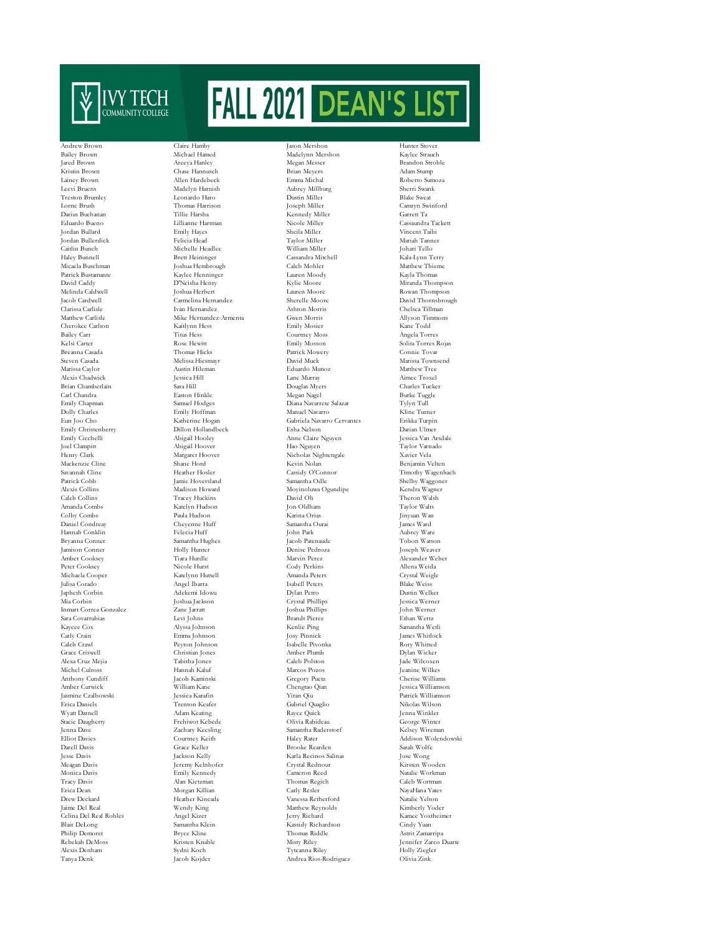

Emily Christenberry Henry Clark Margaret Hoover Nicholas Nightengale<br>Markenzie Cline Shane Hord Kevin Nolan Hannah Conklin Jenna Dave Zachary Keesling Samantha Raderstorf Kelsey Wireman .<br>Celina Del Real Robles Alexis Denham

Easton Hinkle Peyton Johnson Adam Keating Meagan Davis Jeremy Kelnhofer Crystal Rednour Kirsten Wooden

Andrew Brown Claire Hamby Jason Mershon Hunter Stover Bailey Brown Michael Hamed Madelynn Mershon Kaylee Strauch Jared Brown Areeya Hanley Megan Messer Brandon Stroble Kristin Brown Chase Hannusch Brian Meyers Adam Stump Lainey Brown Allen Hardebeck Emma Michal Roberto Sumoza Leevi Bruens Madelyn Harnish Aubrey Millburg Sherri Swank Treston Brumley Leonardo Haro Dustin Miller Blake Sweat Lorne Brush Thomas Harrison Joseph Miller Camryn Swinford Darius Buchanan Tillie Harsha Kennedy Miller Garrett Ta Eduardo Bueno Lillianne Hartman Nicole Miller Cassaundra Tackett Jordan Bullard Emily Hayes Sheila Miller Vincent Taibi Jordan Bullerdick Felicia Head Taylor Miller Mariah Tanner Caitlin Bunch Michelle Headlee William Miller Johari Tello Haley Bunnell Brett Heininger Cassandra Mitchell Kala-Lynn Terry Micaela Buschman Joshua Hembrough Caleb Mohler Matthew Thieme Patrick Bustamante Kaylee Henninger Lauren Moody Kayla Thomas David Caddy D'Neisha Henry Kylie Moore Miranda Thompson Melinda Caldwell Joshua Herbert Lauren Moore Rowan Thompson Jacob Cardwell Carmelina Hernandez Sherelle Moore David Thornsbrough Clarissa Carlisle Ivan Hernandez Ashton Morris Chelsea Tillman Matthew Carlisle Mike Hernandez-Armenta Gwen Morris Allyson Time<br>Cherokee Carlton Kaitlynn Hess Finily Mosier Kane Todd Cherokee Carlton Kaitlynn Hess Emily Mosier Kane Todd Bailey Carr Titus Hess Courtney Moss Angela Torres Kelsi Carter Rose Hewitt Emily Mosson Solita Torres Rojas Patrick Mowery Steven Casada Melissa Hiesmayr David Muck Marissa Townsend Marissa Caylor Austin Hileman Eduardo Munoz Matthew Tree Alexis Chadwick Jessica Hill Lane Murray Aimee Troxel Brian Chamberlain Sara Hill Sara Hill Douglas Myers Charles Tucker<br>Carl Chandra Carl Chamberlain Easton Hinkle Negan Nagel Burke Tuggle Emily Chapman Samuel Hodges Diana Navarrete Salazar Tylyn Tull Dolly Charles Emily Hoffman Manuel Navarro Kline Turner Eun Joo Cabriela Navarro Cervantes Erikka Turpin (Gabriela Navarro Cervantes Erikka Turpin II)<br>Erika Hollandbeck – Esha Nelson (Gabriela Darian II) Emily Cicchelli Abigail Hooley Anne Claire Nguyen Jessica Van Arsdale Joel Clampitt Abigail Hoover Hao Nguyen Hao Nguyen Taylor Varn<br>1991 - Hao Nguyen Hao Nguyen Taylor Varnador (Taylor Varnador)<br>1991 - Nicholas Nightengale Xavier Vela Mackenzie Cline Shane Hord Shane Hord Kevin Nolan Benjamin Velter<br>Savannah Cline Hoster Hoster Cassidy O'Connor Timothy Waven Patrick Cobb Jamie Hoversland Samantha Odle Shelby Waggoner<br>Alexis Collins Madison Howard Moyinoluwa Ogundipe Kendra Wagner Alexis Collins Madison Howard Moyinoluwa Ogundipe Kendra Wagner<br>Caleb Collins Tracev Huckins David Oh Theron Walsh Caleb Collins Tracey Huckins David Oh Theron Walsh Amanda Combs Katelyn Hudson Jon Oldham Taylor Walts Colby Combs Paula Hudson Karina Orias Jinyuan Wan Daniel Condreay Cheyenne Huff Samantha Ourai James Ward Bryanna Conner Samantha Hughes Jacob Patenaude Tobon Watson Jamison Conner Holly Hunter Denise Pedroza Joseph Weaver Amber Cooksey Tiara Hurdle Marvin Perez Alexander Weber Peter Cooksey Nicole Hurst Cody Perkins Allena Weida Michaela Cooper Katelynn Hutsell Amanda Peters Crystal Weigle Julisa Corado Angel Ibarra Isabell Peters Blake Weiss Japheth Corbin Adekemi Idowu Dylan Petro Dustin Welker Mia Corbin Joshua Jackson Crystal Phillips Jessica Werner Inmart Correa Gonzalez Zane Jarratt Joshua Phillips John Werner Sara Covarrubias Levi Johns Brandt Pierce Ethan Wertz Kaycee Cox Alyssa Johnson Kenlie Ping Samantha Wetli Carly Crain Carly Crain Emma Johnson Josy Pinnick James Whitlock Debt (2016)<br>Caleb Crawl Peyton Johnson Isabelle Pivonka Rory Whitted<br>Rory Whited Grace Criswell Christian Jones Amber Plumb Dylan Wicker Alexa Cruz Mejia Tabitha Jones Caleb Polston Jade Wilcoxen Marcos Pozos Jeanine Wilkes Jacob Kaminski (Gregory Puetz (Gregory Puetz)<br>Tacob Kaminski (Gregory Puetz (Gregory Puetz) Anthony Cundiff Jacob Kaminski Gregory Puetz Cherise Williams Amber Curwick William Kane Chengtao Qian Jessica Williamson Jasmine Czalbowski Jessica Karafin (Julian Virran Qiu Patrick Williams)<br>1996 - Jasmine Czalbowski Jessica Karafin (Julian Patrick Williams)<br>1996 - Trenton Keafer (Gabriel Quaglio Nikolas Wilson) Erica Daniels Trenton Keafer Gabriel Quaglio Nikolas Wilson Stacie Daugherty Frehiwot Kebede Clivia Rabideau Olivia Rabideau George Winter<br>1991 - Tenna Dave Cachary Keesling Samantha Raderstorf Kelsey Wireman Elliot Davies Courtney Keith Haley Rater Addison Wolendowski Brooke Rearden Jesse Davis Jackson Kelly Karla Recinos Salinas Jose Wong Monica Davis Emily Kennedy Cameron Reed Natalie Workman Tracy Davis Alan Kietzman Thomas Regich Caleb Wortman Erica Dean Morgan Killian Carly Resler NayaHana Yates Drew Deckard Heather Kincade Vanessa Retherford Natalie Yelton Jaime Del Real Wendy King Matthew Reynolds Kimberly Yoder Blair DeLong Samantha Klein Kassidy Richardson Cindy Yuan Philip Demoret Bryce Kline Thomas Riddle Astrit Zamarripa<br>Rebekah DeMoss – Kristen Knable – Misty Riley – Misty Riley – Jennifer Zarco Reisten Knable Misty Riley (Misty Riley Jennifer Zarco Duarte Sydni Koch (Misty Tyteanna Riley (Misty Holly Ziegler Tanya Denk Jacob Kojder Andrea Rios-Rodriguez Olivia Zink

Timothy Wagenbach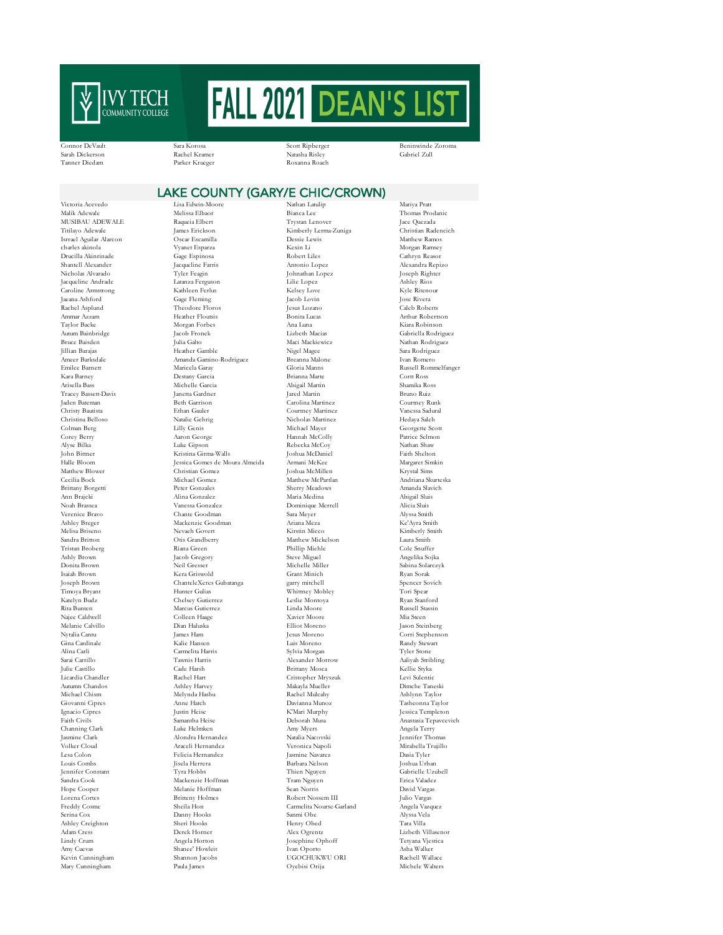

Connor DeVault Sara Korosa Scott Ripberger Beninwinde Zoroma Sarah Dickerson Rachel Kramer Natasha Risley Gabriel Zull Tanner Diedam Parker Krueger Roxanna Roach

## LAKE COUNTY (GARY/E CHIC/CROWN)

Isrrael Aguilar Alarcon Oscar Escamilla Charles akinola Uvanet Esparza Brittany Borgetti Mary Cunningham

Victoria Acevedo Lisa Edwin-Moore Nathan Latulip Mariya Pratt Malik Adewale Melissa Elbaor Bianca Lee Thomas Prodanic MUSIBAU ADEWALE Raqueia Elbert Trystan Lenover Jace Quezada (1999)<br>Trilayo Adewale James Erickson (1999) (2009) (2009) (2009) (2009) (2009) (2019) (2019) (2019) (2019) (2019) (2019)<br>Christian Radencich Titilayo Ademai - James Erickson Kimberly Lerma-Zuniga - Christian Radencich<br>Christian Radenciches - Christian Radenciches - Matthew Ramos Drucilla Akinrinade Gage Espinosa Robert Liles Cathryn Reasor Shantell Alexander Jacqueline Farris Antonio Lopez Alexandra Repizo Nicholas Alvarado Tyler Feagin Johnathan Lopez Joseph Righter Jacqueline Andrade Latanza Ferguson Lilie Lopez Ashley Rios Caroline Armstrong Kathleen Ferlus Kelsey Love Kyle Ritenour Jaeana Ashford Gage Fleming Jacob Lovin Jose Rivera Rachel Asplund Theodore Floros Jesus Lozano Caleb Roberts Ammar Azzam Heather Floutsis Bonita Lucas Arthur Robertson Taylor Backe Morgan Forbes Ana Luna Kiara Robinson Autum Bainbridge Jacob Fronek Lizbeth Macias Gabriella Rodriguez<br>Autum Bainbridge Jacob Fronek Lizbeth Macias Gabriella Rodriguez<br>Bruce Baisden – Julia Galto – Maci Mackiewicz – Nathan Rodriguez Bruce Baisden Julia Galto Maci Mackiewicz Nathan Rodriguez Jillian Barajas Heather Gamble Nigel Magee Sara Rodriguez Ameer Barksdale Amanda Gamino-Rodriguez Breanna Malone Ivan Romero Emilee Barnett Maricela Garay Gloria Manns Russell Rommelfanger Destany Garcia Arisella Bass Michelle Garcia Abigail Martin Shamika Ross Tracey Bassett-Davis Janetta Gardner Jared Martin Bruno Ruiz Jaden Bateman Beth Garrison Carolina Martinez Courtney Runk Christy Bautista Ethan Gauler Courtney Martinez Vanessa Sadural Christina Belloso Natalie Gehrig Nicholas Martinez Hedaya Saleh Colman Berg (2007)<br>Colman Berg (2007)<br>Corresponding Michael Mayer (2007)<br>Corresponding Michael Mayer (2007)<br>Patrice Selmon Corresponding Michael Mayer (2007)<br>Patrice Selmon Corresponding Michael Mayer (2007) Corey Berry Aaron George Hannah McColly Patrice Selmon Alyse Bilka Luke Gipson Rebecka McCoy Nathan Shaw John Bittner Kristina Girma-Walls Joshua McDaniel Faith Shelton Halle Bloom Jessica Gomes de Moura Almeida Armani McKee Margaret Simkin Matthew Blower Christian Gomez Joshua McMillen Krystal Sims Michael Gomez Matthew McPartlan Andriana Skurtes<br>Peter Gonzales Sherry Meadows Amanda Slavich Ann Brajcki Alina Gonzalez Maria Medina Abigail Sluis Noah Brassea Vanessa Gonzalez Dominique Merrell Alicia Sluis Chante Goodman Ashley Breger Mackenzie Goodman Ariana Meza Ke'Ayra Smith Melisa Briseno Nevaeh Govert Kirstin Micco Kimberly Smith Sandra Britton Otis Grandberry Matthew Mickelson Laura Smith Tristan Broberg Riana Green Phillip Miehle Cole Snuffer Donita Brown Neil Gresser Michelle Miller Sabina Solarczyk Isaiah Brown Kera Griswold Grant Minich Ryan Sorak  $\begin{tabular}{ll} ChanteleXeres Gubatanga & \text{garry mitchell} & \text{Spencer Sc} \\ \text{Hunter Gulias & \text{Whitney Mobley} & \text{Tori Spear} \end{tabular}$ Timoya Bryant Hunter Gulias Whittney Mobley Tori Spear Katelyn Budz Chelsey Gutierrez Leslie Montoya Ryan Stanford Rita Bunten Marcus Gutierrez Marcus Gutierrez Linda Moore Russell Stassin Russell Stassin Colleen Haage Navier Acore Mia Steen Marcus Colleen Haage Navier Moore Mia Steen Marcus Colleen Haage Navier Moore Mia Steen Marcus Najee Caldwell Colleen Haage Xavier Moore Mia Steen Melanie Calvillo Dian Haluska Elliot Moreno Jason Steinberg Nytalia Cantu James Ham Jesus Moreno Corri Stephenson Gina Cardinale Kalie Hansen Luis Moreno Randy Stewart Alina Carli Carmelita Harris Sylvia Morgan Tyler Stone Sarai Carrillo Tawnis Harris Alexander Morrow Aaliyah Stribling Julie Castillo Cade Harsh Brittany Mosca Kellie Styka Licardia Chandler Rachel Hart Cristopher Mryszuk Levi Sulentic Autumn Chandos Ashley Harvey Makayla Mueller Dimche Taneski Melynda Hashu Giovanni Cipres Anne Hatch Davianna Munoz Tasheonna Taylor Ignacio Cipres Justin Heise K'Mari Murphy Jessica Templeton Faith Civils Samantha Heise Deborah Musa Anastasia Tepavcevich Channing Clark Luke Helmken Amy Myers Angela Terry Jasmine Clark Alondra Hernandez Natalia Nacovski Jennifer Thomas Volker Cloud Araceli Hernandez Veronica Napoli Mirabella Trujillo Lesa Colon Felicia Hernandez Jasmine Navarez<br>1982 - Jacques Darbara Nelson<br>1983 - Barbara Nelson Louis Combs Jisela Herrera Barbara Nelson Joshua Urban Jennifer Constant Tyra Hobbs Thien Nguyen Gabrielle Uzubell Sandra Cook Mackenzie Hoffman Tram Nguyen Erica Valadez Hope Cooper Melanie Hoffman Sean Norris David Vargas Lorena Cortes Britteny Holmes Robert Nossem III Julio Vargas Serina Cox Danny Hooks Sanmi Obe Alyssa Vela Ashley Creighton Sheri Hooks Henry Obed Tara Villa Adam Cress Derek Horner Alex Ogrentz Lizbeth Villasenor Amy Cuevas Shanee' Howleit Ivan Oporto Asha Walker Kevin Cunningham Shannon Jacobs UGOCHUKWU ORI Rachell Wallace

Kexin Li<br>Robert Liles and Morgan Ramsey Robert Elles (Cathryn Reason Steve Miguel<br>Michelle Miller Carmelita Nourse-Garland Josephine Ophoff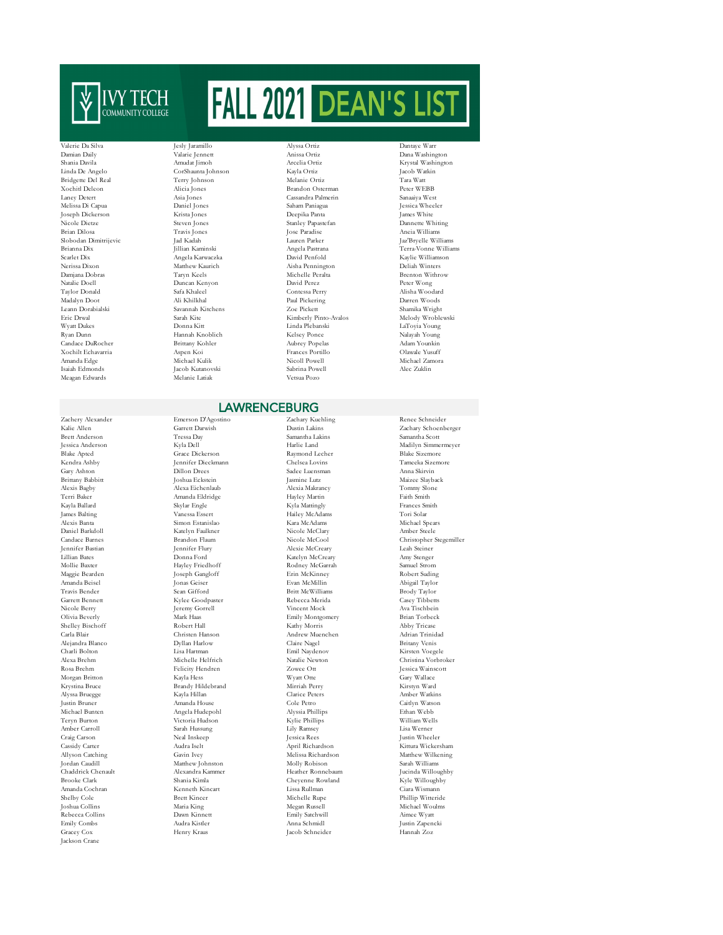

Bridgette Del Real Joseph Dickerson Xochilt Echavarria Meagan Edwards

Krystina Bruce Brandy Hildebrand Mirriah Perry Mirriah Perry Raja (1999)<br>Alyssa Bruegge – Kayla Hillan – Clarice Peters Jackson Crane

Jacob Kutanovski Sabrina Powell<br>1991 - Sabrina Powell Nelanie Latiak<br>1992 - Vetsua Pozo

Valerie Da Silva Jesly Jaramillo Alyssa Ortiz Dantaye Warr Damian Daily Valarie Jennett Anissa Ortiz Dana Washington Shania Davila Amudat Jimoh Arcelia Ortiz Krystal Washington Linda De Angelo CorShaunta Johnson Kayla Ortiz Jacob Watkin Xochitl Deleon Alicia Jones Brandon Osterman Peter WEBB Laney Detert Asia Jones Cassandra Palmerin Sanaaiya West Melissa Di Capua Daniel Jones Saham Paniagua Assica Wheelers (September 2013)<br>1989 - Joseph Dickerson (Saham Paniagua Deepika Panta James White Melissa Deepika Panta James (Shite Melissa D Nicole Dietze Steven Jones Stanley Papastefan Dannette Whiting Brian Dilosa Travis Jones Jose Paradise Aneia Williams Slobodan Dimitrijevic Jad Kadah Lauren Parker Jaz'Bryelle Williams Brianna Dix Jillian Kaminski Angela Pastrana Terra-Vonne Williams<br>Scarlet Dix Angela Karwaczka David Penfold – Kavlie Williamson Scarlet Dix Angela Karwaczka David Penfold Kaylie Williamson Nerissa Dixon Matthew Kaurich Aisha Pennington Deliah Winters<br>1989 - Matthew Kaurich Aisha Pennington Deliah Winters<br>2011 - Damjana Dobras - Taryn Keels - Michelle Peralta Damjana Dobras Taryn Keels Michelle Peralta Brenton Withrow Natalie Doell Duncan Kenyon David Perez Peter Wong Taylor Donald Safa Khaleel Contessa Perry Alisha Woodard Madalyn Doot Ali Khilkhal Paul Pickering Darren Woods Leann Dorabialski Savannah Kitchens Zoe Pickett Shamika Wright Eric Drwal Sarah Kite Kimberly Pinto-Avalos Melody Wroblewski Ryan Dunn Hannah Knoblich Kelsey Ponce Nalayah Young Candace DuRocher Brittany Kohler Aubrey Popelas Adam Younkin Amanda Edge Michael Kulik Nicoll Powell Michael Zamora

## **LAWRENCEBURG**

Zachery Alexander Emerson D'Agostino Zachary Kuehling Renee Schneider Brett Anderson Tressa Day Samantha Lakins Samantha Scott Blake Apted Grace Dickerson Raymond Lecher Blake Sizemore Kendra Ashby Jennifer Dieckmann Chelsea Lovins Tameeka Sizemore Gary Ashton Dillon Drees Sadee Luensman Anna Skirvin Brittany Babbitt Joshua Eckstein Jasmine Lutz Maizee Slayback<br>Alexis Bagby Alexa Eichenlaub Alexia Makrancy Tommy Slone Terri Baker Amanda Eldridge Hayley Martin Faith Smith Kayla Ballard Skylar Engle Kyla Mattingly Frances Sr<br>America Skylar Kyla Mattingly Kanadams (Tori Solar Tori Solar Mattingly McAdams) Hailey McAdams Alexis Banta Simon Estanislao Kara McAdams Michael Spears Daniel Barkdoll Katelyn Faulkner Nicole McClary Amber Steele Jennifer Bastian Jennifer Flury Alexie McCreary Leah Steiner Katelyn McCreary Mollie Baxter Hayley Friedhoff Rodney McGarrah Samuel Strom Maggie Bearden Joseph Gangloff Erin McKinney Robert Suding Amanda Beisel Jonas Geiser Evan McMillin Abigail Taylor<br>Travis Bender Sean Gifford Britt McWilliams Brody Taylor Travis Bender Sean Gifford Britt McWilliams Brody Taylor Garrett Bennett Kylee Goodpaster Rebecca Merida Casey Tibbetts Nicole Berry Jeremy Gorrell Vincent Mock Ava Tischbein Olivia Beverly Mark Haas Emily Montgomery Brian Torbeck Shelley Bischoff Robert Hall Kathy Morris Abby Tricase Carla Blair Christen Hanson Andrew Muenchen Adrian Trinidad Alejandra Blanco Dyllan Harlow Claire Nagel Britany Venis Charli Bolton Lisa Hartman Emil Naydenov Kirsten Voegele Rosa Brehm Felicity Hendren Zowee Ott Jessica Wainscott Morgan Britton Kayla Hess Wyatt Otte Gary Wallace Alyssa Bruegge Kayla Hillan Clarice Peters Amber Watkins Justin Bruner Amanda House Cole Petro Caitlyn Watson Michael Bunten Angela Hudepohl Alyssia Phillips Ethan Webb Teryn Burton Victoria Hudson Kylie Phillips William Wells Amber Carroll Sarah Hussung Lily Ramsey Lisa Werner Craig Carson Neal Inskeep Jessica Rees Justin Wheeler Cassidy Carter Audra Iselt April Richardson Kittura Wickersham Allyson Catching Gavin Ivey Melissa Richardson Matthew Wilkening Jordan Caudill Matthew Johnston Molly Robison Sarah Williams Chaddrick Chenault Alexandra Kammer Heather Ronnebaum Jucinda Willoughby Brooke Clark Shania Kimla Cochran Shania Kimla Cheyenne Rowland Kyle Willoughby<br>Amanda Cochran Kenneth Kincart I issa Rullman Ciara Wismann Amanda Cochran Kenneth Kincart Lissa Rullman Ciara Wismann Shelby Cole Brett Kincer Michelle Rupe Phillip Witteride Megan Russell Rebecca Collins Dawn Kinnett Emily Satchwill Aimee Wyatt Emily Combs Audra Kistler Anna Schmidl Justin Zapencki Gracey Cox Henry Kraus Jacob Schneider Hannah Zoz

LaToyia Young

Kalie Allen Garrett Darwish Dustin Lakins Zachary Schoenberger<br> 1991 - Tressa Day Samantha Lakins Samantha Lakins Samantha Scott Jessica Anderson Kyla Dell Harlie Land Madilyn Simmermeyer Tommy Slone Candace Barnes Brandon Flaum Nicole McCool Christopher Stegemiller Christina Vorbroker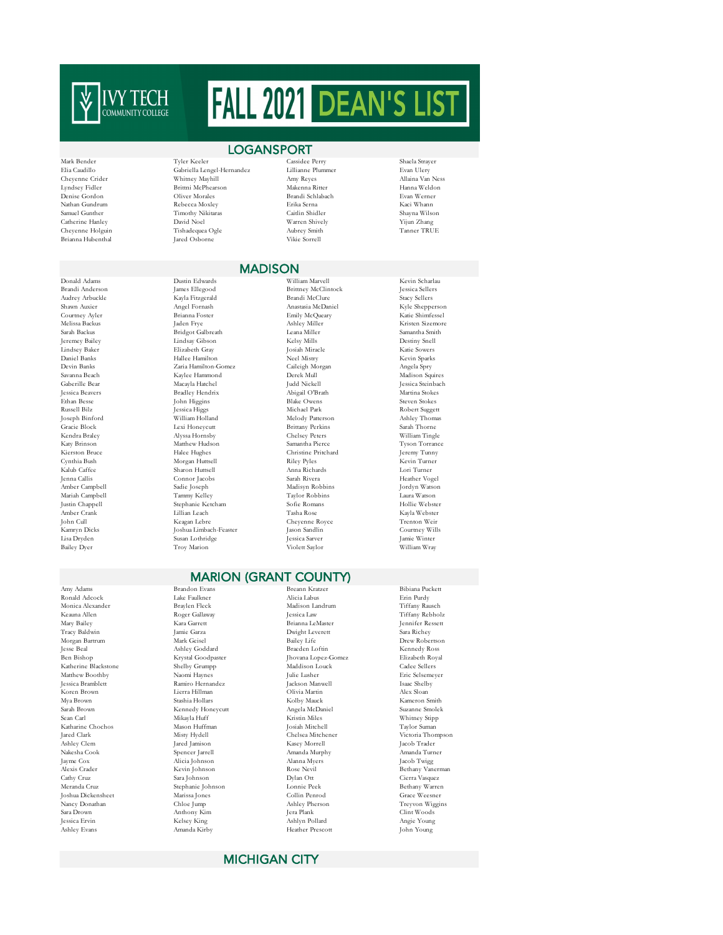

Jayme Cox Alicia Johnson Alanna Myers Jacob Twigg Joshua Dickensheet Marissa Jones Collin Penrod Grace Weesner

## Mark Bender Tyler Keeler Cassidee Perry Shaela Strayer Elia Caudillo Gabriella Lengel-Hernandez Lillianne Plummer Evan Ulery Cheyenne Crider Whitney Mayhill Amy Reyes Allaina Van Ness Lyndsey Fidler Brittni McPhearson Makenna Ritter Hanna Weldo<br>1996 - Brittni McPhearson Makenna Ritter Hanna Weldo<br>1996 - Brandi Schlabach Brandi Schlabach Evan Werner Nathan Gundrum Rebecca Moxley Erika Serna Kaci Whann Samuel Gunther Timothy Nikitaras Caitlin Shidler Shayna Wilson LOGANSPORT

Kayla Fitzgerald

Hallee Hamilton

Sharon Huttsell

Stephanie Ketcham

.<br>Susan Lothridge

Catherine Hanley David Noel Warren Shively Yijun Zhang Cheyenne Holguin Tishadequea Ogle Aubrey Smith Tanner TRUE Brianna Hubenthal Jared Osborne Vikie Sorrell

# Brandi Schlabach

## **MADISON**

Donald Adams Dustin Edwards William Marvell Kevin Scharlau Brandi Anderson James Ellegood Brittney McClintock Jessica Sellers Shawn Auxier Angel Fornash Anastasia McDaniel Kyle Shepperson Courtney Ayler Brianna Foster Emily McQueary Katie Shimfessel Sarah Backus Bridgot Galbreath Leana Miller Samantha Smith Jeremey Bailey Lindsay Gibson Kelsy Mills Destiny Snell Lindsey Baker Elizabeth Gray Josiah Miracle Katie Sowers Devin Banks Zaria Hamilton-Gomez Caileigh Morgan Angela Spry Savanna Beach Kaylee Hammond Derek Mull Madison Squires Gaberille Bear Macayla Hatchel Judd Nickell Jessica Steinbach Jessica Beavers Bradley Hendrix Abigail O'Brath Martina Stokes Ethan Besse John Higgins Blake Owens Steven Stokes Russell Bilz Jessica Higgs Michael Park Robert Suggett Joseph Binford William Holland Melody Patterson Ashley Thomas Gracie Block Lexi Honeycutt Brittany Perkins Sarah Thorne Kendra Braley Alyssa Hornsby Chelsey Peters William Tingle Katy Brinson Matthew Hudson Samantha Pierce Tyson Torrance Kierston Bruce Halee Hughes Christine Pritchard Jeremy Tunny Cynthia Bush Morgan Huttsell Riley Pyles Kevin Turner Jenna Callis Connor Jacobs Sarah Rivera Heather Vogel Amber Campbell Sadie Joseph Madisyn Robbins Jordyn Watson Mariah Campbell Tammy Kelley Taylor Robbins Laura Watson Amber Crank Lillian Leach Tasha Rose Kayla Webster John Cull Keagan Lebre Cheyenne Royce Trenton Weir Kamryn Dicks Joshua Limbach-Feaster Jason Sandlin Courtney Wills Bailey Dyer Troy Marion Violett Saylor William Wray

Kristen Sizemore

## MARION (GRANT COUNTY)

Shelby Grumpp Anthony Kim

Amy Adams Brandon Evans Breann Kratzer Bibiana Puckett Ronald Adcock Lake Faulkner Alicia Labus Erin Purdy Monica Alexander Braylen Fleck Madison Landrum Tiffany Rausch Keauna Allen Roger Gallaway Jessica Law Tiffany Rebholz Mary Bailey Kara Garrett Brianna LeMaster Jennifer Ressett Dwight Leverett Morgan Bartrum Mark Geisel Bailey Life Drew Robertson Jesse Beal Ashley Goddard Braeden Loftin Kennedy Ross Ben Bishop Krystal Goodpaster Jhovana Lopez-Gomez Elizabeth Royal Matthew Boothby Naomi Haynes Julie Lusher Eric Selsemeyer Jessica Bramblett Ramiro Hernandez Jackson Manwell Isaac Shelby Koren Brown Lierra Hillman Olivia Martin Alex Sloan Mya Brown Stashia Hollars Kolby Mauck Kameron Smith Sarah Brown Kennedy Honeycutt Angela McDaniel Suzanne Smolek Sean Carl Mikayla Huff Kristin Miles Whitney Stipp Katharine Chochos Mason Huffman Josiah Mitchell Taylor Suman Jared Clark Misty Hydell Chelsea Mitchener Victoria Thor Ashley Clem Jared Jamison Kasey Morrell Jacob Trader Nakesha Cook Spencer Jarrell Amanda Murphy Amanda Turne<br>
1988 - Amanda Murphy Amanda Turne<br>
1990 - Alexandr Alanna Myers (Jacob Twigg) Alexis Crader Kevin Johnson Rose Nevil Bethany Vanerman Cathy Cruz Sara Johnson Dylan Ott Cierra Vasquez Meranda Cruz Stephanie Johnson Lonnie Peek Bethany Warren )<br>Nancy Donathan Chloe Jump Ashley Pherson Treyvon Wiggins<br>Sara Drown Clint Woods (Clint Woods) Jessica Ervin Kelsey King Ashlyn Pollard Angie Young Ashley Evans Amanda Kirby Heather Prescott John Young

Victoria Thompson

## MICHIGAN CITY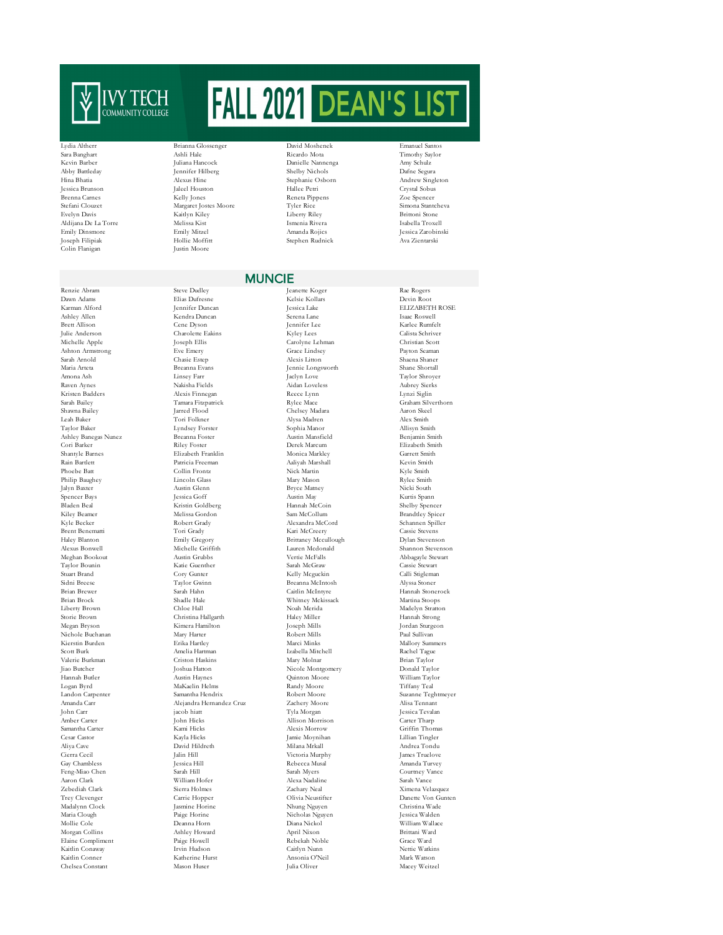

Colin Flanigan

Renzie Abram Steve Dudley Jeanette Koger Rae Rogers Dawn Adams Elias Dufresne Kelsie Kollars Devin Root Ashley Allen Kendra Duncan Serena Lane Isaac Roswell Brett Allison Cene Dyson Jennifer Lee Karlee Rumfelt Julie Anderson Charolette Eakins Kyley Lees Calista Schriver Ashton Armstrong Eve Emery Grace Lindsey Payton Seaman Sarah Arnold Chasie Estep Alexis Litton Shaena Shaner Maria Arteta Breanna Evans Jennie Longsworth Shane Shortall Raven Aynes Nakisha Fields Aidan Loveless Aubrey Sierks Kristen Badders Alexis Finnegan Reece Lynn Lynzi Siglin Sarah Bailey Tamara Fitzpatrick Rylee Mace Graham Silverthorn Shawna Bailey Jarred Flood Chelsey Madara Aaron Skeel Leah Baker Tori Folkner Alysa Madren Alex Smith Taylor Baker Lyndsey Forster Sophia Manor Allisyn Smith Ashley Banegas Nunez Breanna Foster Austin Mansfield Benjamin Smith<br>Cori Barker Riley Foster Derek Marcum Blizabeth Smith Cori Barker Riley Foster Derek Marcum Elizabeth Smith Shantyle Barnes Elizabeth Franklin Monica Markley Garrett Smith Rain Bartlett Patricia Freeman Aaliyah Marshall Kevin Smith Phoebe Batt Collin Frontz Nick Martin Kyle Smith Philip Baughey Lincoln Glass Mary Mason Rylee Smith Jalyn Baxter Austin Glenn Bryce Matney Nicki South Spencer Bays Jessica Goff Austin May Kurtis Spann Bladen Beal Kristin Goldberg Hannah McCoin Shelby Spencer Kyle Becker Robert Grady Alexandra McCord Schannen Spiller Brent Benematti Tori Grady Kari McCreery Cassie Stevens Haley Blanton Emily Gregory Brittaney Mccullough Dylan Stevenson Alexus Bonwell Michelle Griffith Lauren Mcdonald Shannon Stevenson Taylor Bounin Katie Guenther Sarah McGraw Cassie Stewart Stuart Brand Cory Gunter Kelly Mcguckin Calli Stigleman Sidni Breese Taylor Gwinn Breanna McIntosh Alyssa Stoner<br>Brian Brewer Sarah Hahn Caitlin McIntore Hannah Stonerock Brian Brewer Sarah Hahn Caitlin McIntyre Hannah Stonerock Brian Brock Shadle Hale Whitney Mckissack Martina Stoops Liberty Brown Chloe Hall Noah Merida Madelyn Stratton Storie Brown Christina Hallgarth Haley Miller Hannah Strong Megan Bryson Kimera Hamilton Joseph Mills Jordan Sturgeon Nichole Buchanan Mary Harter Robert Mills Paul Sullivan Kierstin Burden Erika Hartley Marci Minks Mallory Summers Scott Burk Amelia Hartman Izabella Mitchell (Rachel Tague<br>Scott Burk Amelia Hartman Izabella Mitchell Rachel Tague<br>Valerie Burkman Izvlor (Criston Haskins Mary Molnar Valerie Burkman Criston Haskins Mary Molnar Brian Taylor Jiao Butcher Joshua Hatton Nicole Montgomery Donald Taylor Hannah Butler Austin Haynes Quinton Moore William Taylor Logan Byrd MaKaelin Helms Randy Moore Tiffany Teal Amanda Carr Alejandra Hernandez Cruz Zachery Moore Alisa Tennant John Carr jacob hiatt Tyla Morgan Jessica Tevalan Amber Carter John Hicks Allison Morrison Carter Tharp Samantha Carter Manni Hicks (Kami Hicks Alexis Morrow Griffin Thomas (Griffin Thomas (Kayla Hicks (Kayla Hicks (Kayla Hicks (Kayla Hicks (Kayla Hicks (Kayla Hicks (Kayla Hicks (Kayla Hicks (Kayla Hicks (Kayla Hicks (Kayla Cesar Castor Kayla Hicks Jamie Moynihan Lillian Tingler Aliya Cave David Hildreth Milana Mrkall Andrea Tondu Cierra Cecil Jalin Hill Victoria Murphy James Truelove Gay Chambless Jessica Hill Rebecca Musal Amanda Turvey Feng-Miao Chen Sarah Hill Sarah Myers Courtney Vance Aaron Clark William Hofer Alexa Nadaline Sarah Vance Zebediah Clark Sierra Holmes Zachary Neal Ximena Velazquez Trey Clevenger Carrie Hopper Olivia Neustifter Danette Von Gunten Maria Clough Paige Horine Nicholas Nguyen Jessica Walden Mollie Cole Deanna Horn Diana Nickol William Wallace Elaine Compliment Kaitlin Conaway Irvin Hudson Caitlyn Nunn Nettie Watkins Kaitlin Conner Mark Watson<br>
Katherine Hurst Ansonia O'Neil Mark Watson<br>
Chelsea Constant Mason Huser Iulia Oliver Macey Weitzel Chelsea Constant Mason Huser Julia Oliver Macey Weitzel

Lydia Altherr Brianna Glossenger David Moshenek Emanuel Santos Sara Banghart Ashli Hale Ricardo Mota Timothy Saylor Kevin Barber Juliana Hancock Danielle Nannenga Amy Schulz Abby Battleday Jennifer Hilberg Shelby Nichols Dafne Segura Jessica Brunson Jaleel Houston Hallee Petri Crystal Sobus Brenna Carnes Kelly Jones Reneta Pippens Zoe Spencer Stefani Clouzet Margaret Jostes Moore Tyler Rice Simona Stantcheva<br>
Stefani Clouzet Simona Stantcheva<br>
Stantoni Stone Kaitlyn Kiley Liberty Riley Brittoni Stone Aldijana De La Torre Melissa Kist Ismenia Rivera Isabella Troxell Emily Dinsmore Emily Mitzel Amanda Rojics Jessica Zarobinski Joseph Filipiak Hollie Moffitt Stephen Rudnick Ava Zientarski

# Stephanie Osborn

**MUNCIE**<br>Jeanette Koger

# Brittoni Stone

 $\begin{array}{ll} \text{Joseph Ellis} & \text{Carolyne Lehman} \\ \text{Eve Emery} & \text{Grace Lindsey} \\ \text{Chasie Estep} & \text{Alexis Litton} \end{array}$ External Among Linsey Farr Jackyn Love Taylor Shroyer<br>Andrew Anden Loveless Aubrey Sterks Madalynn Clock Jasmine Horine Nhung Nguyen Paige Horine Nicholas Nguyen Christina Wade Morgan Collins Ashley Howard April Nixon Brittani Ward

ELIZABETH ROSE Brandtley Spicer Abbagayle Stewart Suzanne Teghtmeyer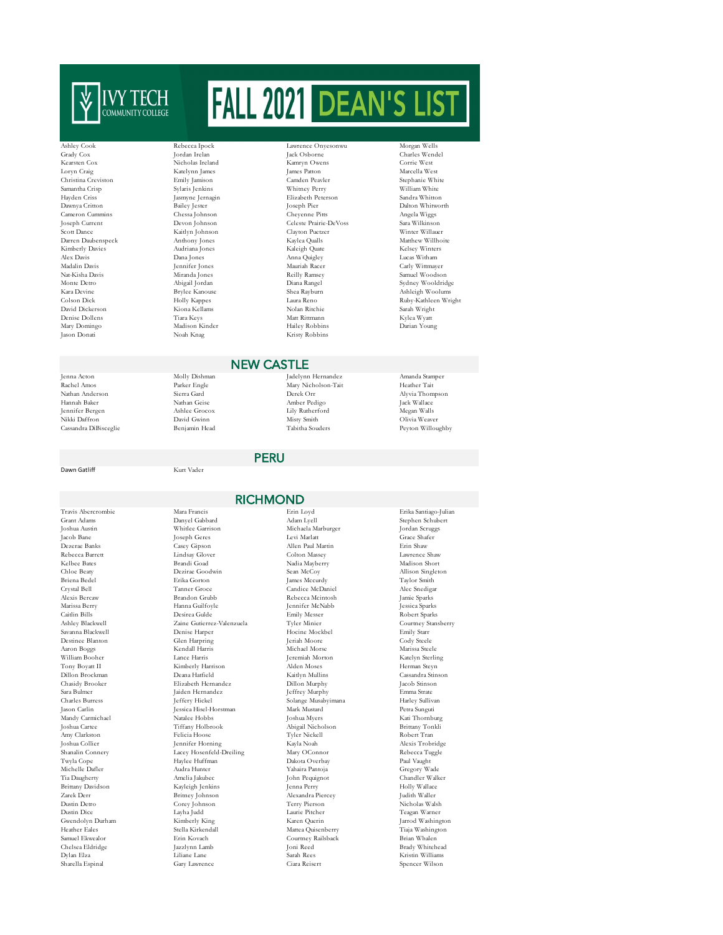

Christina Creviston Cameron Cummins Alex Davis Dana Jones Anna Quigley Andalin Davis Pennifer Jones Anna Quigley Madalin Davis Jason Donati Noah Knag Kristy Robbins

Dawn Gatliff Kurt Vader

Savanna Blackwell Tony Boyatt II Amy Clarkston

# Ashley Cook Rebecca Ipock Lawrence Onyesonwu Morgan Wells

Travis Abercrombie Mara Francis Erin Loyd Erika Santiago-Julian Joshua Austin Whitlee Garrison Michaela Marburger Jordan Scruggs Jacob Bane Joseph Geres Levi Marlatt Grace Shafer Dezerae Banks Casey Gipson Allen Paul Martin Erin Shaw Rebecca Barrett Lindsay Glover Colton Massey Lawrence Shaw Kelbee Bates Brandi Goad Nadia Mayberry Madison Short Chloe Beaty Dezirae Goodwin Sean McCoy Allison Singleton Briena Bedel Erika Gorton James Mccurdy Taylor Smith Crystal Bell Mec Snedigare Crystal Bell (Candice McDaniel Alexis Bercaw - Candice McDaniel Alexis Bercaw - Brandon Grubb - Rebecca Mcintosh - Jamie Sparks Alexis Bercaw Brandon Grubb Rebecca Mcintosh Jamie Sparks Marissa Berry Hanna Guilfoyle Jennifer McNabb Jessica Sparks Caitlin Bills Desirea Gulde Emily Messer Robert Sparks Ashley Blackwell Zaine Gutierrez-Valenzuela Tyler Minier Courtney Stansberry Destinee Blanton Glen Harpring Jeriah Moore Cody Steele Aaron Boggs Kendall Harris Michael Morse Marissa Steele William Booher Lance Harris Jeremiah Morton Katelyn Sterling Dillon Brockman Deana Hatfield Kaitlyn Mullins Cassandra Stinson Chasidy Brooker Elizabeth Hernandez Dillon Murphy Jacob Stinson Sara Bulmer Jaiden Hernandez Jeffrey Murphy Emma Strate Jason Carlin Jessica Hisel-Horstman Mark Mustard Petra Sunguti  $\begin{array}{lllllllllllllll} \text{Jason Carlin} & & & & \text{Jessica Hisel-Horstrann} & & & \text{Mark Mustard} & & & \text{Petra Sunguti} \\ \text{Mandy Carmichael} & & & \text{Nathlee Hobbs} & & & \text{Joshua Myers} & & & \text{Kai Thorohurg} & & \\ \text{Joshua Cartee} & & & \text{Trffany Holbrook} & & & \text{Abigail Nicholas} & & \text{Brittany Tonkli} & & \\ \end{array}$ Joshua Cartee Tiffany Holbrook Abigail Nicholson Brittany Tonkli Joshua Collier Jennifer Horning Kayla Noah Alexis Trobridge Shanalin Connery Lacey Hosenfeld-Dreiling Mary OConnor Rebecca Tuggle Twyla Cope Haylee Huffman Dakota Overbay Paul Vaught Michelle Dafler Audra Hunter Yahaira Pantoja Gregory Wade Tia Daugherty Amelia Jakubec John Pequignot Chandler Walker Brittany Davidson Kayleigh Jenkins Jenna Perry Holly Wallace Zarek Derr Britney Johnson Alexandra Piercey Judith Waller  $\begin{array}{lll}\n\textbf{Dustin Detroit} & \textbf{Corey Johnson} & \textbf{Terpy Person} \\
\textbf{Dustin Dice} & \textbf{Lawha Judd} & \textbf{Laurie Pitcher}\n\end{array}$ Gwendolyn Durham Kimberly King Karen Querin Jarrod Washington Heather Eales Stella Kirkendall Mattea Quisenberry Tiaja Washington Samuel Ekwealor Erin Kovach Courtney Railsback Brian Whalen Jazzlynn Lamb Joni Reed Brady Whitehead Dylan Elza Liliane Lane Sarah Rees Kristin Williams Sharella Espinal Gary Lawrence Ciara Reisert Spencer Wilson **RICHMOND** 

Grady Cox Jordan Irelan Jack Osborne Charles Wendel Kearsten Cox Nicholas Ireland Kamryn Owens Corrie West Loryn Craig Katelynn James James Patton Marcella West Samantha Crisp Sylaris Jenkins Whitney Perry William White Hayden Criss Jasmyne Jernagin Elizabeth Peterson Sandra Whitton Dawnya Critton Bailey Jester Joseph Pier Dalton Whitworth Joseph Current Devon Johnson Celeste Prairie-DeVoss Sara Wilkinson  $\begin{array}{lll} \text{Kaitlyn Johnson} & \text{Clayton Puctzer} & \text{Winter Willauer} \\ \text{Anthony Jones} & \text{Kaylea Qualls} & \text{Matthev Willhoite} \end{array}$ Darren Daubenspeck Anthony Jones Kaylea Qualls Matthew Willho<br>2 Audriana Jones Kaleigh Quate Kelsey Winters Kimberly Davies Audriana Jones Kaleigh Quate Kelsey Winters Madalin Davis and Davis Jennifer Jones Mauriah Racer Carly Wittmayer<br>
Mathia Racer Carly Wittmayer Carly Mitmayer<br>
Mathia Davis Miranda Jones Reilly Ramsey Samuel Woodso Nat-Kisha Davis Miranda Jones Reilly Ramsey Samuel Woodson Monte Detro Abigail Jordan Diana Rangel Sydney Wooldridge Kara Devine Brylee Kanouse Shea Rayburn Ashleigh Woolums Colson Dick Holly Kappes Laura Reno Ruby-Kathleen Wright David Dickerson Kiona Kellams Nolan Ritchie Sarah Wright Denise Dollens Tiara Keys Matt Rittmann Kylea Wyatt Hailey Robbins

## NEW CASTLE

**PERU** 

Rachel Amos Parker Engle Mary Nicholson-Tait Heather Tait Hannah Baker Nathan Geise Amber Pedigo Jack Wallace Jennifer Bergen Ashlee Grocox Lily Rutherford Megan Walls Nikki Daffron David Gwinn Misty Smith Olivia Weaver

Jenna Acton Molly Dishman Jadelynn Hernandez Amanda Stamper Nathan Anderson Sierra Gard Derek Orr Alyvia Thompson Cassandra DiBisceglie Benjamin Head Tabitha Souders Peyton Willoughby

> Stephen Schubert Charles Burress Jeffers Harley Sullivan<br>Charles Musabyimana Harley Sullivan<br>Toshua Myers Harl Hornburg Teagan Warner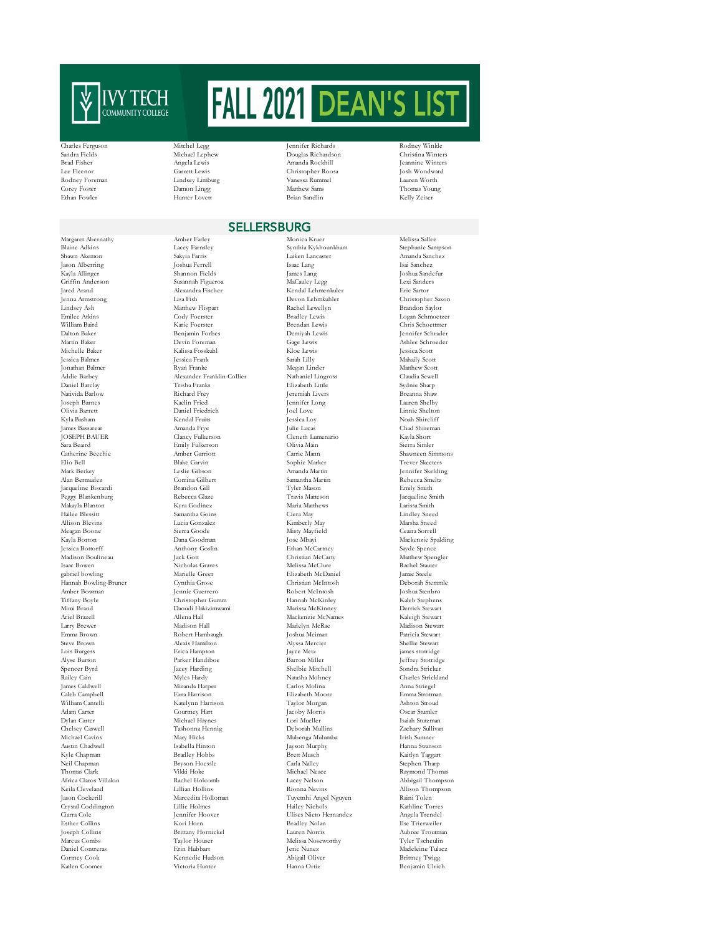

Margaret Abernathy Amber Farley Monica Kruer Melissa Sallee Blaine Adkins Lacey Farnsley Synthia Kykhounkham Stephanie Sampson Jason Alberring Joshua Ferrell Isaac Lang Isai Sanchez Kayla Allinger Shannon Fields James Lang Joshua Sandefur Griffin Anderson Susannah Figueroa MaCauley Legg Lexi Sanders Jared Arand Alexandra Fischer Kendal Lehmenkuler Eric Sartor Jenna Armstrong Lisa Fish Devon Lehmkuhler Christopher Saxon Emilee Atkins Cody Foerster Bradley Lewis Logan Schmoetzer William Baird Karie Foerster Brendan Lewis Chris Schoettmer Dalton Baker Benjamin Forbes Demiyah Lewis Jennifer Schrader Martin Baker Devin Foreman Gage Lewis Ashlee Schroeder Michelle Baker Kalissa Fosskuhl Kloe Lewis Jessica Scott Jessica Balmer Jessica Frank Sarah Lilly Mahaily Scott Jonathan Balmer Ryan Franke Megan Linder Matthew Scott Daniel Barclay Trisha Franks Elizabeth Little Sydnie Sharp Nativida Barlow Richard Frey Jeremiah Livers Breanna Shaw Joseph Barnes Kaelin Fried Jennifer Long Lauren Shelby Olivia Barrett Daniel Friedrich Joel Love Linnie Shelton Kyla Basham Kendal Fruits Jessica Loy Noah Shircliff James Bassarear Amanda Frye Julie Lucas Chad Shireman JOSEPH BAUER Clancy Fulkerson Cleneth Lumenario Kayla Short Sara Beaird Emily Fulkerson Olivia Main Sierra Simler Catherine Beechie Amber Garriott Carrie Mann Shawneen Simmons Elio Bell Blake Garvin Sophie Marker Trever Skeeters Mark Berkey Leslie Gibson Amanda Martin Jennifer Skelding Jacqueline Biscardi Peggy Blankenburg Rebecca Glaze Travis Matteson Jacqueline Smith Makayla Blanton – Maria Maria Marthews – Maria Marthews – Larissa Smith<br>
Hailee Blessitt – Samantha Goins – Ciera May – Lindley Sneed Allison Blevins Lucia Gonzalez Kimberly May Marsha Sneed Meagan Boone Sierra Goode Misty Mayfield Ceaira Sorrell Jessica Bottorff Anthony Goslin Ethan McCartney Sayde Spence Madison Boulineau Jack Gott Christian McCarty Matthew Spengler Isaac Bowen Nicholas Graves Melissa McClure Rachel Stauter (Rachel Stauter)<br>1986 - Rachel Stauter (Rachel Stauter Rachel Stauter)<br>2007 - Rachel Stauter (Rachel Stauter Record)<br>2008 - Marielle Greer (Rachel Stauter Record) Hannah Bowling-Bruner Cynthia Grose Christian McIntosh Deborah Stemmle Amber Bowman Jennie Guerrero Robert McIntosh Joshua Stenbro Tiffany Boyle Christopher Gumm Hannah McKinley Kaleb Stephens Mimi Brand Daoudi Hakizimwami Marissa McKinney Derrick Stewart Ariel Brazell Allena Hall Mackenzie McNames Kaleigh Stewart Larry Brewer Madison Hall Madelyn McRae Madison Stewart Emma Brown Robert Hambaugh Joshua Meiman Patricia Stewart Steve Brown Alexis Hamilton Alyssa Mercier Shellie Stewart Lois Burgess Erica Hampton Jayce Metz and School (1995) and Stotridge in the Stotridge of the Mandelon School (1996) and Stotridge in the Stotridge of the Mandelon Stotridge of the Mandelon Stotridge of the Mandelon Stotri Spencer Byrd Jacey Harding Shelbie Mitchell Sondra Stricker Railey Cain Myles Hardy Natasha Mohney Charles Strickland James Caldwell Miranda Harper Carlos Molina Anna Striegel Caleb Campbell Ezra Harrison Elizabeth Moore Emma Strotman William Cantelli Katelynn Harrison Taylor Morgan Ashton Stroud Adam Carter Courtney Hart Jacoby Morris Oscar Stumler Dylan Carter Michael Haynes Lori Mueller Isaiah Stutzman Chelsey Caswell Tashonna Hennig Deborah Mullins Zachary Sullivan Michael Cavins Mary Hicks Mubenga Mulumba Irish Sumner Austin Chadwell Isabella Hinton Jayson Murphy Hanna Swanson Kyle Chapman Bradley Hobbs Brett Musch (Berth Musch Kaitlyn Taggart<br> Bryson Hoessle (Carla Nalley Stephen Tharp Neil Chapman Bryson Hoessle Carla Nalley Stephen Tharp Thomas Clark Vikki Hoke Michael Neace Raymond Thomas Africa Claros Villalon Rachel Holcomb Lacey Nelson Abbigail Thompson Keila Cleveland Lillian Hollins Rionna Nevins Allison Thompson Crystal Coddington Ciarra Cole Jennifer Hoover Ulises Nieto Hernandez Angela Trendel Esther Collins Kori Horn Bradley Nolan Ilse Trierweiler Joseph Collins Brittany Hornickel Lauren Norris Aubree Troutman Daniel Contreras Erin Hubbart Jeric Nunez Madeleine Tulacz Cortney Cook Kennedie Hudson Abigail Oliver Brittney Twigg

Rodney Foreman Lindsey Limburg Corey Foster Damon Lingg<br>Ethan Fowler Hunter Lovett Hunter Lovett

Matthew Flispar

Samantha Goins

Alexander Franklin-Collier

Charles Ferguson Mitchel Legg Jennifer Richards Rodney Winkle Sandra Fields Michael Lephew Douglas Richardson Christina Winters Brad Fisher Angela Lewis Amanda Rockhill Jeannine Winters Lee Fleenor Carrett Lewis Christopher Roosa Josh Woodward (1980)<br>Rodney Foreman Mindsey Limburg (1980)<br>Nanessa Rummel Jauren Worth External Corey Foung Matthew Sams Thomas Young Turns Young Hunter Lovett Brian Sandlin<br>
Rely Zeiser Brian Sandlin

SELLERSBURG

Shawn Akemon Sakyia Farris Laiken Lancaster Amanda Sanchez Corrina Gilbert Samantha Martin Rebecca Smeltz<br>Brandon Gill Tyler Mason Republic Smith  $\begin{aligned} &\text{In a Goodman} \qquad \qquad \text{Jose Mbayi} \qquad \qquad \text{Mackenzie Spalding} \\ &\text{Iethan McGartney} \qquad \qquad \text{Sayde Spence} \end{aligned}$ gabriel bowling Marielle Greer Elizabeth McDaniel Jamie Steele Marcedita Holloman Tuyetnhi Angel Nguyen Raini Tolen<br>Idlie Holmes Hailey Nichols Kathline Torres Melissa Noseworthy<br>Jeric Nunez

,<br>Jeffrey Stotridge Benjamin Ulrich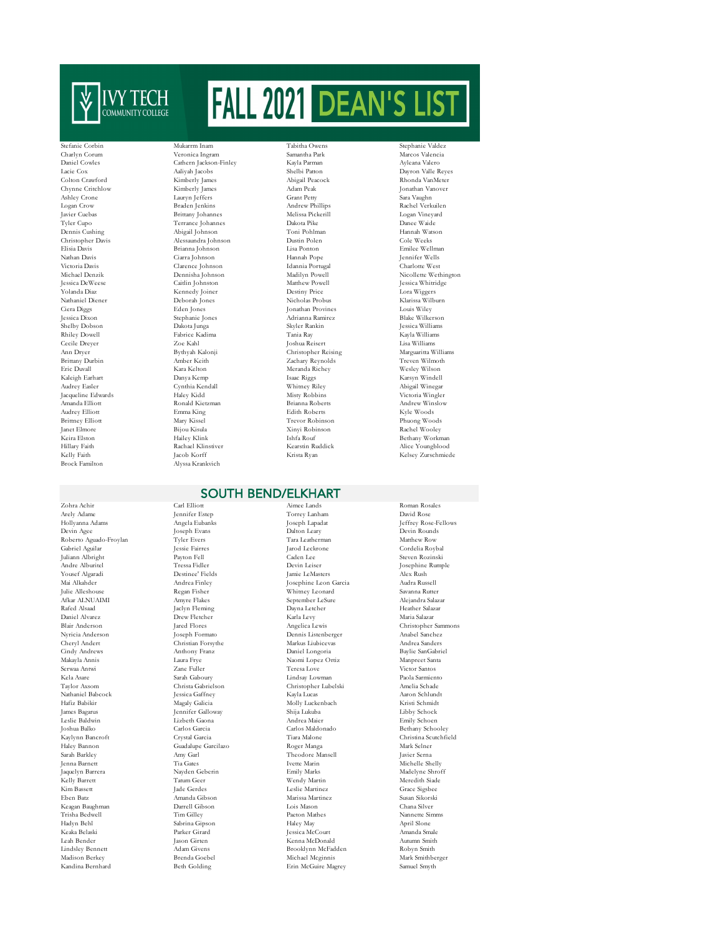

Jacqueline Edwards<br>Amanda Elliott Hillary Faith Rachael Klinstiver Kearstin Ruddick Alice Xearstin Ruddick Alice Reachael Kinstia Ryan (Krista Ryan Kelly Faith Jacob Korff Krista Ryan Kelsey Zurschmiede<br>Brock Familton Alvssa Krankvich

Nathaniel Babcock

Keagan Baughman

Stefanie Corbin Mukarrm Inam Tabitha Owens Stephanie Valdez Charlyn Corum Veronica Ingram Samantha Park Marcos Valencia Kimberly James Brittany Johannes Alyssa Krankvich

Daniel Cowles Cathern Jackson-Finley Kayla Parman Ayleana Valero Lacie Cox Aaliyah Jacobs Shelbi Patton Dayron Valle Reyes<br>Colton Crawford Kimberly James Abigail Peacock Rhonda VanMeter Chynne Critchlow Kimberly James Adam Peak Jonathan Vanover Ashley Crone Lauryn Jeffers Grant Petty Sara Vaughn Logan Crow Braden Jenkins Andrew Phillips Rachel Verkuilen Tyler Cupo Terrance Johannes Dakota Pike Danee Waide Dennis Cushing Abigail Johnson Toni Pohlman Hannah Watson Christopher Davis Alessaundra Johnson Dustin Polen Cole Weeks<br>
Elisia Davis Brianna Johnson Dustin Polen Cole Weeks<br>
Elisia Davis Brianna Johnson Lisa Ponton Emilee Well Elisia Davis Brianna Johnson Lisa Ponton Emilee Wellman Nathan Davis Ciarra Johnson Hannah Pope Jennifer Wells Victoria Davis Clarence Johnson Idannia Portugal Charlotte West Michael Denzik Dennisha Johnson Madilyn Powell Nicollette Wethington Jessica DeWeese Caitlin Johnston Matthew Powell Jessica Whitridge Yolanda Diaz Kennedy Joiner Destiny Price Lora Wiggers Nathaniel Diener Deborah Jones Nicholas Probus Klarissa Wilburn Ciera Diggs Eden Jones Jonathan Provines Louis Wiley Jessica Dixon Stephanie Jones Adrianna Ramirez Blake Wilkerson Shelby Dobson Dakota Junga Skyler Rankin Jessica Williams Rhiley Dowell Fabrice Kadima Tania Ray Kayla Williams Cecile Dreyer Zoe Kahl Joshua Reisert Lisa Williams Christopher Reising Brittany Durbin Amber Keith Zachary Reynolds Treven Wilmoth Eric Duvall Kara Kelton Meranda Richey Wesley Wilson Kaleigh Earhart Danya Kemp Isaac Riggs Karsyn Windell Audrey Easler Cynthia Kendall Whitney Riley Abigail Winegar Amanda Elliott Ronald Kietzman Brianna Roberts Andrew Winslow Audrey Elliott Emma King Edith Roberts Kyle Woods Brittney Elliott Mary Kissel Trevor Robinson Phuong Woods<br>
1990 - Trevor Robinson Phuong Woods<br>
1990 - Trevor Robinson Phuong Woods<br>
1990 - Trevor Robinson Rachel Wooley Janet Elmore Bijou Kisula Xinyi Robinson Rachel Wooley Keira Elston Hailey Klink Ishfa Rouf Bethany Workman

## SOUTH BEND/ELKHART

Zohra Achir Carl Elliott Aimee Lands Roman Rosales Roberto Aguado-Froylan Tyler Evers Tara Leatherman Tara Leatherman Tara Leatherman Tara Leatherman (Sabriel Aguilar Matthew Rowser Rowser Matthew Rowser School (State Matthew Rowser School and Leatherman Matthew Rowser Sch  $\begin{tabular}{ll} \textbf{Daniel Alvarez} & \textbf{Drev Fletcher} & \textbf{Karla Levy} \\ \textbf{Blair Anderson} & \text{Jared Flores} & \text{Angelica Lewis} \\ \end{tabular}$ .<br>Joseph Formato Haley Bannon Guadalupe Garcilazo Sarah Barkley Amy Garl

Arely Adame Jennifer Estep Torrey Lanham David Rose Hollyanna Adams Angela Eubanks Joseph Lapadat Jeffrey Rose-Fellows Devin Agee Joseph Evans Dalton Leary Devin Rounds Gabriel Aguilar Jessie Fairres Jarod Leckrone Cordelia Roybal Juliann Albright Payton Fell Caden Lee Steven Rozinski Andre Alburitel Tressa Fidler Devin Leiser Josephine Rumple Yousef Algaradi Destinee' Fields Jamie LeMasters Alex Rush Mai Alkahder Andrea Finley Josephine Leon Garcia Audra Russell Julie Alleshouse Regan Fisher Whitney Leonard Savanna Rutter Afkar ALNUAIMI Amyre Flakes September LeSure Alejandra Salazar Rafed Alsaad Jaclyn Fleming Dayna Letcher Heather Salazar Heather Salazar Dayna Letcher Heather Salazar Dayna Letcher Karla Levy Maria Salazar Blair Anderson Jared Flores Angelica Lewis Christopher Sam<br>Nyricia Anderson Joseph Formato Dennis Listenberger Angelica Anderson Angelica Angelica Angelica Angelica Angelica Lewis Cheryl Andert Christian Forsythe Markus Liubicevas Andrea Sanders Cindy Andrews Anthony Franz Daniel Longoria Baylie SanGabriel Naomi Lopez Ortiz Serwaa Antwi Zane Fuller Teresa Love Victor Santos Kela Asare Sarah Gaboury Lindsay Lowman Paola Sarmiento Taylor Christopher Lubelski (Christopher Lubelski Amelia Schade Jessica Gaffney (Christopher Lubelski America America America America America America America America America America America America America America America Hafiz Babikir Magaly Galicia Molly Luckenbach Kristi Schmidt James Bagarus Jennifer Galloway Shija Lukuba Libby Schock Leslie Baldwin Lizbeth Gaona Andrea Maier Emily Schoen Joshua Balko Carlos Garcia Carlos Maldonado Bethany Schooley Kaylynn Bancroft Crystal Garcia Tiara Malone Christina Scutchfield  $\begin{tabular}{ll} The odore Mansell & \multicolumn{2}{l}{}{Javier Serna} \\ Ivette Marin & \multicolumn{2}{l}{}{Michael Sh} \end{tabular}$ Jenna Barnett Tia Gates Ivette Marin Michelle Shelly Jaquelyn Barrera Nayden Geberin Emily Marks Madelyne Shroff Kelly Barrett Tatum Geer Wendy Martin Meredith Siade Kim Bassett Jade Gerdes Leslie Martinez Grace Sigsbee Eben Batz Amanda Gibson Marissa Martinez Susan Sikorski Trisha Bedwell Tim Gilley Paeton Mathes Nannette Simms Hadyn Behl Sabrina Gipson Haley May April Slone Keaka Belaski Parker Girard Jessica McCourt Amanda Smale Leah Bender Jason Girten Kenna McDonald Autumn Smith Lindsley Bennett Adam Givens Brooklynn McFadden Robyn Smith Madison Berkey Brenda Goebel Michael Mcginnis Mark Smithberger<br>
Mark Smithberger<br>
Mark Smithberger<br>
Mark Smithberger<br>
Mark Smithberger<br>
Mark Smithberger<br>
Mark Smithberger<br>
Mark Smithberger<br>
Mark Smithberger<br>
Mark Smithberg Erin McGuire Magrey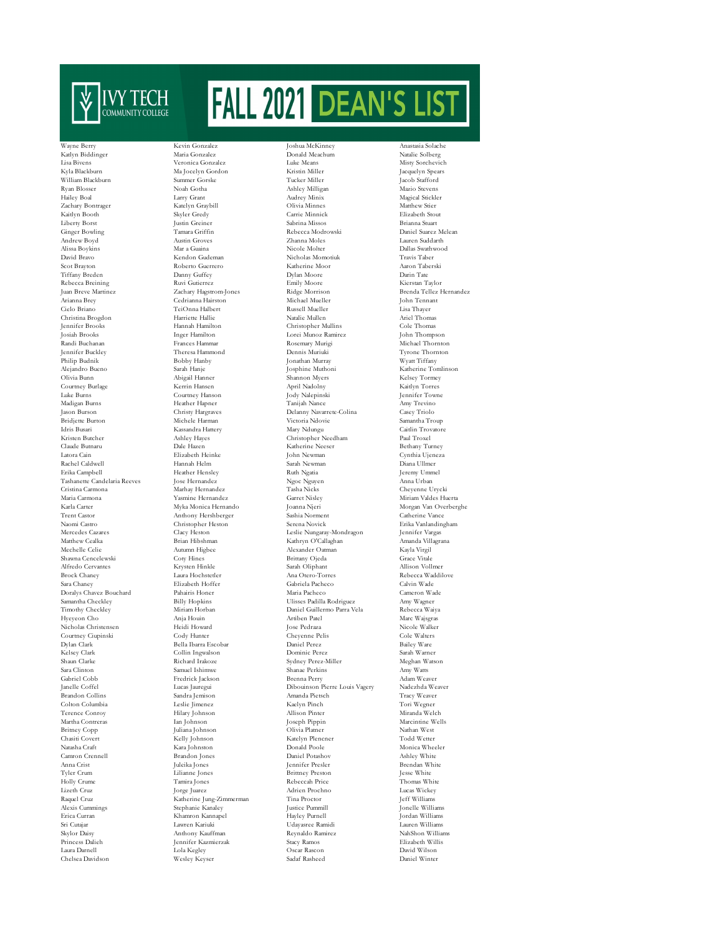

Idris Busari Kassandra Hattery<br>Kristen Butcher Mary Nahlev Haves Terence Conroy

Zachary Hagstrom-Jones Theresa Hammond Philip Budnik Bobby Hanby Jonathan Murray Wyatt Tiffany Courtney Hanson Cristina Carmona Marhay Hernandez Tasha Nicks<br>Maria Carmona Marhay Hernandez Carret Nisley<br>Carret Nisley Bella Ibarra Escobar Samuel Ishimwe Chasiti Covert Kelly Johnson Katelyn Plencner Todd Wetter Tyler Crum Tyler Crum Lilianne Jones Brittney Preston Brittney Preston Jones Brittney Preston Jones Rebeccah Price Khamron Kannapel Princess Dalieh Jennifer Kazmierzak Stacy Ramos (Stacy Ramos Laura Darnell Lola Kegley (Stacy Ramos )<br>
1999 - Lola Kegley (Stacy Rascon )<br>
2014 - Lola Kegley (Stacy Rascon )

Wayne Berry Kevin Gonzalez Joshua McKinney Anastasia Solache Katlyn Biddinger Maria Gonzalez Donald Meachum Natalie Solberg Lisa Bivens Veronica Gonzalez Luke Means Misty Sorchevich Kyla Blackburn Ma Jocelyn Gordon (Kristin Miller Jacquelyn Spears)<br>1960- William Blackburn Summer Gorske (Kristin Miller Jacob Stafford Jacob Stafford William Blackburn Summer Gorske Tucker Miller Jacob Stafford Ryan Blosser Noah Gotha Ashley Milligan Mazio Stevens  $\begin{array}{lllll} \text{Larry Grant} & \text{Audrey Minix} & \text{Magical Stickler} \\ \text{Katelyn Graybill} & \text{Olivia Minnes} & \text{Mathnew Súer} \end{array}$ Zachary Bontrager Katelyn Graybill Olivia Minnes Matthew Stier Carrie Minnick Liberty Borst Justin Greiner Sabrina Missos Brianna Stuart Ginger Bowling Tamara Griffin Rebecca Modrowski Daniel Suarez Melean Andrew Boyd Austin Groves Zhanna Moles Lauren Suddarth Alissa Boykins Mar a Guaina Nicole Molter Dallas Swathwood David Bravo Kendon Gudeman Nicholas Momotiuk Travis Taber Scot Brayton Roberto Guerrero Katherine Moor Aaron Taberski Tiffany Breden Danny Guffey Dylan Moore Darin Tate Rebecca Breining Ruvi Gutierrez Emily Moore Kierstan Taylor Arianna Brey Cedrianna Hairston Michael Mueller John Tennant Cielo Briano TeiOnna Halbert Russell Mueller Lisa Thayer Christina Brogdon Harriette Hallie Natalie Mullen Ariel Thomas Christopher Mullins Josiah Brooks Inger Hamilton Lorei Munoz Ramirez John Thompson Randi Buchanan Frances Hammar Rosemary Murigi Michael Thornton<br>1999 - Hannes Hammar Rosemary Murigi Michael Thornton<br>1999 - Pennis Muriuki Michael Thornton Alejandro Bueno Sarah Hanje Josphine Muthoni Katherine Tomlinson Olivia Bunn Abigail Hanner Shannon Myers Kelsey Tormey Courtney Burlage Kerrin Hansen April Nadolny Kaitlyn Torres Madigan Burns Heather Hapner Tanijah Nance Amy Trevino Jason Burson Christy Hargraves Delanny Navarrete-Colina Casey Triolo Bridjette Burton Michele Harman Victoria Ndovie Samantha Troup Kristen Butcher Ashley Hayes Christopher Needham Paul Troxel Claude Butnaru Dale Hazen Katherine Neeser Bethany Turney Latora Cain Elizabeth Heinke John Newman Cynthia Ujeneza Rachel Caldwell Hannah Helm Sarah Newman Diana Ullmer Erika Campbell Heather Hensley Ruth Ngatia Jeremy Ummel Tashanette Candelaria Reeves Jose Hernandez Ngoc Nguyen Anna Urban Karla Carter Myka Monica Hernando Joanna Njeri Morgan Van Overberghe - And School (Anthony Hershberger Sashia Norment Catherine Vance Catherine Vance<br>Trent Castor Anthony Hershberger Sashia Norment Catherine Vance<br>Naomi Castro Christopher Heston Serena Novick Erika Vanlanding Naomi Castro Christopher Heston Serena Novick Erika Vanlandin<br>1991 - Mercedes Cazares Claey Heston Leslie Nungaray-Mondragon Jennifer Vargas Mercedes Calacter Caracter Caracter Leslie Nungaray-Mondragon Jennifer Vargas<br>Mathron O'Callaghan Jennis Amanda Villagrana Matthew Cealka Brian Hibshman Kathryn O'Callaghan Amanda Villagrana Mechelle Celie Autumn Higbee Alexander Oatman Kayla Virgil Shawna Cencelewski Coty Hines Brittany Ojeda Grace Vitale Alfredo Cervantes Krysten Hinkle Sarah Oliphant Allison Vollmer Brock Chaney Laura Hochstetler Ana Otero-Torres Rebecca Waddilove Sara Chaney Elizabeth Hoffer Gabriela Pacheco Calvin Wade Doralys Chavez Bouchard Pahairis Honer Maria Pacheco Cameron Wade Samantha Checkley Billy Hopkins Ulisses Padilla Rodriguez Amy Wagner Daniel Guillermo Parra Vela Hyeyeon Cho Anja Houin Artiben Patel Marc Wajsgras Nicholas Christensen Heidi Howard Jose Pedraza Nicole Walker Courtney Ciupinski Cody Hunter Cody Hunter Cheyenne Pelis Cole Walter Dylan Clark Cole Walter<br>Cheyenne Pelis Cole Walters (Cheyenne Pelis Daniel Perez Bailey Ware Kelsey Clark Collin Ingwalson Dominic Perez Sarah Warner Shaun Clarke Richard Irakoze Sydney Perez-Miller Meghan Watson Sara Clinton Samuel Ishimwe Shanae Perkins May Watts Gabriel Cobb Fredrick Jackson Brenna Perry Adam Weaver Janelle Coffel Lucas Jauregui Dibouinson Pierre Louis Vagery Nadezhda Weaver )<br>Brandon Collins Sandra Jemison Amanda Pietsch Tracy Weave<br>Colton Columbia Leslie Jimenez Kaelyn Pinch Tori Wegner Colton Columbia Leslie Jimenez Kaelyn Pinch Tori Wegner Martha Contreras Ian Johnson Joseph Pippin Marcintine Wells Britney Copp Juliana Johnson Olivia Platner Nathan West Chasiti Covert Nathan West Chasiti Covert Nathan West Chasiti Covert Nathan West Nathan West Nathan West Nathan West Nathan West Nathan West Nathan West Nathan Media Camron Crennell Brandon Jones Daniel Potashov Ashley White Anna Crist Juleika Jones Jennifer Presler Brendan White Holly Crume Tamira Jones Rebeccah Price Thomas White Lizeth Cruz Jorge Juarez Adrien Prochno Lucas Wickey Raquel Cruz Katherine Jung-Zimmerman Tina Proctor Jeff Williams Alexis Cummings Stephanie Kanaley Justice Pummill Jonelle Williams Sri Cutajar Lawren Kariuki Udayasree Ramidi Lauren Williams Skylor Daisy Anthony Kauffman Reynaldo Ramirez NahShon Williams Chelsea Davidson Wesley Keyser Sadaf Rasheed Daniel Winter

Miriam Valdes Huerta Monica Wheeler Laura Darnell Lola Kegley Oscar Rascon David Wilson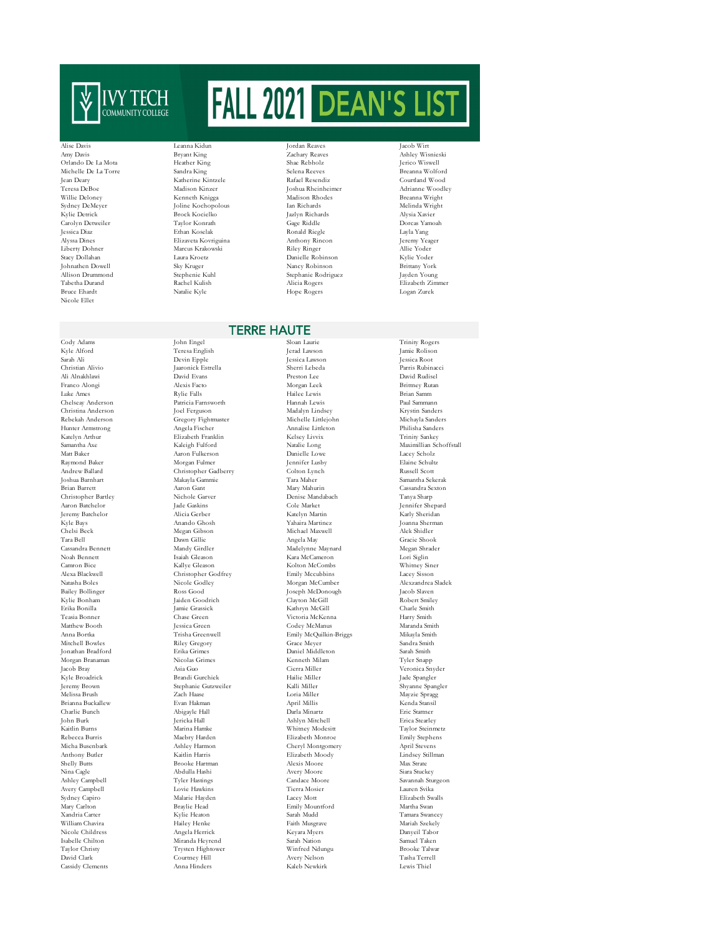

Johnathen Dowell Sky Kruger<br>Allison Drummond Stephenie Kuhl Nicole Ellet

Ali Alnakhlawi Jeremy Batchelor Morgan Branaman Cassidy Clements

Alise Davis Leanna Kidun Jordan Reaves Jacob Wirt Amy Davis Bryant King Zachary Reaves Ashley Wisnieski Orlando De La Mota Heather King Shae Rebholz Jerico Wiswell Michelle De La Torre Sandra King Selena Reeves Breanna Wolford (Selena Reeves Breanna Wolford Reader Selena Reeves Breanna Wolford (Selena Reeves Breanna Wolford Rafael Resendiz (Selena Reeves Reader Selena Reeves Reader S Katherine Kintzele Teresa DeBoe Madison Kinzer Joshua Rheinheimer Adrianne Woodley Willie Deloney Kenneth Knigga Madison Rhodes Breanna Wright Sydney DeMeyer Joline Kochopolous Ian Richards Melinda Wright (Nielinda Wright Melinda Wright Melinda Wright (Nielinda Wright Melinda Wright Melinda Wright (Nielinda Wright Melinda Wright Melinda Melinda Melinda Melinda Me Brock Kocielko Carolyn Detweiler Taylor Konrath Gage Riddle Dorcas Yamoah Jessica Diaz Ethan Koselak Ronald Riegle Layla Yang Alyssa Dines Elizaveta Kovriguina Anthony Rincon Jeremy Yeager Liberty Dohner Marcus Krakowski Riley Ringer Allie Yoder Allison Drummond Stephenie Kuhl Stephanie Rodriguez Jayden Young Tabetha Durand Rachel Kulish Alicia Rogers Elizabeth Zimmer

 $\begin{tabular}{ll} Laura Kroetz & Danielle Robinson & Kyle Yoder \\ Sky Kruger & & Nancelle Robinson & & Brittany York \end{tabular}$ Bruce Ehardt Natalie Kyle Hope Rogers Logan Zurek

## TERRE HAUTE

Christopher Bartley Nichole Garver Denise Mandabach Tanya Sharp Noah Bennett Isaiah Gleason Kara McCameron Kallye Gleason Kolton McCombs Ross Good Joseph McDonough<br>Taiden Goodrich Slaven McGill Jeremy Brown Stephanie Gutzweiler Kalli Miller Shyanne Spangler Anthony Butler Kaitlin Harris Elizabeth Moody Shelly Butts Brooke Hartman Alexis Moore Miranda Heyrend

Cody Adams John Engel Sloan Laurie Trinity Rogers Teresa English Jerad Lawson Jamie Rolison Jamie Rolison<br>Devin Epple Jessica Lawson Jessica Root Sarah Ali Devin Epple Jessica Lawson Jessica Root Christian Alivio Jaaronick Estrella Sherri Lebeda Parris Rubinacci Franco Alongi Alexis Facto Morgan Leek Brittney Rutan Luke Ames Rylie Falls Hailee Lewis Brian Samm Chelseay Anderson Patricia Farnsworth Hannah Lewis Paul Sammann Christina Anderson Joel Ferguson Madalyn Lindsey Krystin Sanders Rebekah Anderson Gregory Fightmaster Michelle Littlejohn Michayla Sanders Hunter Armstrong Angela Fischer Annalise Littleton Philisha Sanders Katelyn Arthur Elizabeth Franklin Kelsey Livvix Trinity Sankey Samantha Axe Kaleigh Fulford Natalie Long Maximillian Schoffstall Matt Baker Aaron Fulkerson Danielle Lowe Lacey Scholz Raymond Baker Morgan Fulmer Jennifer Lusby Elaine Schultz Andrew Ballard Christopher Gadberry Colton Lynch Russell Scott Joshua Barnhart Makayla Gammie Tara Maher Samantha Sekerak Brian Barrett Aaron Gant Mary Mahurin Cassandra Sexton Aaron Batchelor Jade Gaskins Cole Market Jennifer Shepard Kyle Bays Anando Ghosh Yahaira Martinez Joanna Sherman Chelsi Beck Megan Gibson Michael Maxwell Alek Shidler Tara Bell Dawn Gillie Angela May Gracie Shook (State Shook Angela May Gracie Shook (State Shook Angela May Gracie Shook (State Shook Angela May Gracie Shook (State Shook (State Shook (State Shook (State Shook (State Shook Cassandra Bennett Mandy Girdler Madelynne Maynard Megan Shrader Camron Bice Kallye Gleason Kolton McCombs Whitney Siner Alexa Blackwell Christopher Godfrey Emily Mccubbins Lacey Sisson Natasha Boles Nicole Godley Morgan McCumber Alexzandrea Sladek Kylie Bonham Jaiden Goodrich Clayton McGill Robert Smiley Erika Bonilla Jamie Grassick Kathryn McGill Charle Smith Teasia Bonner Chase Green Victoria McKenna Harry Smith Matthew Booth Jessica Green Codey McManus Maranda Smith Maranda Smith Jessica Green Codey McManus Maranda Smith<br>Anna Bortka (Trisha Greenwell – Fmily McChulkin-Briggs – Mikayla Smith Anna Bortka Trisha Greenwell Emily McQuilkin-Briggs Mikayla Smith Mitchell Bowles Riley Gregory Grace Meyer Sandra Smith Jonathan Bradford Erika Grimes Daniel Middleton Sarah Smith Jacob Bray Asia Guo Cierra Miller Veronica Snyder Kyle Broadrick Brandi Gurchiek Hailie Miller Jade Spangler  $\begin{minipage}{0.9\linewidth} \textbf{April Millis} & \textbf{Mayzie Spragg} \end{minipage}$ Brianna Buckallew Evan Hakman April Millis Kenda Stansil Charlie Bunch Abigayle Hall Darla Minartz Eric Stattner John Burk Jericka Hall Ashlyn Mitchell Erica Stearley Kaitlin Burns Marina Hamke Whitney Modesitt Taylor Steinmetz Rebecca Burris Maebry Harden Elizabeth Monroe Emily Stephens Micha Busenbark Ashley Harmon Cheryl Montgomery April Stevens Shelly Butts Brooke Hartman Alexis Moore Max Strate Nina Cagle Abdulla Hashi Avery Moore Siara Stuckey Ashley Campbell Tyler Hastings Candace Moore Savannah Sturgeon<br>Avery Campbell Lovie Hawkins Tierra Mosier I Lauren Svika Avery Campbell Lovie Hawkins Tierra Mosier Lauren Svika Sydney Capiro Malarie Hayden Lacey Mott Elizabeth Swalls Mary Carlton Braylie Head Emily Mountford Martha Swan Xandria Carter Kylie Heaton Sarah Mudd Tamara Swancey William Chavira Hailey Henke Faith Musgrave Mariah Szekely Nicole Childress Angela Herrick Keyara Myers Danyeil Tabor<br>Isabelle Chilton Miranda Hevrend Sarah Nation Samuel Taken Taylor Christy Trysten Hightower Winfred Ndungu Brooke Talwar David Clark Courtney Hill Avery Nelson Tasha Terrell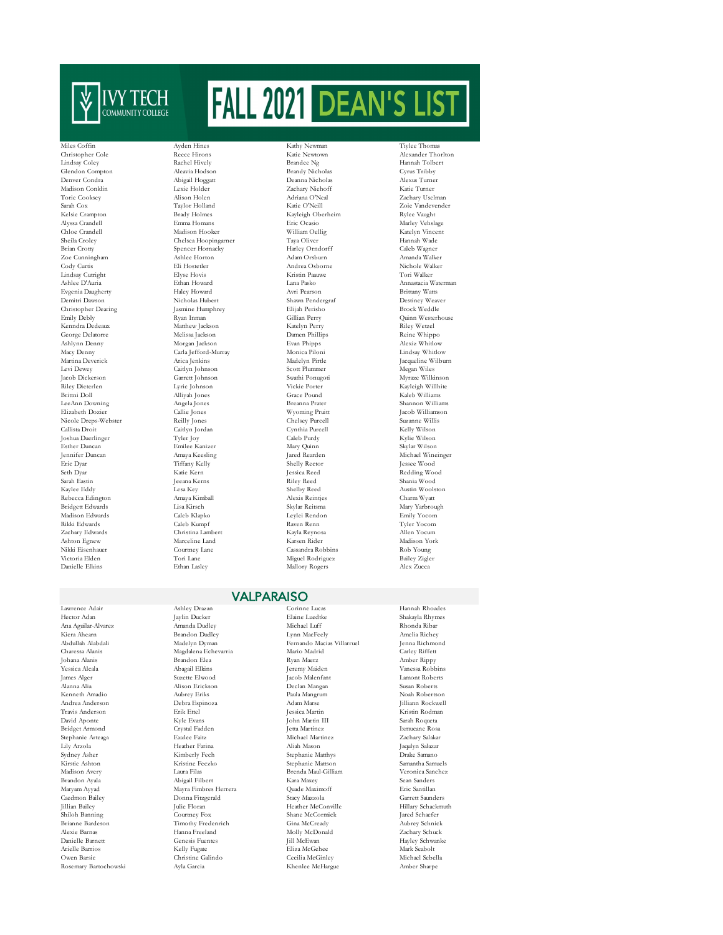

Lindsay Coley Rachel Hively Brandee Ng Hannah Tolbert Glendon Compton Aleavia Hodson Brandy Nicholas Cyrus Tribby Madison Conklin Lexie Holder Zachary Niehoff Katie Turner Torie Cooksey Alison Holen Adriana O'Neal Zachary Uselman Sarah Cox Taylor Holland Katie O'Neill Zoie Vandevender Alyssa Crandell Emma Homans Eric Ocasio Marley Vehslage Chloe Crandell Madison Hooker William Oellig Katelyn Vincent Sheila Croley Chelsea Hoopingarner Taya Oliver Hannah Wade<br>Brian Crotty Spencer Hornacky Harley Orndorff Caleb Wagner Brian Crotty Spencer Hornacky Harley Orndorff Caleb Wagner Zoe Cunningham Ashlee Horton Adam Orsburn Amanda Walker Cody Curtis Andrea Osborne - Andrea Osborne - Andrea Osborne - Andrea Osborne - Nichole Walker - Eli Hostetler - Andrea Osborne - Nichole Walker - Eli Hostetler - Andrea Osborne - Nichole Walker - Andrea Osborne - Nichole Lindsay Cutright Elyse Hovis Elyse Hovis Kristin Paauwe<br>Ashlee D'Auria Ethan Howard I ana Pasko Evgenia Daugherty Demitri Dawson Nicholas Hubert Shawn Pendergraf Destiney Weaver Christopher Dearing Jasmine Humphrey Biljah Perish Emily Debly Brock Ryan Inman Cillian Perry Emily Debly Ryan Inman Gillian Perry Quinn Westerhouse George Delatorre Melissa Jackson Damen Phillips Reine Whippo Ashlynn Denny Morgan Jackson Evan Phipps Alexiz Whitlow Martina Deverick Arica Jenkins Madelyn Pirtle Jacqueline Wilburn Levi Dewey Caitlyn Johnson Scott Plummer Megan Wiles Jacob Dickerson Garrett Johnson Swathi Ponugoti Myraze Wilkinson Riley Dieterlen Lyric Johnson Vickie Porter Kayleigh Willhite LeeAnn Downing Angela Jones Breanna Prater Shannon Williams Elizabeth Dozier Callie Jones Wyoming Pruitt Jacob Williamson Nicole Dreps-Webster Reilly Jones Chelsey Purcell Suzanne Willis Callista Droit Caitlyn Jordan Cynthia Purcell Kelly Wilson Joshua Duerlinger Tyler Joy Caleb Purdy Kylie Wilson Esther Duncan Emilee Kanizer Mary Quinn Skylar Wilson Jennifer Duncan Amaya Keesling Jared Rearden Michael Wineinger Eric Dyar Tiffany Kelly Shelly Rector Jessee Wood Seth Dyar Katie Kern Jessica Reed Redding Wood Sarah Eastin Jeeana Kerns Riley Reed Shania Wood Kaylee Eddy Lesa Key Shelby Reed Austin Woolston Rebecca Edington Bridgett Edwards Lisa Kirsch Skylar Reitsma Mary Yarbrough Madison Edwards Caleb Klapko Leylei Rendon Emily Yocom Rikki Edwards Caleb Kumpf Raven Renn Tyler Yocom Ashton Egnew Marceline Land Karsen Rider Madison York Nikki Eisenhauer Courtney Lane Cassandra Robbins Rob Young

Kenneth Amadio

Miles Coffin Ayden Hines Kathy Newman Tiylee Thomas Christopher Cole Reece Hirons Katie Newtown Alexander Thorlton Matthew Jackson Carla Jefford-Murray Brittni Doll Alliyah Jones Grace Pound Kaleb Williams Christina Lambert Victoria Elden Tori Lane Miguel Rodriguez Bailey Zigler

Deanna Nicholas Kayleigh Oberheim Mallory Rogers

Ashan Howard Lana Pasko Annastacia Waterman Haley Howard Avri Pearson Brittany Watts

## VALPARAISO

Charessa Alanis Magdalena Echevarria Mario Madrid Channa Alanis<br>1989 - Brandon Elea Ryan Maerz<br>1989 - Brandon Elea Caedmon Bailey Donna Fitzgerald Stacy Mazzola Garrett Saunders Alexie Barnas Hanna Freeland Molly McDonald Zachary Schuck

Lawrence Adair Ashley Drazan Corinne Lucas Hannah Rhoades Filaine Luedtke Shakayla Rhymes<br>Anda Dudlev Michael Luff Nichael Rhonda Ribar Ana Aguilar-Alvarez Amanda Dudley Michael Luff Rhonda Ribar Kiera Ahearn Brandon Dudley Lynn MacFeely Amelia Richey Abdullah Alabdali Madelyn Dyman Fernando Macias Villarruel Jenna Richmond Yessica Alcala Abagail Elkins Jeremy Maiden Vanessa Robbins James Alger Suzette Elwood Jacob Malenfant Lamont Roberts Alanna Alia Alison Erickson Declan Mangan Susan Roberts Andrea Anderson Debra Espinoza Adam Marse Jilliann Rockwell Travis Anderson Erik Ettel Jessica Martin Kristin Rodman David Aponte Kyle Evans John Martin III Sarah Roqueta Bridget Armond Crystal Fadden Jetta Martinez Ixmucane Rosa Stephanie Arteaga Ezzlee Faitz Michael Martinez Zachary Salakar Lily Arzola Heather Farina Aliah Mason Jaqulyn Salazar Sydney Asher Kimberly Fech Stephanie Matthys Drake Samano Kirstie Ashton Matthews (Kristine Feczko Stephanie Mattson Samantha Samuels (Samantha Samuels Mattson Samantha Samuels (Samantha Samuels Mattson Stephanie Mattson Stephanie Mattson Samantha Samuels (Samantha Samuels Mattso Madison Avery Laura Filas Brenda Maul-Gilliam Veronica Sanchez Brandon Ayala Abigail Filbert Kara Maxey Sean Sanders Maryam Ayyad Mayra Fimbres Herrera Quade Maximoff Eric Santillan Shiloh Banning Courtney Fox Shane McCormick Jared Schaefer Brianne Bardeson Timothy Fredenrich Gina McCready Aubrey Schnick Arielle Barrios Kelly Fugate Eliza McGehee Mark Seabolt Owen Barsic Christine Galindo Cecilia McGinley Michael Sebella Rosemary Bartochowski Ayla Garcia Khenlee McHargue Amber Sharpe

Amber Rippy Hillary Schackmuth Hayley Schwanke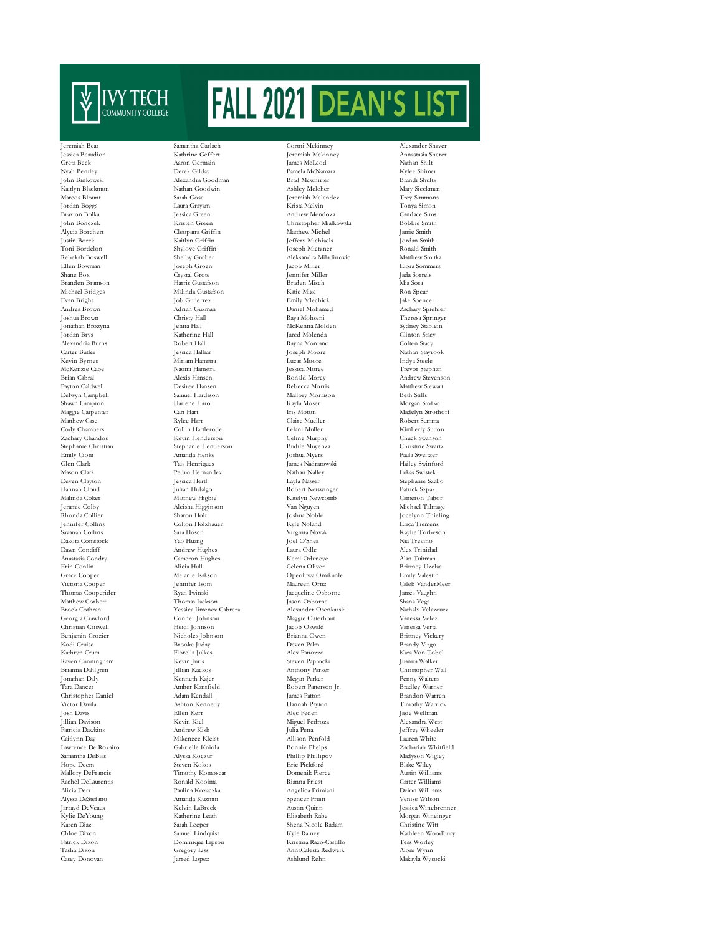

Michael Bridges Jeramie Colby Aleisha Higginson (Aleisha Higginson Rhonda Collier (Aleisha Higginson Molt Lawrence De Rozairo Casey Donovan Jarred Lopez Ashlund Rehn Makayla Wysocki

Jeremiah Bear Samantha Garlach Cortni Mckinney Alexander Shaver Jessica Beaudion Kathrine Geffert Jeremiah Mckinney Annastasia Sherer Greta Beck Aaron Germain James McLeod Nathan Shilt Nyah Bentley Derek Gilday Pamela McNamara Kylee Shimer Alexandra Goodman Kaitlyn Blackmon Nathan Goodwin Ashley Melcher Mary Sieckman Marcos Blount Sarah Gose Jeremiah Melendez Trey Simmons Jordan Boggs Laura Grayam Krista Melvin Tonya Simon Braxton Bolka Jessica Green Andrew Mendoza Candace Sims John Bonczek Kristen Green Christopher Mialkowski Bobbie Smith Alycia Borchert Cleopatra Griffin Matthew Michel Jamie Smith Justin Borck Kaitlyn Griffin Jeffery Michiaels Jordan Smith Toni Bordelon Shylove Griffin Joseph Mietzner Joseph Mietzner Ronald Smith<br>Rehekah Boswell Shelby Grober Aleksandra Miladinovic Matthew Smiths Rebekah Boswell Shelby Grober (Shelby Grober Aleksandra Miladinovic Matthew Smitka)<br>Filen Bowman (Shelby Groen (Shelby Groen (Shelby Matthew Smitka)<br>Republika (Shelby Grober (Shelby Groen (Shelby Matthew Smitka) Ellen Bowman Joseph Groen Jacob Miller Elora Sommers Shane Box Crystal Grote Jennifer Miller Jada Sorrels Branden Bramson Harris Gustafson Braden Misch Mia Sosa Evan Bright Job Gutierrez Emily Mlechick Jake Spencer Andrea Brown Adrian Guzman Daniel Mohamed Zachary Spiehler Joshua Brown Christy Hall Raya Mohseni Theresa Springer Jordan Brys Katherine Hall Jared Molenda Clinton Stacy Alexandria Burns Colten Stacy<br>
Alexandria Burns Robert Hall<br>
Argen Rayna Montano Colten Stacy<br>
2011 - The Rayna Montano Colten Stacy<br>
2011 - The Rayna Montano Colten Stacy<br>
2011 - The Rayna Montano Colten Stacy<br>
2012 - Col Kevin Byrnes Miriam Hamstra Lucas Moore Indya Steele McKenzie Cabe Naomi Hamstra Jessica Moree Trevor Stephan Brian Cabral Alexis Hansen Ronald Morey Andrew Stevenson  $\begin{array}{llll} \textbf{Des}{\textcolor{red}{\textbf{Re}}{\textcolor{red}{\textbf{Decca}\textbf{Morr}}\textcolor{red}{\textbf{N}}}} & \textbf{Mathew} {\textcolor{red}{\textbf{Stwar}}} \\ \textbf{Samuel Hardison} & \textbf{Mallory Morrison} & \textbf{Beh Stills} \end{array}$ Delwyn Campbell Samuel Hardison Mallory Morrison Beth Stills Shawn Campion Harlene Haro Kayla Moser Morgan Stofko Maggie Carpenter Cari Hart Iris Moton (Iris Moton Madelyn Strothoff Mathew Case Rylee Hart Claire Mueller Robert Summa Matthew Case Rylee Hart Claire Mueller Robert Summa Cody Chambers Collin Hartlerode Lelani Muller Kimberly Sutton Zachary Chandos Kevin Henderson Celine Murphy Chuck Swanson Stephanie Christian Stephanie Henderson Budile Muyenza Christine Swartzer<br>1999 - Emily Cioni Amanda Henke Museum Amanda Henke Swartzer<br>1999 - Joshua Myers Paula Sweitzer Emily Cioni Amanda Henke Joshua Myers Paula Sweitzer Glen Clark Tais Henriques James Nadratowski Hailey Swinford Mason Clark Pedro Hernandez Nathan Nalley Lukas Swistek Deven Clayton Jessica Hertl Layla Nasser Stephanie Szabo Hannah Cloud Julian Hidalgo Robert Neiswinger Patrick Szpak Malinda Coker Matthew Higbie Katelyn Newcomb Cameron Tabor Rhonda Collier Sharon Holt Joshua Noble Jocelynn Thieling Jennifer Collins Colton Holzhauer Kyle Noland Erica Tiemens Savanah Collins Sara Hosch Virginia Novak Kaylie Torbeson Dakota Comstock Yao Huang Joel O'Shea Nia Trevino Dawn Condiff Andrew Hughes Laura Odle Alex Trinidad Anastasia Condry Cameron Hughes Kemi Oduneye Alan Tuitman Erin Conlin Alicia Hull Celena Oliver Brittney Uzelac Grace Cooper Melanie Isakson Opeoluwa Omikunle Emily Valestin Victoria Cooper Jennifer Isom Maureen Ortiz Caleb VanderMeer Thomas Cooperider Ryan Iwinski Jacqueline Osborne James Vaughn Matthew Corbett Thomas Jackson Jackson Jackson Jackson Jackson Jackson Jackson Deborne Shana Vega<br>Prock Cothran Shana Vega Shana Vega Alexander Osenkarski Nathaly Velazquez Yessica Jimenez Cabrera<br>Conner Johnson Georgia Crawford Conner Johnson Maggie Osterhout Vanessa Velez Christian Criswell Heidi Johnson Jacob Oswald Vanessa Verta Benjamin Crozier Nicholes Johnson Brianna Owen Brittney Vickery Brooke Juday Kathryn Crum Fiorella Julkes Alex Panozzo Kara Von Tobel Raven Cunningham Kevin Juris Steven Paprocki Juanita Walker Jonathan Daly Kenneth Kajer Megan Parker Penny Walters Tara Dancer Amber Kansfield Robert Patterson Jr. Bradley Warner Christopher Daniel Adam Kendall James Patton Brandon Warren Victor Davila Ashton Kennedy Hannah Payton Timothy Warrick Jillian Davison Kevin Kiel Miguel Pedroza Alexandra West Patricia Dawkins Andrew Kish Julia Pena Jeffrey Wheeler Nakenzee Kleist Makenzee Kleist Allison Penfold Lauren White Cabrielle Kniola Bonnie Phelps Zachariah Whitfield Samantha DeBias Alyssa Koczur Phillip Phillipov Madyson Wigley Hope Deem Steven Kokos Eric Pickford Blake Wiley Mallory DeFrancis Timothy Komoscar Domenik Pierce Austin Williams Rachel DeLaurentis Ronald Kooima Rianna Priest Carter Williams Alicia Derr Paulina Kozaczka Angelica Primiani Deion Williams Alyssa DeStefano Amanda Kuzmin Spencer Pruitt Venise Wilson Jarrayd DeVeaux Kelvin LaBreck Austin Quinn Jessica Winebrenner Karen Diaz Sarah Leeper Shena Nicole Radam Christine Witt Chloe Dixon Samuel Lindquist Kyle Rainey Kathleen Woodbury Patrick Dixon Dominique Lipson Kristina Razo-Castillo Tess Worley Tasha Dixon Gregory Liss AnnaCalesta Redweik Aloni Wynn

Sydney Stablein Nathan Stayrook Christopher Wall Jasie Wellman Morgan Wineinger